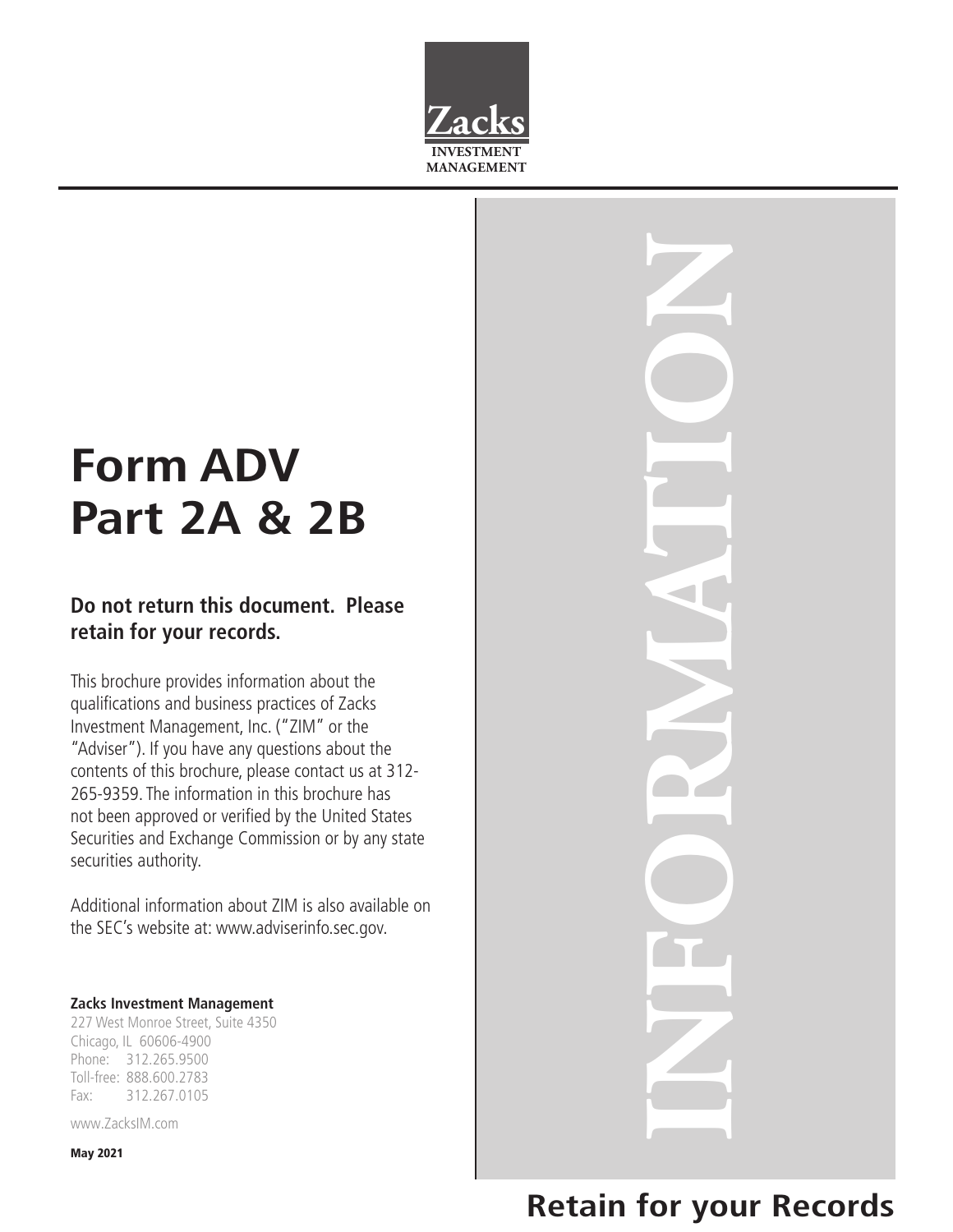

# **Form ADV Part 2A & 2B**

# **Do not return this document. Please retain for your records.**

This brochure provides information about the qualifications and business practices of Zacks Investment Management, Inc. ("ZIM" or the "Adviser"). If you have any questions about the contents of this brochure, please contact us at 312- 265-9359. The information in this brochure has not been approved or verified by the United States Securities and Exchange Commission or by any state securities authority.

Additional information about ZIM is also available on the SEC's website at: www.adviserinfo.sec.gov.

#### **Zacks Investment Management**

227 West Monroe Street, Suite 4350 Chicago, IL 60606-4900 Phone: 312.265.9500 Toll-free: 888.600.2783 Fax: 312.267.0105

www.ZacksIM.com

May 2021

**INFORMATION**

# **Retain for your Records**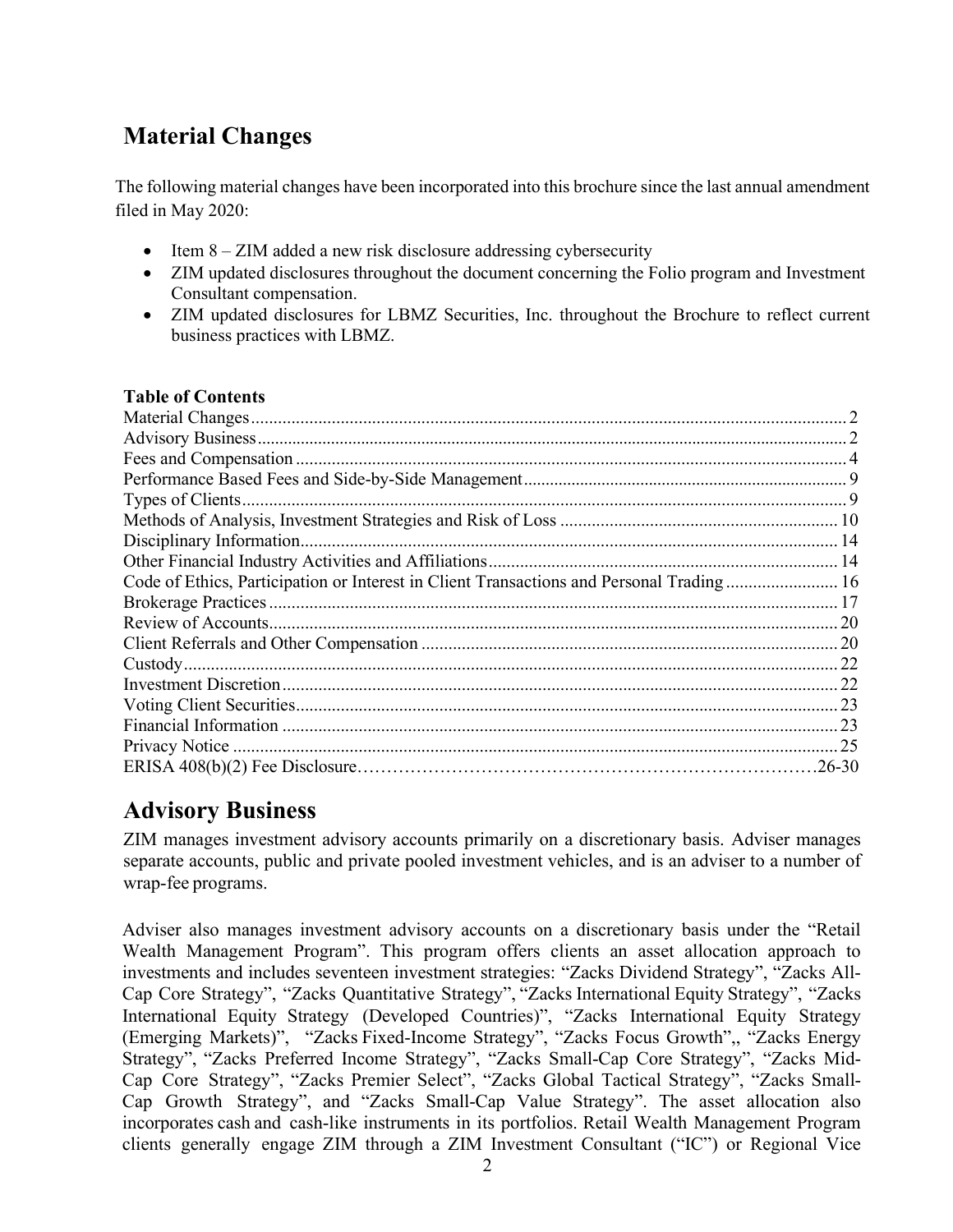# <span id="page-1-0"></span>**Material Changes**

The following material changes have been incorporated into this brochure since the last annual amendment filed in May 2020:

- Item  $8 ZIM$  added a new risk disclosure addressing cybersecurity
- ZIM updated disclosures throughout the document concerning the Folio program and Investment Consultant compensation.
- ZIM updated disclosures for LBMZ Securities, Inc. throughout the Brochure to reflect current business practices with LBMZ.

# **Table of Contents**

| Code of Ethics, Participation or Interest in Client Transactions and Personal Trading 16 |  |
|------------------------------------------------------------------------------------------|--|
|                                                                                          |  |
|                                                                                          |  |
|                                                                                          |  |
|                                                                                          |  |
|                                                                                          |  |
|                                                                                          |  |
|                                                                                          |  |
|                                                                                          |  |
|                                                                                          |  |

# <span id="page-1-1"></span>**Advisory Business**

ZIM manages investment advisory accounts primarily on a discretionary basis. Adviser manages separate accounts, public and private pooled investment vehicles, and is an adviser to a number of wrap-fee programs.

Adviser also manages investment advisory accounts on a discretionary basis under the "Retail Wealth Management Program". This program offers clients an asset allocation approach to investments and includes seventeen investment strategies: "Zacks Dividend Strategy", "Zacks All-Cap Core Strategy", "Zacks Quantitative Strategy", "Zacks International Equity Strategy", "Zacks International Equity Strategy (Developed Countries)", "Zacks International Equity Strategy (Emerging Markets)", "Zacks Fixed-Income Strategy", "Zacks Focus Growth",, "Zacks Energy Strategy", "Zacks Preferred Income Strategy", "Zacks Small-Cap Core Strategy", "Zacks Mid-Cap Core Strategy", "Zacks Premier Select", "Zacks Global Tactical Strategy", "Zacks Small-Cap Growth Strategy", and "Zacks Small-Cap Value Strategy". The asset allocation also incorporates cash and cash-like instruments in its portfolios. Retail Wealth Management Program clients generally engage ZIM through a ZIM Investment Consultant ("IC") or Regional Vice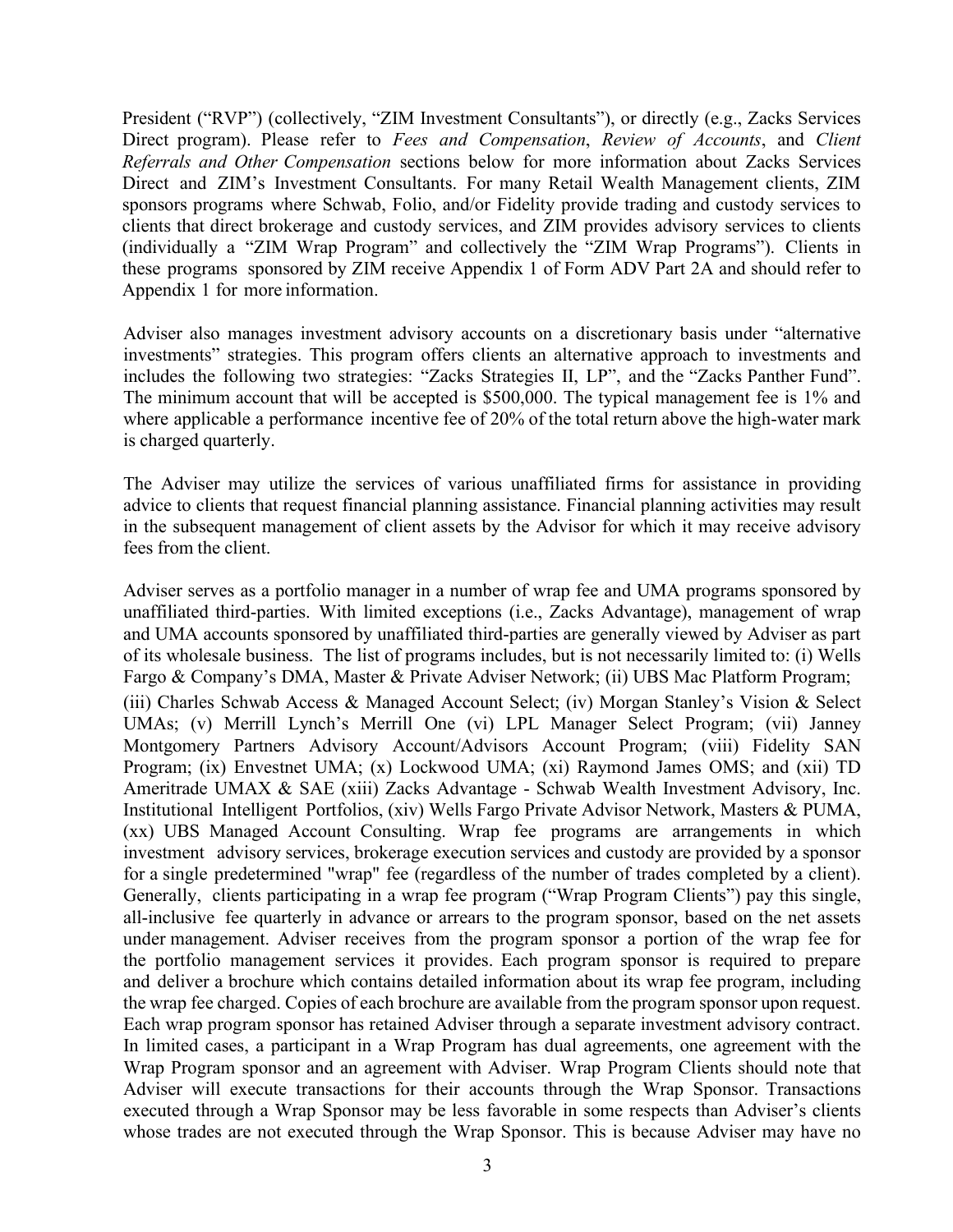President ("RVP") (collectively, "ZIM Investment Consultants"), or directly (e.g., Zacks Services Direct program). Please refer to *Fees and Compensation*, *Review of Accounts*, and *Client Referrals and Other Compensation* sections below for more information about Zacks Services Direct and ZIM's Investment Consultants. For many Retail Wealth Management clients, ZIM sponsors programs where Schwab, Folio, and/or Fidelity provide trading and custody services to clients that direct brokerage and custody services, and ZIM provides advisory services to clients (individually a "ZIM Wrap Program" and collectively the "ZIM Wrap Programs"). Clients in these programs sponsored by ZIM receive Appendix 1 of Form ADV Part 2A and should refer to Appendix 1 for more information.

Adviser also manages investment advisory accounts on a discretionary basis under "alternative investments" strategies. This program offers clients an alternative approach to investments and includes the following two strategies: "Zacks Strategies II, LP", and the "Zacks Panther Fund". The minimum account that will be accepted is \$500,000. The typical management fee is 1% and where applicable a performance incentive fee of 20% of the total return above the high-water mark is charged quarterly.

The Adviser may utilize the services of various unaffiliated firms for assistance in providing advice to clients that request financial planning assistance. Financial planning activities may result in the subsequent management of client assets by the Advisor for which it may receive advisory fees from the client.

Adviser serves as a portfolio manager in a number of wrap fee and UMA programs sponsored by unaffiliated third-parties. With limited exceptions (i.e., Zacks Advantage), management of wrap and UMA accounts sponsored by unaffiliated third-parties are generally viewed by Adviser as part of its wholesale business. The list of programs includes, but is not necessarily limited to: (i) Wells Fargo & Company's DMA, Master & Private Adviser Network; (ii) UBS Mac Platform Program; (iii) Charles Schwab Access & Managed Account Select; (iv) Morgan Stanley's Vision & Select UMAs; (v) Merrill Lynch's Merrill One (vi) LPL Manager Select Program; (vii) Janney Montgomery Partners Advisory Account/Advisors Account Program; (viii) Fidelity SAN Program; (ix) Envestnet UMA; (x) Lockwood UMA; (xi) Raymond James OMS; and (xii) TD Ameritrade UMAX & SAE (xiii) Zacks Advantage - Schwab Wealth Investment Advisory, Inc. Institutional Intelligent Portfolios, (xiv) Wells Fargo Private Advisor Network, Masters & PUMA, (xx) UBS Managed Account Consulting. Wrap fee programs are arrangements in which investment advisory services, brokerage execution services and custody are provided by a sponsor for a single predetermined "wrap" fee (regardless of the number of trades completed by a client). Generally, clients participating in a wrap fee program ("Wrap Program Clients") pay this single, all-inclusive fee quarterly in advance or arrears to the program sponsor, based on the net assets under management. Adviser receives from the program sponsor a portion of the wrap fee for the portfolio management services it provides. Each program sponsor is required to prepare and deliver a brochure which contains detailed information about its wrap fee program, including the wrap fee charged. Copies of each brochure are available from the program sponsor upon request. Each wrap program sponsor has retained Adviser through a separate investment advisory contract. In limited cases, a participant in a Wrap Program has dual agreements, one agreement with the Wrap Program sponsor and an agreement with Adviser. Wrap Program Clients should note that Adviser will execute transactions for their accounts through the Wrap Sponsor. Transactions executed through a Wrap Sponsor may be less favorable in some respects than Adviser's clients whose trades are not executed through the Wrap Sponsor. This is because Adviser may have no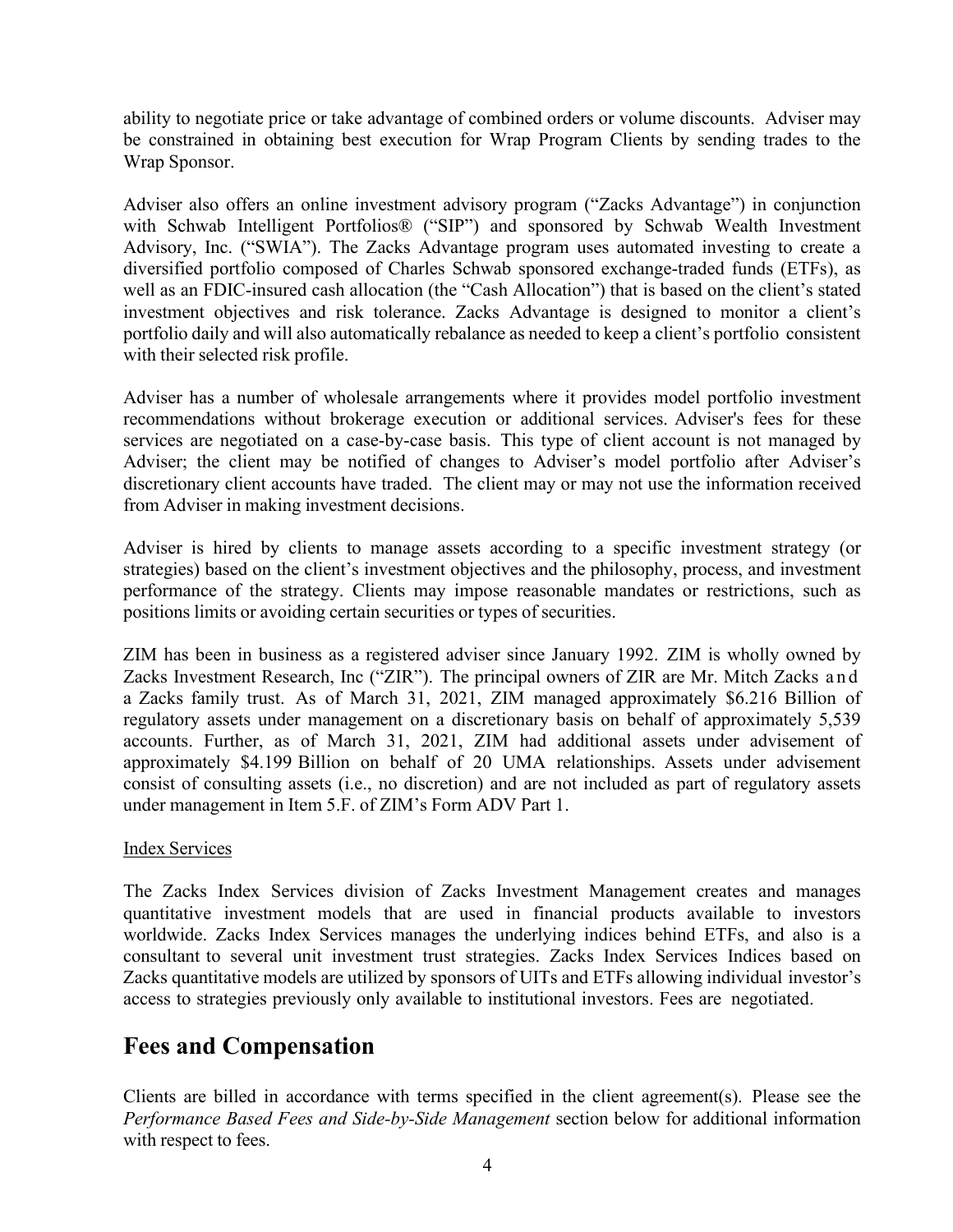ability to negotiate price or take advantage of combined orders or volume discounts. Adviser may be constrained in obtaining best execution for Wrap Program Clients by sending trades to the Wrap Sponsor.

Adviser also offers an online investment advisory program ("Zacks Advantage") in conjunction with Schwab Intelligent Portfolios® ("SIP") and sponsored by Schwab Wealth Investment Advisory, Inc. ("SWIA"). The Zacks Advantage program uses automated investing to create a diversified portfolio composed of Charles Schwab sponsored exchange-traded funds (ETFs), as well as an FDIC-insured cash allocation (the "Cash Allocation") that is based on the client's stated investment objectives and risk tolerance. Zacks Advantage is designed to monitor a client's portfolio daily and will also automatically rebalance as needed to keep a client's portfolio consistent with their selected risk profile.

Adviser has a number of wholesale arrangements where it provides model portfolio investment recommendations without brokerage execution or additional services. Adviser's fees for these services are negotiated on a case-by-case basis. This type of client account is not managed by Adviser; the client may be notified of changes to Adviser's model portfolio after Adviser's discretionary client accounts have traded. The client may or may not use the information received from Adviser in making investment decisions.

Adviser is hired by clients to manage assets according to a specific investment strategy (or strategies) based on the client's investment objectives and the philosophy, process, and investment performance of the strategy. Clients may impose reasonable mandates or restrictions, such as positions limits or avoiding certain securities or types of securities.

ZIM has been in business as a registered adviser since January 1992. ZIM is wholly owned by Zacks Investment Research, Inc ("ZIR"). The principal owners of ZIR are Mr. Mitch Zacks and a Zacks family trust. As of March 31, 2021, ZIM managed approximately \$6.216 Billion of regulatory assets under management on a discretionary basis on behalf of approximately 5,539 accounts. Further, as of March 31, 2021, ZIM had additional assets under advisement of approximately \$4.199 Billion on behalf of 20 UMA relationships. Assets under advisement consist of consulting assets (i.e., no discretion) and are not included as part of regulatory assets under management in Item 5.F. of ZIM's Form ADV Part 1.

### Index Services

The Zacks Index Services division of Zacks Investment Management creates and manages quantitative investment models that are used in financial products available to investors worldwide. Zacks Index Services manages the underlying indices behind ETFs, and also is a consultant to several unit investment trust strategies. Zacks Index Services Indices based on Zacks quantitative models are utilized by sponsors of UITs and ETFs allowing individual investor's access to strategies previously only available to institutional investors. Fees are negotiated.

# <span id="page-3-0"></span>**Fees and Compensation**

Clients are billed in accordance with terms specified in the client agreement(s). Please see the *Performance Based Fees and Side-by-Side Management* section below for additional information with respect to fees.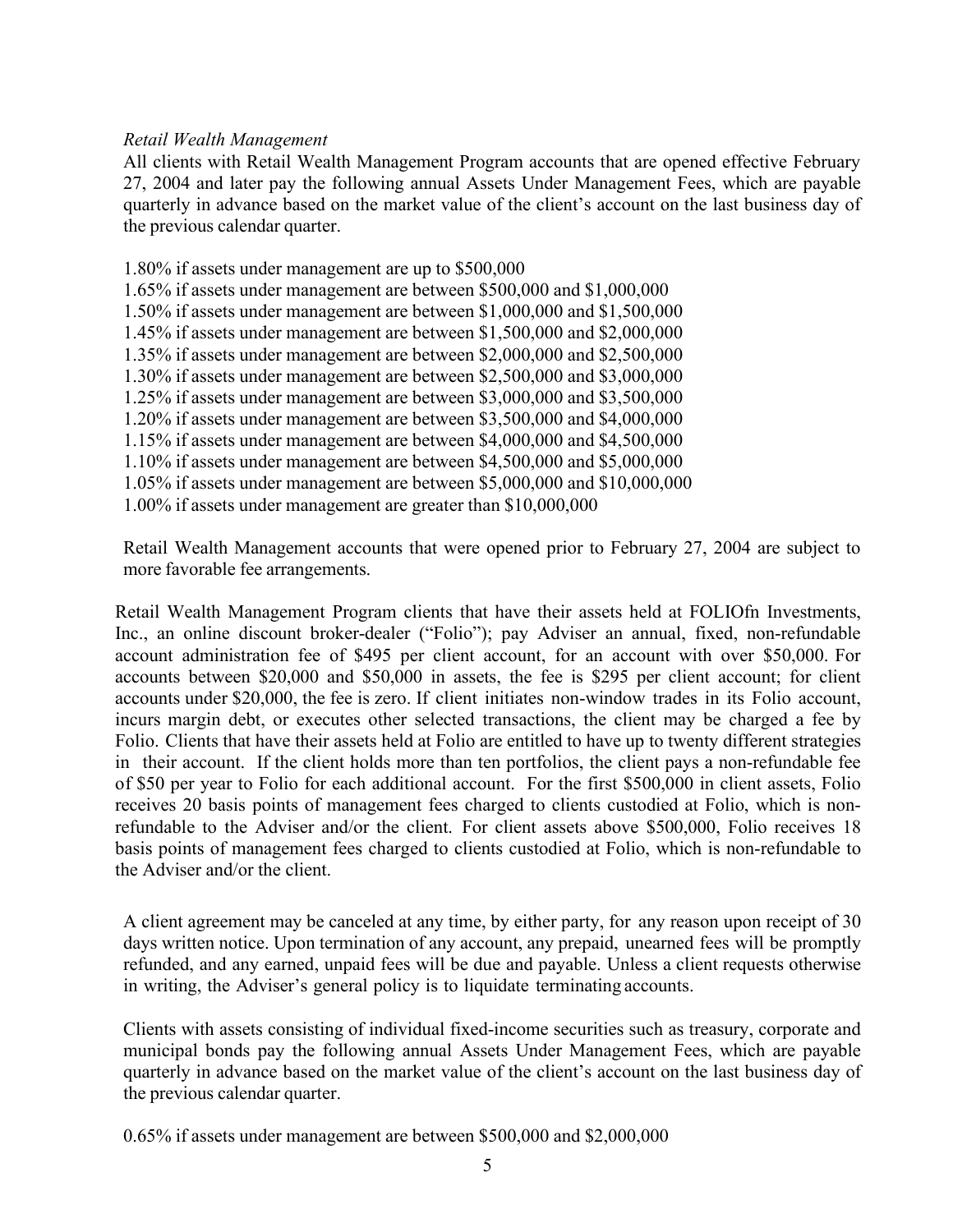### *Retail Wealth Management*

All clients with Retail Wealth Management Program accounts that are opened effective February 27, 2004 and later pay the following annual Assets Under Management Fees, which are payable quarterly in advance based on the market value of the client's account on the last business day of the previous calendar quarter.

1.80% if assets under management are up to \$500,000 1.65% if assets under management are between \$500,000 and \$1,000,000 1.50% if assets under management are between \$1,000,000 and \$1,500,000 1.45% if assets under management are between \$1,500,000 and \$2,000,000 1.35% if assets under management are between \$2,000,000 and \$2,500,000 1.30% if assets under management are between \$2,500,000 and \$3,000,000 1.25% if assets under management are between \$3,000,000 and \$3,500,000 1.20% if assets under management are between \$3,500,000 and \$4,000,000 1.15% if assets under management are between \$4,000,000 and \$4,500,000 1.10% if assets under management are between \$4,500,000 and \$5,000,000 1.05% if assets under management are between \$5,000,000 and \$10,000,000 1.00% if assets under management are greater than \$10,000,000

Retail Wealth Management accounts that were opened prior to February 27, 2004 are subject to more favorable fee arrangements.

Retail Wealth Management Program clients that have their assets held at FOLIOfn Investments, Inc., an online discount broker-dealer ("Folio"); pay Adviser an annual, fixed, non-refundable account administration fee of \$495 per client account, for an account with over \$50,000. For accounts between \$20,000 and \$50,000 in assets, the fee is \$295 per client account; for client accounts under \$20,000, the fee is zero. If client initiates non-window trades in its Folio account, incurs margin debt, or executes other selected transactions, the client may be charged a fee by Folio. Clients that have their assets held at Folio are entitled to have up to twenty different strategies in their account. If the client holds more than ten portfolios, the client pays a non-refundable fee of \$50 per year to Folio for each additional account. For the first \$500,000 in client assets, Folio receives 20 basis points of management fees charged to clients custodied at Folio, which is nonrefundable to the Adviser and/or the client. For client assets above \$500,000, Folio receives 18 basis points of management fees charged to clients custodied at Folio, which is non-refundable to the Adviser and/or the client.

A client agreement may be canceled at any time, by either party, for any reason upon receipt of 30 days written notice. Upon termination of any account, any prepaid, unearned fees will be promptly refunded, and any earned, unpaid fees will be due and payable. Unless a client requests otherwise in writing, the Adviser's general policy is to liquidate terminating accounts.

Clients with assets consisting of individual fixed-income securities such as treasury, corporate and municipal bonds pay the following annual Assets Under Management Fees, which are payable quarterly in advance based on the market value of the client's account on the last business day of the previous calendar quarter.

0.65% if assets under management are between \$500,000 and \$2,000,000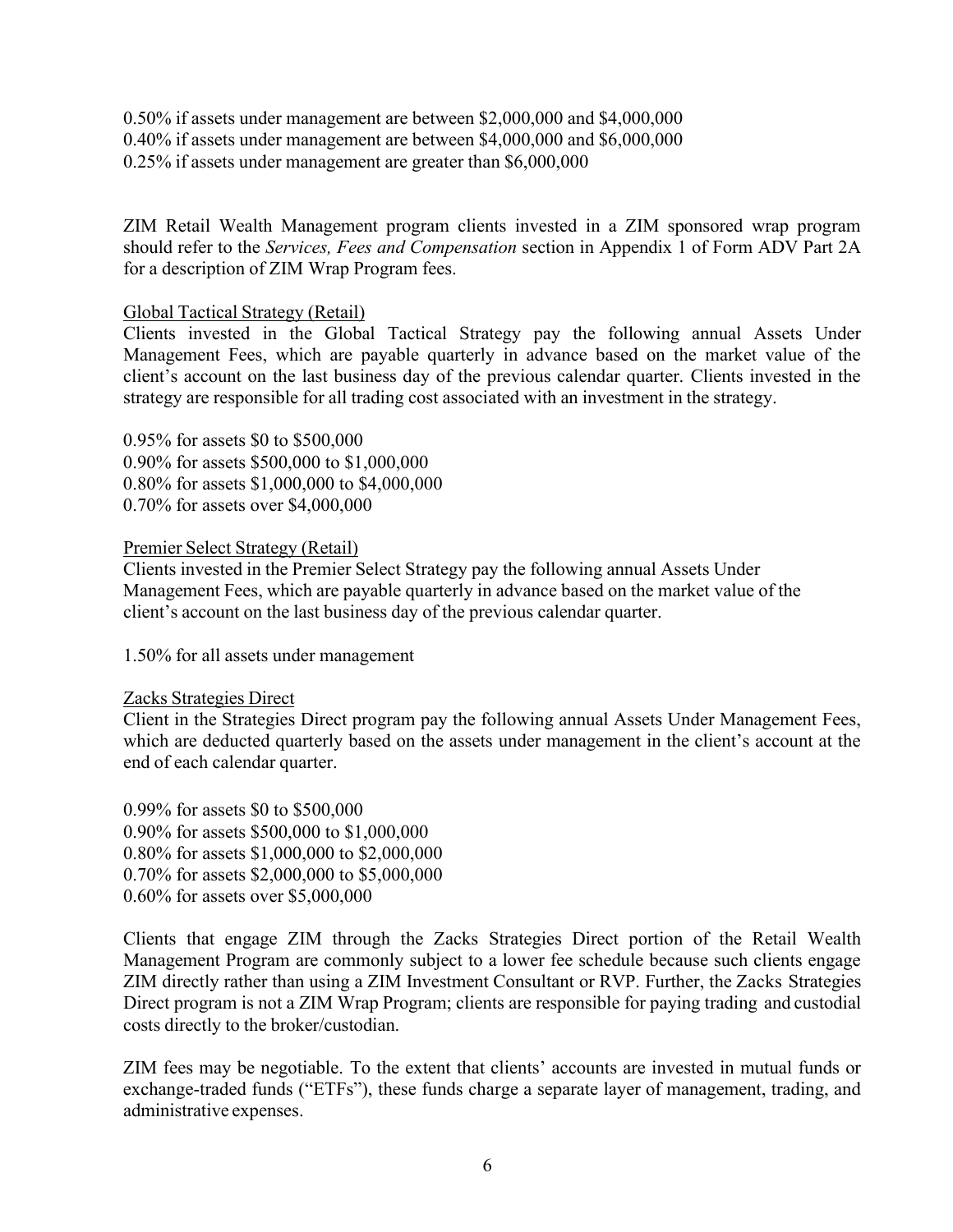0.50% if assets under management are between \$2,000,000 and \$4,000,000 0.40% if assets under management are between \$4,000,000 and \$6,000,000 0.25% if assets under management are greater than \$6,000,000

ZIM Retail Wealth Management program clients invested in a ZIM sponsored wrap program should refer to the *Services, Fees and Compensation* section in Appendix 1 of Form ADV Part 2A for a description of ZIM Wrap Program fees.

### Global Tactical Strategy (Retail)

Clients invested in the Global Tactical Strategy pay the following annual Assets Under Management Fees, which are payable quarterly in advance based on the market value of the client's account on the last business day of the previous calendar quarter. Clients invested in the strategy are responsible for all trading cost associated with an investment in the strategy.

0.95% for assets \$0 to \$500,000 0.90% for assets \$500,000 to \$1,000,000 0.80% for assets \$1,000,000 to \$4,000,000 0.70% for assets over \$4,000,000

#### Premier Select Strategy (Retail)

Clients invested in the Premier Select Strategy pay the following annual Assets Under Management Fees, which are payable quarterly in advance based on the market value of the client's account on the last business day of the previous calendar quarter.

1.50% for all assets under management

#### Zacks Strategies Direct

Client in the Strategies Direct program pay the following annual Assets Under Management Fees, which are deducted quarterly based on the assets under management in the client's account at the end of each calendar quarter.

0.99% for assets \$0 to \$500,000 0.90% for assets \$500,000 to \$1,000,000 0.80% for assets \$1,000,000 to \$2,000,000 0.70% for assets \$2,000,000 to \$5,000,000 0.60% for assets over \$5,000,000

Clients that engage ZIM through the Zacks Strategies Direct portion of the Retail Wealth Management Program are commonly subject to a lower fee schedule because such clients engage ZIM directly rather than using a ZIM Investment Consultant or RVP. Further, the Zacks Strategies Direct program is not a ZIM Wrap Program; clients are responsible for paying trading and custodial costs directly to the broker/custodian.

ZIM fees may be negotiable. To the extent that clients' accounts are invested in mutual funds or exchange-traded funds ("ETFs"), these funds charge a separate layer of management, trading, and administrative expenses.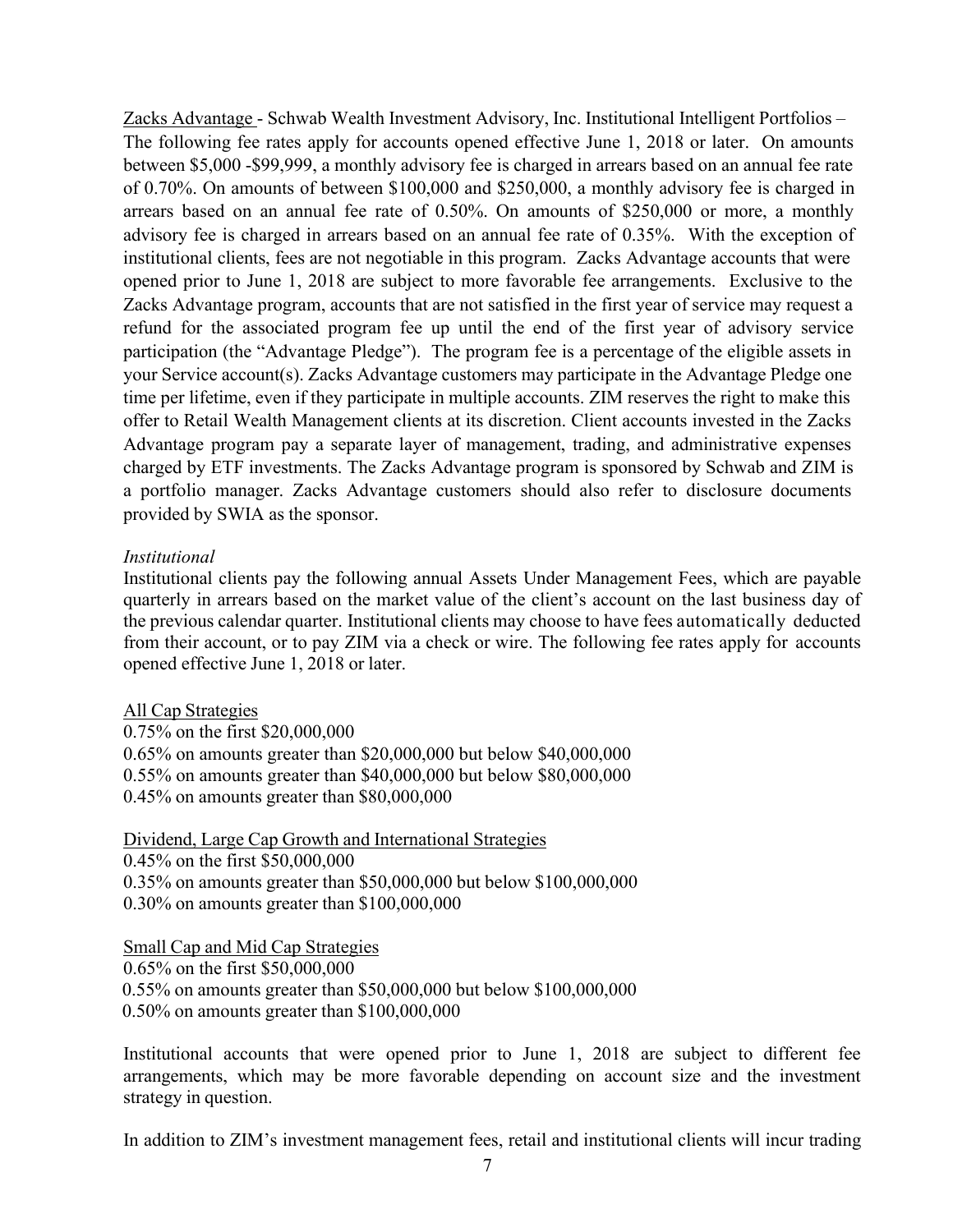Zacks Advantage - Schwab Wealth Investment Advisory, Inc. Institutional Intelligent Portfolios – The following fee rates apply for accounts opened effective June 1, 2018 or later. On amounts between \$5,000 -\$99,999, a monthly advisory fee is charged in arrears based on an annual fee rate of 0.70%. On amounts of between \$100,000 and \$250,000, a monthly advisory fee is charged in arrears based on an annual fee rate of 0.50%. On amounts of \$250,000 or more, a monthly advisory fee is charged in arrears based on an annual fee rate of 0.35%. With the exception of institutional clients, fees are not negotiable in this program. Zacks Advantage accounts that were opened prior to June 1, 2018 are subject to more favorable fee arrangements. Exclusive to the Zacks Advantage program, accounts that are not satisfied in the first year of service may request a refund for the associated program fee up until the end of the first year of advisory service participation (the "Advantage Pledge"). The program fee is a percentage of the eligible assets in your Service account(s). Zacks Advantage customers may participate in the Advantage Pledge one time per lifetime, even if they participate in multiple accounts. ZIM reserves the right to make this offer to Retail Wealth Management clients at its discretion. Client accounts invested in the Zacks Advantage program pay a separate layer of management, trading, and administrative expenses charged by ETF investments. The Zacks Advantage program is sponsored by Schwab and ZIM is a portfolio manager. Zacks Advantage customers should also refer to disclosure documents provided by SWIA as the sponsor.

#### *Institutional*

Institutional clients pay the following annual Assets Under Management Fees, which are payable quarterly in arrears based on the market value of the client's account on the last business day of the previous calendar quarter. Institutional clients may choose to have fees automatically deducted from their account, or to pay ZIM via a check or wire. The following fee rates apply for accounts opened effective June 1, 2018 or later.

### All Cap Strategies

0.75% on the first \$20,000,000 0.65% on amounts greater than \$20,000,000 but below \$40,000,000 0.55% on amounts greater than \$40,000,000 but below \$80,000,000 0.45% on amounts greater than \$80,000,000

#### Dividend, Large Cap Growth and International Strategies

0.45% on the first \$50,000,000 0.35% on amounts greater than \$50,000,000 but below \$100,000,000 0.30% on amounts greater than \$100,000,000

Small Cap and Mid Cap Strategies 0.65% on the first \$50,000,000 0.55% on amounts greater than \$50,000,000 but below \$100,000,000 0.50% on amounts greater than \$100,000,000

Institutional accounts that were opened prior to June 1, 2018 are subject to different fee arrangements, which may be more favorable depending on account size and the investment strategy in question.

In addition to ZIM's investment management fees, retail and institutional clients will incur trading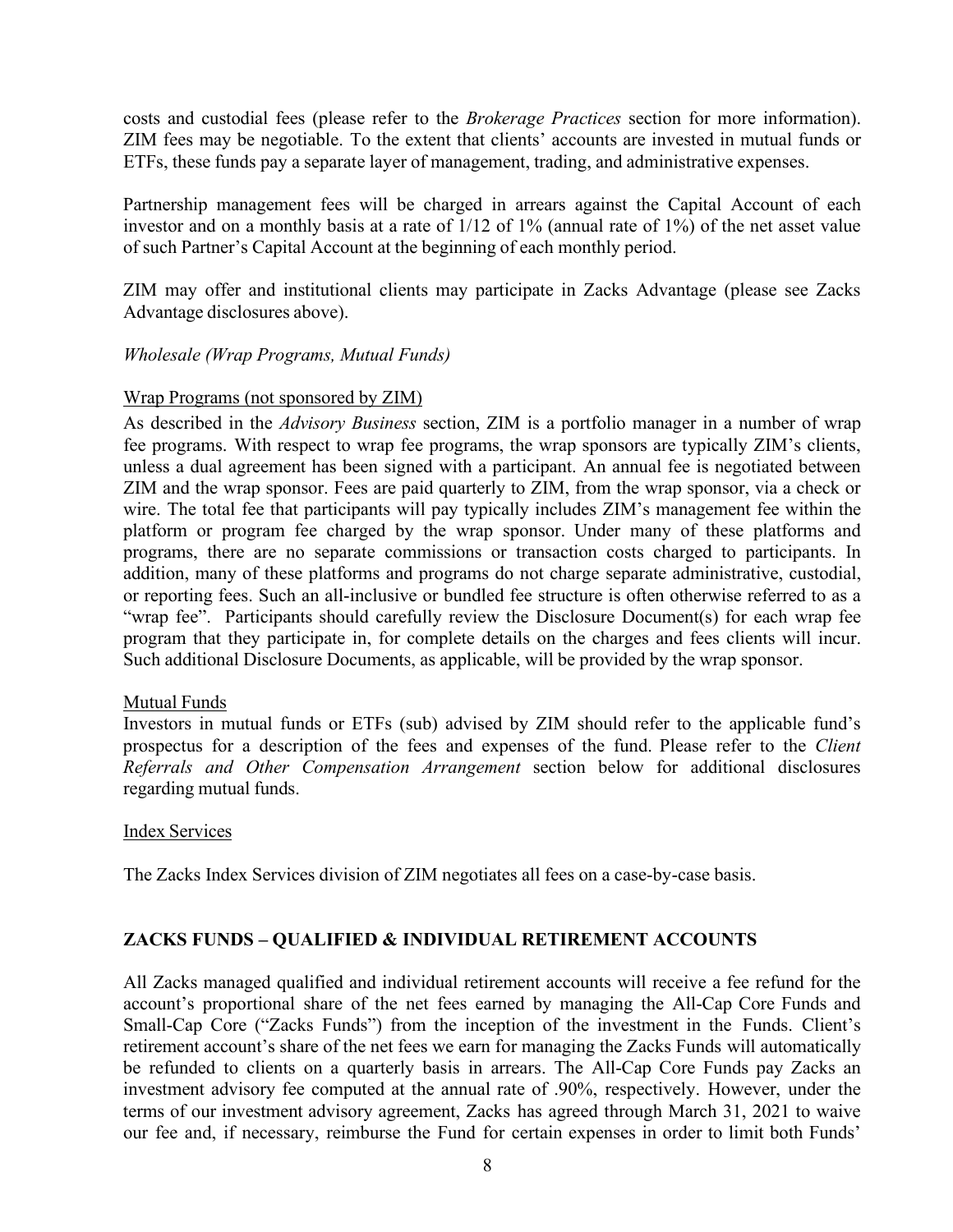costs and custodial fees (please refer to the *Brokerage Practices* section for more information). ZIM fees may be negotiable. To the extent that clients' accounts are invested in mutual funds or ETFs, these funds pay a separate layer of management, trading, and administrative expenses.

Partnership management fees will be charged in arrears against the Capital Account of each investor and on a monthly basis at a rate of 1/12 of 1% (annual rate of 1%) of the net asset value of such Partner's Capital Account at the beginning of each monthly period.

ZIM may offer and institutional clients may participate in Zacks Advantage (please see Zacks Advantage disclosures above).

### *Wholesale (Wrap Programs, Mutual Funds)*

### Wrap Programs (not sponsored by ZIM)

As described in the *Advisory Business* section, ZIM is a portfolio manager in a number of wrap fee programs. With respect to wrap fee programs, the wrap sponsors are typically ZIM's clients, unless a dual agreement has been signed with a participant. An annual fee is negotiated between ZIM and the wrap sponsor. Fees are paid quarterly to ZIM, from the wrap sponsor, via a check or wire. The total fee that participants will pay typically includes ZIM's management fee within the platform or program fee charged by the wrap sponsor. Under many of these platforms and programs, there are no separate commissions or transaction costs charged to participants. In addition, many of these platforms and programs do not charge separate administrative, custodial, or reporting fees. Such an all-inclusive or bundled fee structure is often otherwise referred to as a "wrap fee". Participants should carefully review the Disclosure Document(s) for each wrap fee program that they participate in, for complete details on the charges and fees clients will incur. Such additional Disclosure Documents, as applicable, will be provided by the wrap sponsor.

### Mutual Funds

Investors in mutual funds or ETFs (sub) advised by ZIM should refer to the applicable fund's prospectus for a description of the fees and expenses of the fund. Please refer to the *Client Referrals and Other Compensation Arrangement* section below for additional disclosures regarding mutual funds.

### Index Services

The Zacks Index Services division of ZIM negotiates all fees on a case-by-case basis.

# **ZACKS FUNDS – QUALIFIED & INDIVIDUAL RETIREMENT ACCOUNTS**

All Zacks managed qualified and individual retirement accounts will receive a fee refund for the account's proportional share of the net fees earned by managing the All-Cap Core Funds and Small-Cap Core ("Zacks Funds") from the inception of the investment in the Funds. Client's retirement account's share of the net fees we earn for managing the Zacks Funds will automatically be refunded to clients on a quarterly basis in arrears. The All-Cap Core Funds pay Zacks an investment advisory fee computed at the annual rate of .90%, respectively. However, under the terms of our investment advisory agreement, Zacks has agreed through March 31, 2021 to waive our fee and, if necessary, reimburse the Fund for certain expenses in order to limit both Funds'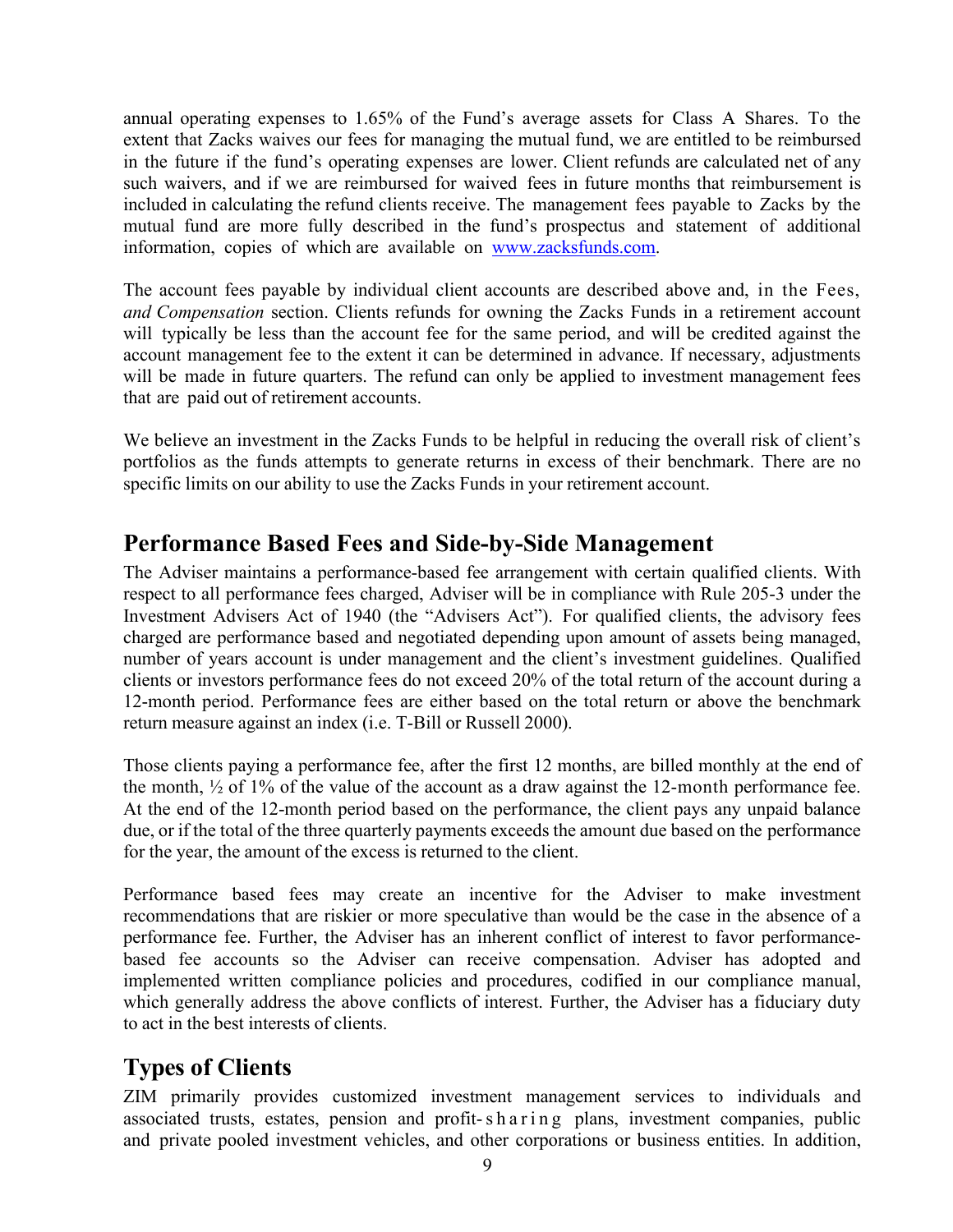annual operating expenses to 1.65% of the Fund's average assets for Class A Shares. To the extent that Zacks waives our fees for managing the mutual fund, we are entitled to be reimbursed in the future if the fund's operating expenses are lower. Client refunds are calculated net of any such waivers, and if we are reimbursed for waived fees in future months that reimbursement is included in calculating the refund clients receive. The management fees payable to Zacks by the mutual fund are more fully described in the fund's prospectus and statement of additional information, copies of which are available on [www.zacksfunds.com.](http://www.zacksfunds.com/)

The account fees payable by individual client accounts are described above and, in the Fees, *and Compensation* section. Clients refunds for owning the Zacks Funds in a retirement account will typically be less than the account fee for the same period, and will be credited against the account management fee to the extent it can be determined in advance. If necessary, adjustments will be made in future quarters. The refund can only be applied to investment management fees that are paid out of retirement accounts.

We believe an investment in the Zacks Funds to be helpful in reducing the overall risk of client's portfolios as the funds attempts to generate returns in excess of their benchmark. There are no specific limits on our ability to use the Zacks Funds in your retirement account.

# <span id="page-8-0"></span>**Performance Based Fees and Side-by-Side Management**

The Adviser maintains a performance-based fee arrangement with certain qualified clients. With respect to all performance fees charged, Adviser will be in compliance with Rule 205-3 under the Investment Advisers Act of 1940 (the "Advisers Act"). For qualified clients, the advisory fees charged are performance based and negotiated depending upon amount of assets being managed, number of years account is under management and the client's investment guidelines. Qualified clients or investors performance fees do not exceed 20% of the total return of the account during a 12-month period. Performance fees are either based on the total return or above the benchmark return measure against an index (i.e. T-Bill or Russell 2000).

Those clients paying a performance fee, after the first 12 months, are billed monthly at the end of the month,  $\frac{1}{2}$  of 1% of the value of the account as a draw against the 12-month performance fee. At the end of the 12-month period based on the performance, the client pays any unpaid balance due, or if the total of the three quarterly payments exceeds the amount due based on the performance for the year, the amount of the excess is returned to the client.

Performance based fees may create an incentive for the Adviser to make investment recommendations that are riskier or more speculative than would be the case in the absence of a performance fee. Further, the Adviser has an inherent conflict of interest to favor performancebased fee accounts so the Adviser can receive compensation. Adviser has adopted and implemented written compliance policies and procedures, codified in our compliance manual, which generally address the above conflicts of interest. Further, the Adviser has a fiduciary duty to act in the best interests of clients.

# <span id="page-8-1"></span>**Types of Clients**

ZIM primarily provides customized investment management services to individuals and associated trusts, estates, pension and profit-sharing plans, investment companies, public and private pooled investment vehicles, and other corporations or business entities. In addition,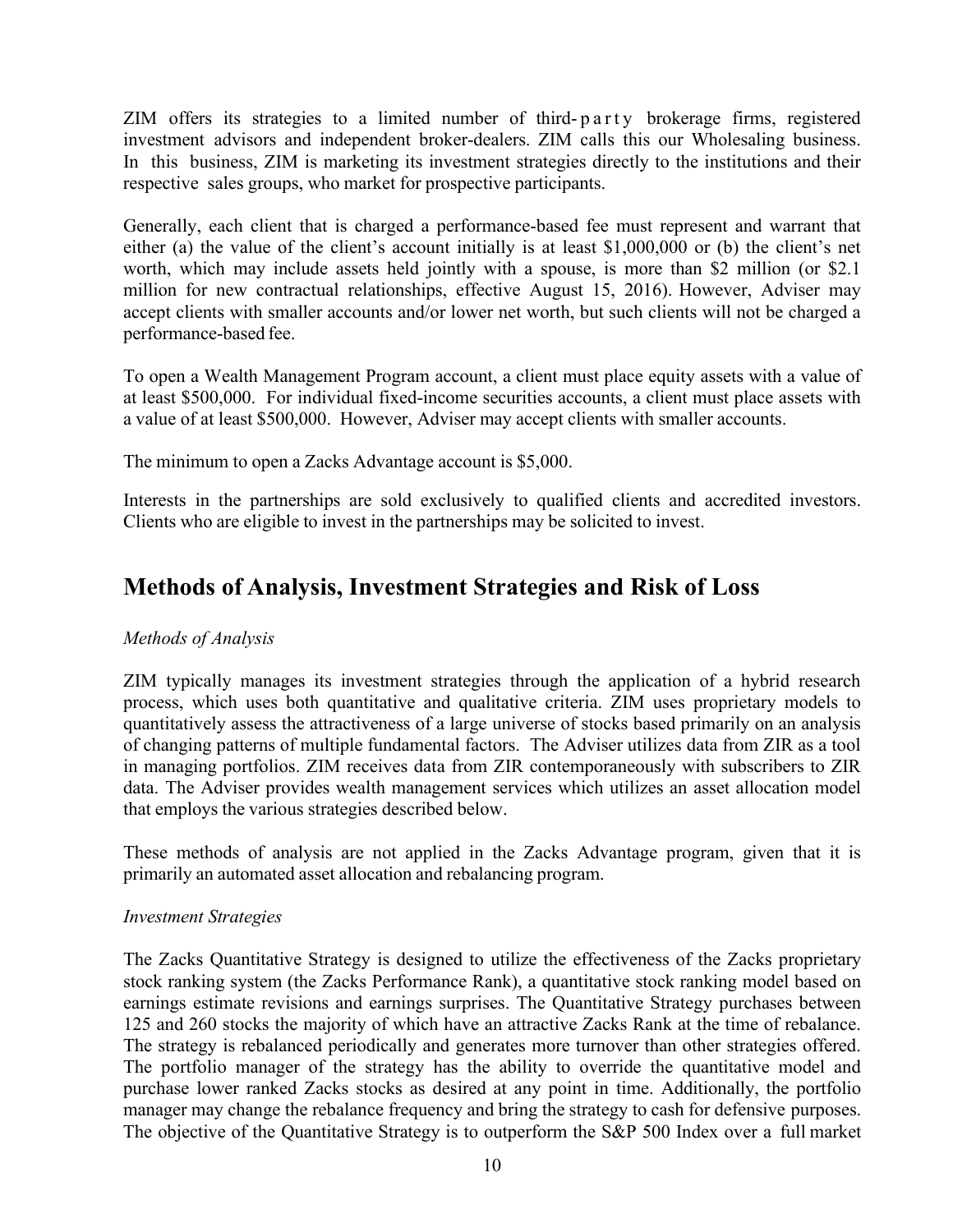ZIM offers its strategies to a limited number of third- party brokerage firms, registered investment advisors and independent broker-dealers. ZIM calls this our Wholesaling business. In this business, ZIM is marketing its investment strategies directly to the institutions and their respective sales groups, who market for prospective participants.

Generally, each client that is charged a performance-based fee must represent and warrant that either (a) the value of the client's account initially is at least \$1,000,000 or (b) the client's net worth, which may include assets held jointly with a spouse, is more than \$2 million (or \$2.1 million for new contractual relationships, effective August 15, 2016). However, Adviser may accept clients with smaller accounts and/or lower net worth, but such clients will not be charged a performance-based fee.

To open a Wealth Management Program account, a client must place equity assets with a value of at least \$500,000. For individual fixed-income securities accounts, a client must place assets with a value of at least \$500,000. However, Adviser may accept clients with smaller accounts.

The minimum to open a Zacks Advantage account is \$5,000.

Interests in the partnerships are sold exclusively to qualified clients and accredited investors. Clients who are eligible to invest in the partnerships may be solicited to invest.

# <span id="page-9-0"></span>**Methods of Analysis, Investment Strategies and Risk of Loss**

# *Methods of Analysis*

ZIM typically manages its investment strategies through the application of a hybrid research process, which uses both quantitative and qualitative criteria. ZIM uses proprietary models to quantitatively assess the attractiveness of a large universe of stocks based primarily on an analysis of changing patterns of multiple fundamental factors. The Adviser utilizes data from ZIR as a tool in managing portfolios. ZIM receives data from ZIR contemporaneously with subscribers to ZIR data. The Adviser provides wealth management services which utilizes an asset allocation model that employs the various strategies described below.

These methods of analysis are not applied in the Zacks Advantage program, given that it is primarily an automated asset allocation and rebalancing program.

### *Investment Strategies*

The Zacks Quantitative Strategy is designed to utilize the effectiveness of the Zacks proprietary stock ranking system (the Zacks Performance Rank), a quantitative stock ranking model based on earnings estimate revisions and earnings surprises. The Quantitative Strategy purchases between 125 and 260 stocks the majority of which have an attractive Zacks Rank at the time of rebalance. The strategy is rebalanced periodically and generates more turnover than other strategies offered. The portfolio manager of the strategy has the ability to override the quantitative model and purchase lower ranked Zacks stocks as desired at any point in time. Additionally, the portfolio manager may change the rebalance frequency and bring the strategy to cash for defensive purposes. The objective of the Quantitative Strategy is to outperform the S&P 500 Index over a full market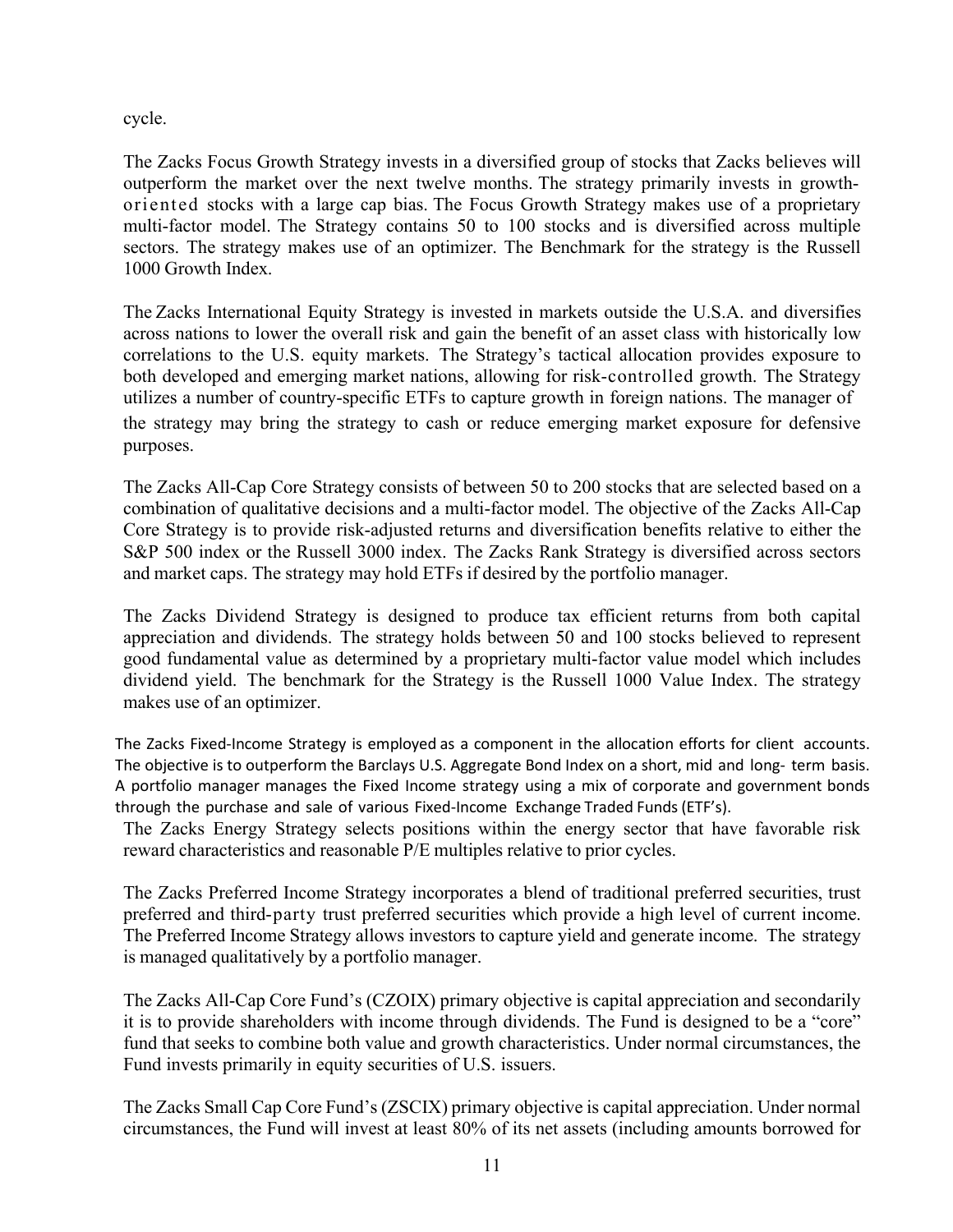cycle.

The Zacks Focus Growth Strategy invests in a diversified group of stocks that Zacks believes will outperform the market over the next twelve months. The strategy primarily invests in growthoriented stocks with a large cap bias. The Focus Growth Strategy makes use of a proprietary multi-factor model. The Strategy contains 50 to 100 stocks and is diversified across multiple sectors. The strategy makes use of an optimizer. The Benchmark for the strategy is the Russell 1000 Growth Index.

The Zacks International Equity Strategy is invested in markets outside the U.S.A. and diversifies across nations to lower the overall risk and gain the benefit of an asset class with historically low correlations to the U.S. equity markets. The Strategy's tactical allocation provides exposure to both developed and emerging market nations, allowing for risk-controlled growth. The Strategy utilizes a number of country-specific ETFs to capture growth in foreign nations. The manager of the strategy may bring the strategy to cash or reduce emerging market exposure for defensive purposes.

The Zacks All-Cap Core Strategy consists of between 50 to 200 stocks that are selected based on a combination of qualitative decisions and a multi-factor model. The objective of the Zacks All-Cap Core Strategy is to provide risk-adjusted returns and diversification benefits relative to either the S&P 500 index or the Russell 3000 index. The Zacks Rank Strategy is diversified across sectors and market caps. The strategy may hold ETFs if desired by the portfolio manager.

The Zacks Dividend Strategy is designed to produce tax efficient returns from both capital appreciation and dividends. The strategy holds between 50 and 100 stocks believed to represent good fundamental value as determined by a proprietary multi-factor value model which includes dividend yield. The benchmark for the Strategy is the Russell 1000 Value Index. The strategy makes use of an optimizer.

The Zacks Fixed-Income Strategy is employed as a component in the allocation efforts for client accounts. The objective is to outperform the Barclays U.S. Aggregate Bond Index on a short, mid and long- term basis. A portfolio manager manages the Fixed Income strategy using a mix of corporate and government bonds through the purchase and sale of various Fixed-Income Exchange Traded Funds (ETF's).

The Zacks Energy Strategy selects positions within the energy sector that have favorable risk reward characteristics and reasonable P/E multiples relative to prior cycles.

The Zacks Preferred Income Strategy incorporates a blend of traditional preferred securities, trust preferred and third-party trust preferred securities which provide a high level of current income. The Preferred Income Strategy allows investors to capture yield and generate income. The strategy is managed qualitatively by a portfolio manager.

The Zacks All-Cap Core Fund's (CZOIX) primary objective is capital appreciation and secondarily it is to provide shareholders with income through dividends. The Fund is designed to be a "core" fund that seeks to combine both value and growth characteristics. Under normal circumstances, the Fund invests primarily in equity securities of U.S. issuers.

The Zacks Small Cap Core Fund's (ZSCIX) primary objective is capital appreciation. Under normal circumstances, the Fund will invest at least 80% of its net assets (including amounts borrowed for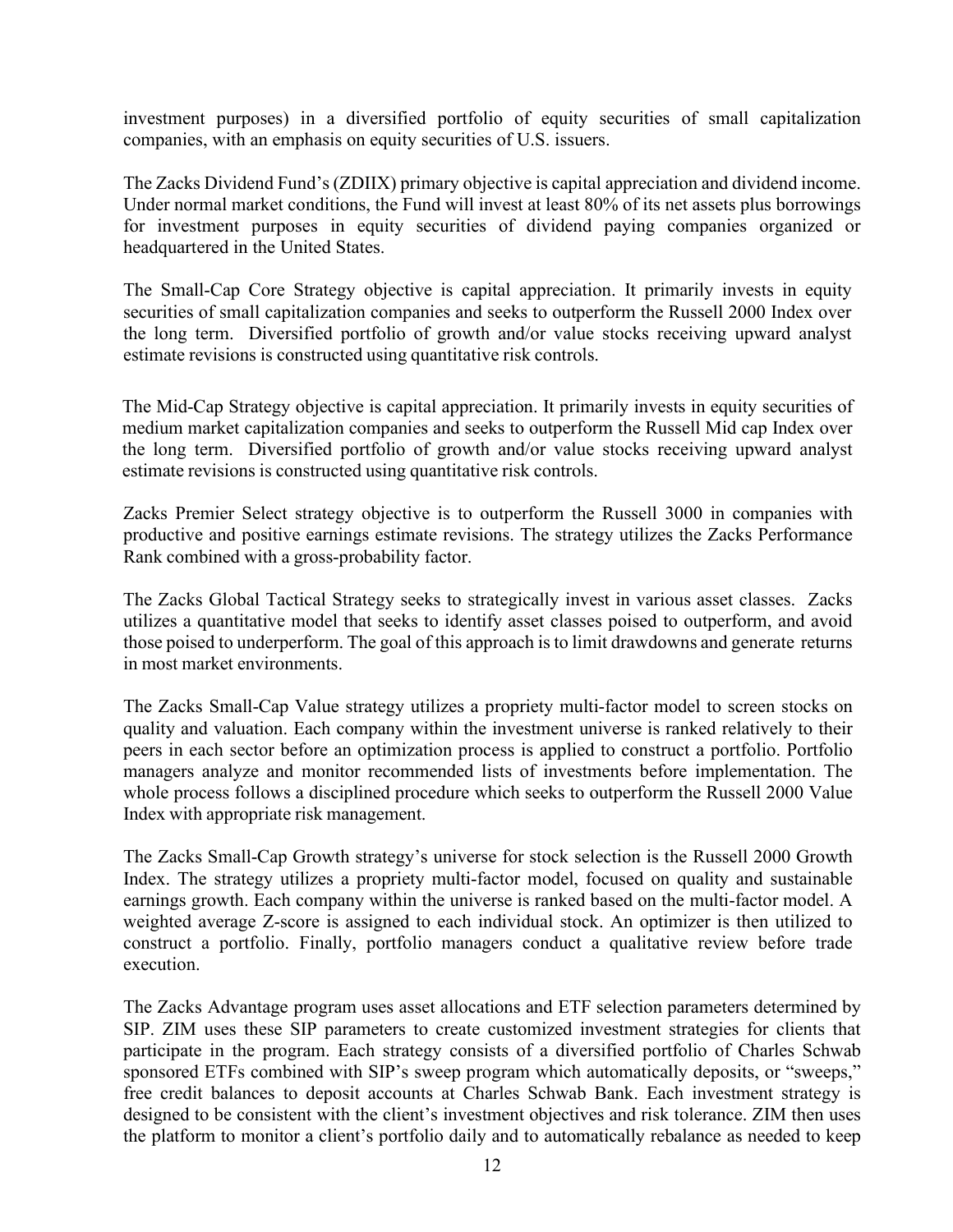investment purposes) in a diversified portfolio of equity securities of small capitalization companies, with an emphasis on equity securities of U.S. issuers.

The Zacks Dividend Fund's (ZDIIX) primary objective is capital appreciation and dividend income. Under normal market conditions, the Fund will invest at least 80% of its net assets plus borrowings for investment purposes in equity securities of dividend paying companies organized or headquartered in the United States.

The Small-Cap Core Strategy objective is capital appreciation. It primarily invests in equity securities of small capitalization companies and seeks to outperform the Russell 2000 Index over the long term. Diversified portfolio of growth and/or value stocks receiving upward analyst estimate revisions is constructed using quantitative risk controls.

The Mid-Cap Strategy objective is capital appreciation. It primarily invests in equity securities of medium market capitalization companies and seeks to outperform the Russell Mid cap Index over the long term. Diversified portfolio of growth and/or value stocks receiving upward analyst estimate revisions is constructed using quantitative risk controls.

Zacks Premier Select strategy objective is to outperform the Russell 3000 in companies with productive and positive earnings estimate revisions. The strategy utilizes the Zacks Performance Rank combined with a gross-probability factor.

The Zacks Global Tactical Strategy seeks to strategically invest in various asset classes. Zacks utilizes a quantitative model that seeks to identify asset classes poised to outperform, and avoid those poised to underperform. The goal of this approach isto limit drawdowns and generate returns in most market environments.

The Zacks Small-Cap Value strategy utilizes a propriety multi-factor model to screen stocks on quality and valuation. Each company within the investment universe is ranked relatively to their peers in each sector before an optimization process is applied to construct a portfolio. Portfolio managers analyze and monitor recommended lists of investments before implementation. The whole process follows a disciplined procedure which seeks to outperform the Russell 2000 Value Index with appropriate risk management.

The Zacks Small-Cap Growth strategy's universe for stock selection is the Russell 2000 Growth Index. The strategy utilizes a propriety multi-factor model, focused on quality and sustainable earnings growth. Each company within the universe is ranked based on the multi-factor model. A weighted average Z-score is assigned to each individual stock. An optimizer is then utilized to construct a portfolio. Finally, portfolio managers conduct a qualitative review before trade execution.

The Zacks Advantage program uses asset allocations and ETF selection parameters determined by SIP. ZIM uses these SIP parameters to create customized investment strategies for clients that participate in the program. Each strategy consists of a diversified portfolio of Charles Schwab sponsored ETFs combined with SIP's sweep program which automatically deposits, or "sweeps," free credit balances to deposit accounts at Charles Schwab Bank. Each investment strategy is designed to be consistent with the client's investment objectives and risk tolerance. ZIM then uses the platform to monitor a client's portfolio daily and to automatically rebalance as needed to keep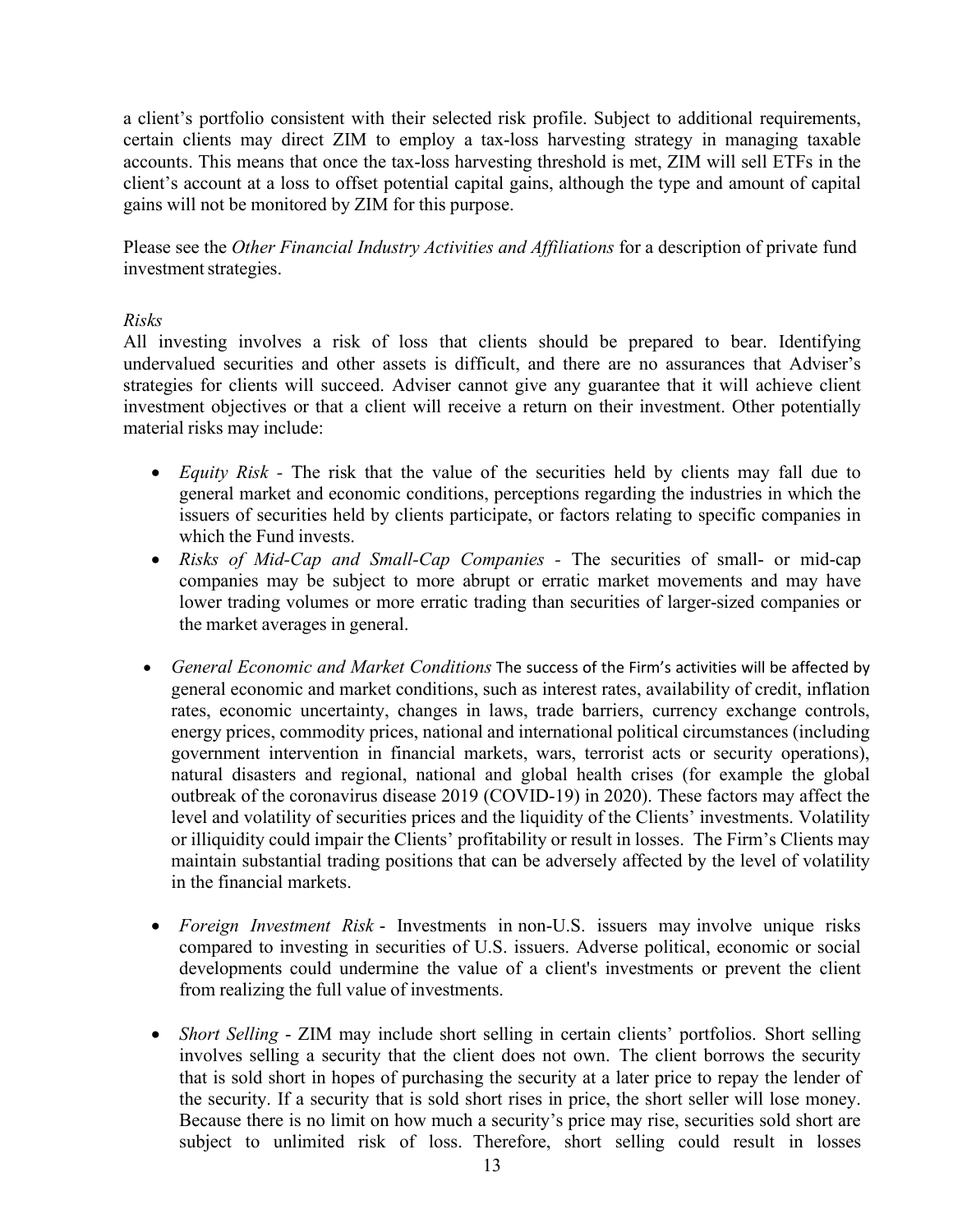a client's portfolio consistent with their selected risk profile. Subject to additional requirements, certain clients may direct ZIM to employ a tax-loss harvesting strategy in managing taxable accounts. This means that once the tax-loss harvesting threshold is met, ZIM will sell ETFs in the client's account at a loss to offset potential capital gains, although the type and amount of capital gains will not be monitored by ZIM for this purpose.

Please see the *Other Financial Industry Activities and Affiliations* for a description of private fund investment strategies.

# *Risks*

All investing involves a risk of loss that clients should be prepared to bear. Identifying undervalued securities and other assets is difficult, and there are no assurances that Adviser's strategies for clients will succeed. Adviser cannot give any guarantee that it will achieve client investment objectives or that a client will receive a return on their investment. Other potentially material risks may include:

- *Equity Risk -* The risk that the value of the securities held by clients may fall due to general market and economic conditions, perceptions regarding the industries in which the issuers of securities held by clients participate, or factors relating to specific companies in which the Fund invests.
- *Risks of Mid-Cap and Small-Cap Companies -* The securities of small- or mid-cap companies may be subject to more abrupt or erratic market movements and may have lower trading volumes or more erratic trading than securities of larger-sized companies or the market averages in general.
- *General Economic and Market Conditions* The success of the Firm's activities will be affected by general economic and market conditions, such as interest rates, availability of credit, inflation rates, economic uncertainty, changes in laws, trade barriers, currency exchange controls, energy prices, commodity prices, national and international political circumstances (including government intervention in financial markets, wars, terrorist acts or security operations), natural disasters and regional, national and global health crises (for example the global outbreak of the coronavirus disease 2019 (COVID-19) in 2020). These factors may affect the level and volatility of securities prices and the liquidity of the Clients' investments. Volatility or illiquidity could impair the Clients' profitability or result in losses. The Firm's Clients may maintain substantial trading positions that can be adversely affected by the level of volatility in the financial markets.
- *Foreign Investment Risk* Investments in non-U.S. issuers may involve unique risks compared to investing in securities of U.S. issuers. Adverse political, economic or social developments could undermine the value of a client's investments or prevent the client from realizing the full value of investments.
- *Short Selling* ZIM may include short selling in certain clients' portfolios. Short selling involves selling a security that the client does not own. The client borrows the security that is sold short in hopes of purchasing the security at a later price to repay the lender of the security. If a security that is sold short rises in price, the short seller will lose money. Because there is no limit on how much a security's price may rise, securities sold short are subject to unlimited risk of loss. Therefore, short selling could result in losses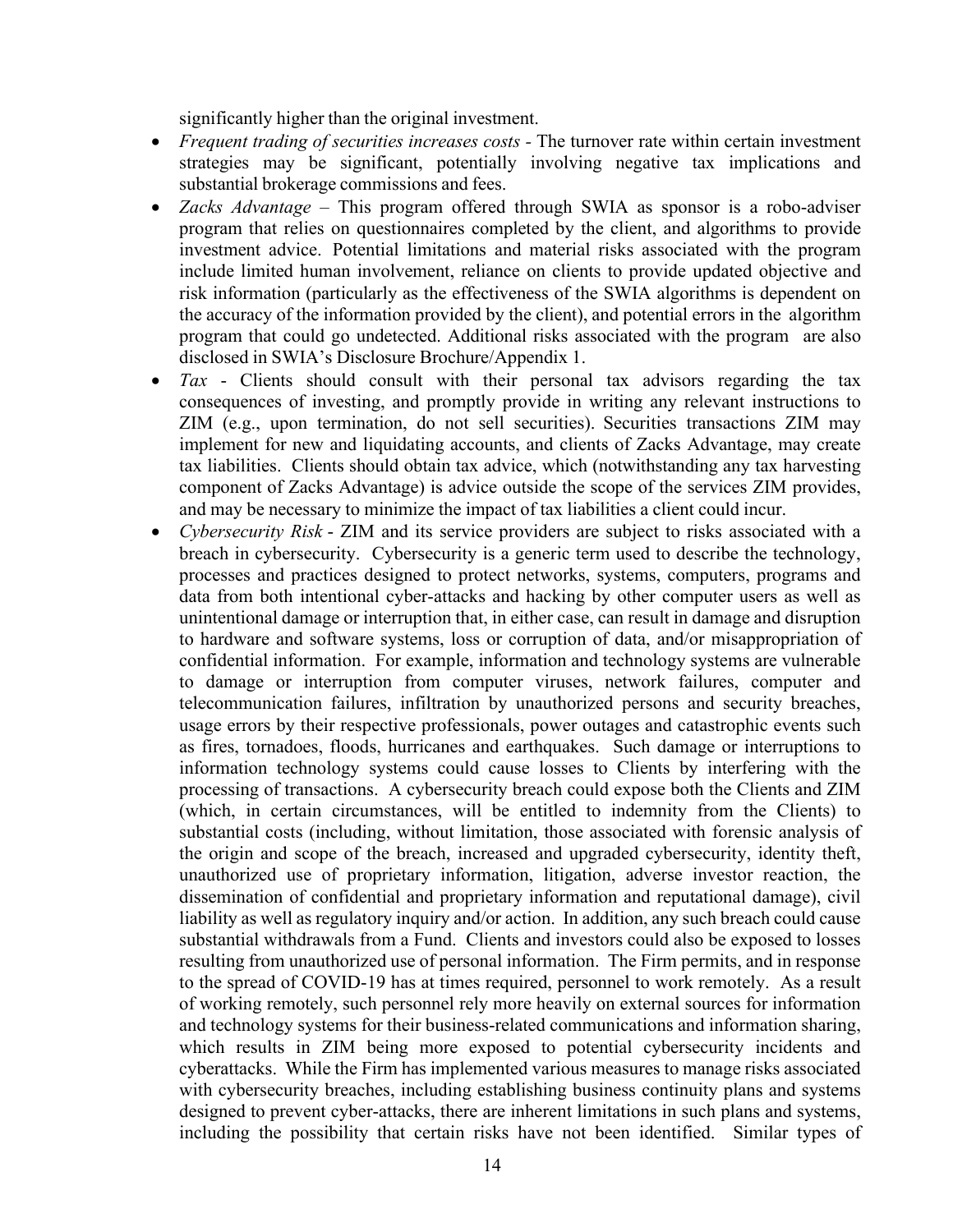significantly higher than the original investment.

- *Frequent trading of securities increases costs -* The turnover rate within certain investment strategies may be significant, potentially involving negative tax implications and substantial brokerage commissions and fees.
- *Zacks Advantage* This program offered through SWIA as sponsor is a robo-adviser program that relies on questionnaires completed by the client, and algorithms to provide investment advice. Potential limitations and material risks associated with the program include limited human involvement, reliance on clients to provide updated objective and risk information (particularly as the effectiveness of the SWIA algorithms is dependent on the accuracy of the information provided by the client), and potential errors in the algorithm program that could go undetected. Additional risks associated with the program are also disclosed in SWIA's Disclosure Brochure/Appendix 1.
- *Tax* Clients should consult with their personal tax advisors regarding the tax consequences of investing, and promptly provide in writing any relevant instructions to ZIM (e.g., upon termination, do not sell securities). Securities transactions ZIM may implement for new and liquidating accounts, and clients of Zacks Advantage, may create tax liabilities. Clients should obtain tax advice, which (notwithstanding any tax harvesting component of Zacks Advantage) is advice outside the scope of the services ZIM provides, and may be necessary to minimize the impact of tax liabilities a client could incur.
- *Cybersecurity Risk* ZIM and its service providers are subject to risks associated with a breach in cybersecurity. Cybersecurity is a generic term used to describe the technology, processes and practices designed to protect networks, systems, computers, programs and data from both intentional cyber-attacks and hacking by other computer users as well as unintentional damage or interruption that, in either case, can result in damage and disruption to hardware and software systems, loss or corruption of data, and/or misappropriation of confidential information. For example, information and technology systems are vulnerable to damage or interruption from computer viruses, network failures, computer and telecommunication failures, infiltration by unauthorized persons and security breaches, usage errors by their respective professionals, power outages and catastrophic events such as fires, tornadoes, floods, hurricanes and earthquakes. Such damage or interruptions to information technology systems could cause losses to Clients by interfering with the processing of transactions. A cybersecurity breach could expose both the Clients and ZIM (which, in certain circumstances, will be entitled to indemnity from the Clients) to substantial costs (including, without limitation, those associated with forensic analysis of the origin and scope of the breach, increased and upgraded cybersecurity, identity theft, unauthorized use of proprietary information, litigation, adverse investor reaction, the dissemination of confidential and proprietary information and reputational damage), civil liability as well as regulatory inquiry and/or action. In addition, any such breach could cause substantial withdrawals from a Fund. Clients and investors could also be exposed to losses resulting from unauthorized use of personal information. The Firm permits, and in response to the spread of COVID-19 has at times required, personnel to work remotely. As a result of working remotely, such personnel rely more heavily on external sources for information and technology systems for their business-related communications and information sharing, which results in ZIM being more exposed to potential cybersecurity incidents and cyberattacks. While the Firm has implemented various measures to manage risks associated with cybersecurity breaches, including establishing business continuity plans and systems designed to prevent cyber-attacks, there are inherent limitations in such plans and systems, including the possibility that certain risks have not been identified. Similar types of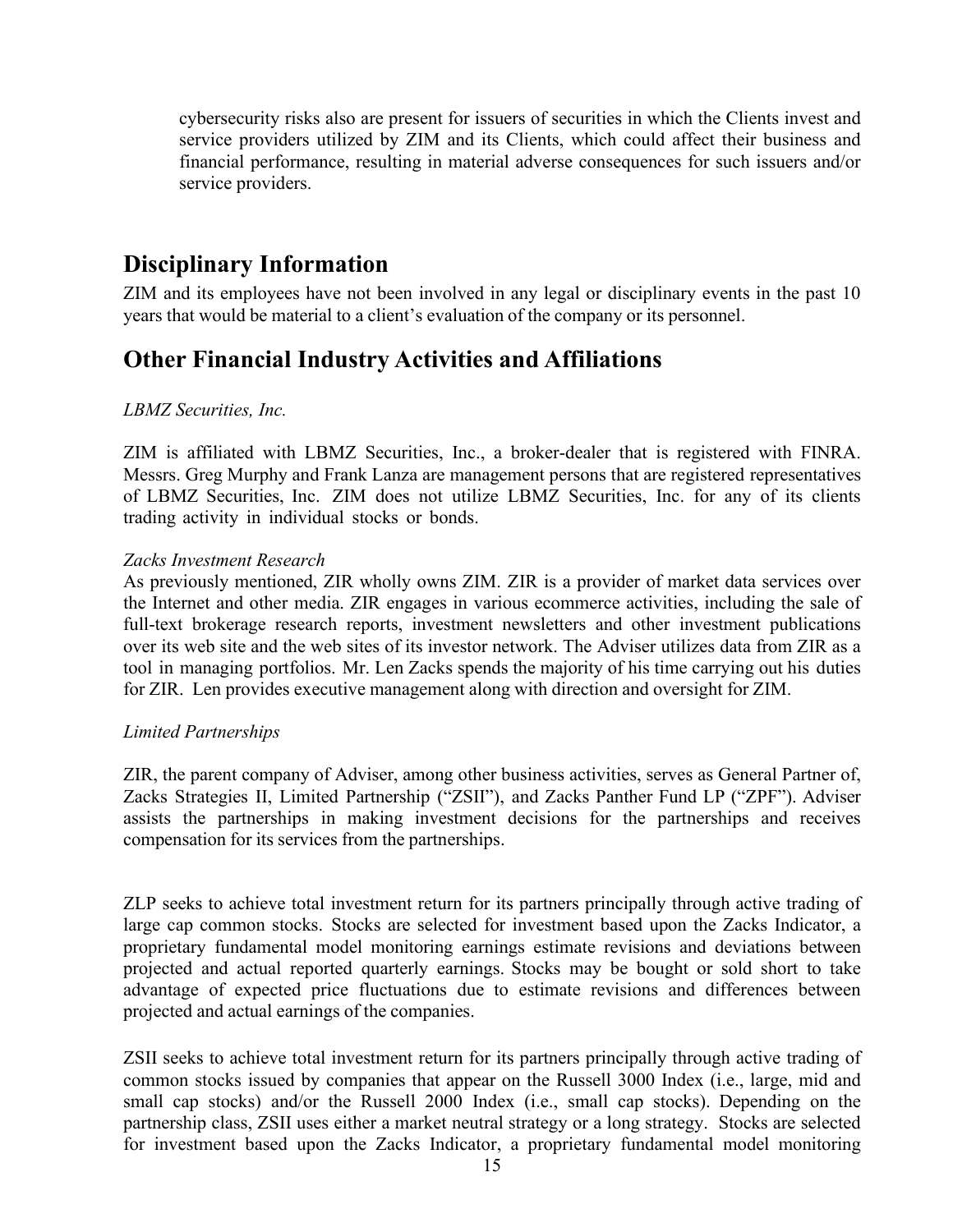cybersecurity risks also are present for issuers of securities in which the Clients invest and service providers utilized by ZIM and its Clients, which could affect their business and financial performance, resulting in material adverse consequences for such issuers and/or service providers.

# <span id="page-14-0"></span>**Disciplinary Information**

ZIM and its employees have not been involved in any legal or disciplinary events in the past 10 years that would be material to a client's evaluation of the company or its personnel.

# <span id="page-14-1"></span>**Other Financial Industry Activities and Affiliations**

# *LBMZ Securities, Inc.*

ZIM is affiliated with LBMZ Securities, Inc., a broker-dealer that is registered with FINRA. Messrs. Greg Murphy and Frank Lanza are management persons that are registered representatives of LBMZ Securities, Inc. ZIM does not utilize LBMZ Securities, Inc. for any of its clients trading activity in individual stocks or bonds.

# *Zacks Investment Research*

As previously mentioned, ZIR wholly owns ZIM. ZIR is a provider of market data services over the Internet and other media. ZIR engages in various ecommerce activities, including the sale of full-text brokerage research reports, investment newsletters and other investment publications over its web site and the web sites of its investor network. The Adviser utilizes data from ZIR as a tool in managing portfolios. Mr. Len Zacks spends the majority of his time carrying out his duties for ZIR. Len provides executive management along with direction and oversight for ZIM.

### *Limited Partnerships*

ZIR, the parent company of Adviser, among other business activities, serves as General Partner of, Zacks Strategies II, Limited Partnership ("ZSII"), and Zacks Panther Fund LP ("ZPF"). Adviser assists the partnerships in making investment decisions for the partnerships and receives compensation for its services from the partnerships.

ZLP seeks to achieve total investment return for its partners principally through active trading of large cap common stocks. Stocks are selected for investment based upon the Zacks Indicator, a proprietary fundamental model monitoring earnings estimate revisions and deviations between projected and actual reported quarterly earnings. Stocks may be bought or sold short to take advantage of expected price fluctuations due to estimate revisions and differences between projected and actual earnings of the companies.

ZSII seeks to achieve total investment return for its partners principally through active trading of common stocks issued by companies that appear on the Russell 3000 Index (i.e., large, mid and small cap stocks) and/or the Russell 2000 Index (i.e., small cap stocks). Depending on the partnership class, ZSII uses either a market neutral strategy or a long strategy. Stocks are selected for investment based upon the Zacks Indicator, a proprietary fundamental model monitoring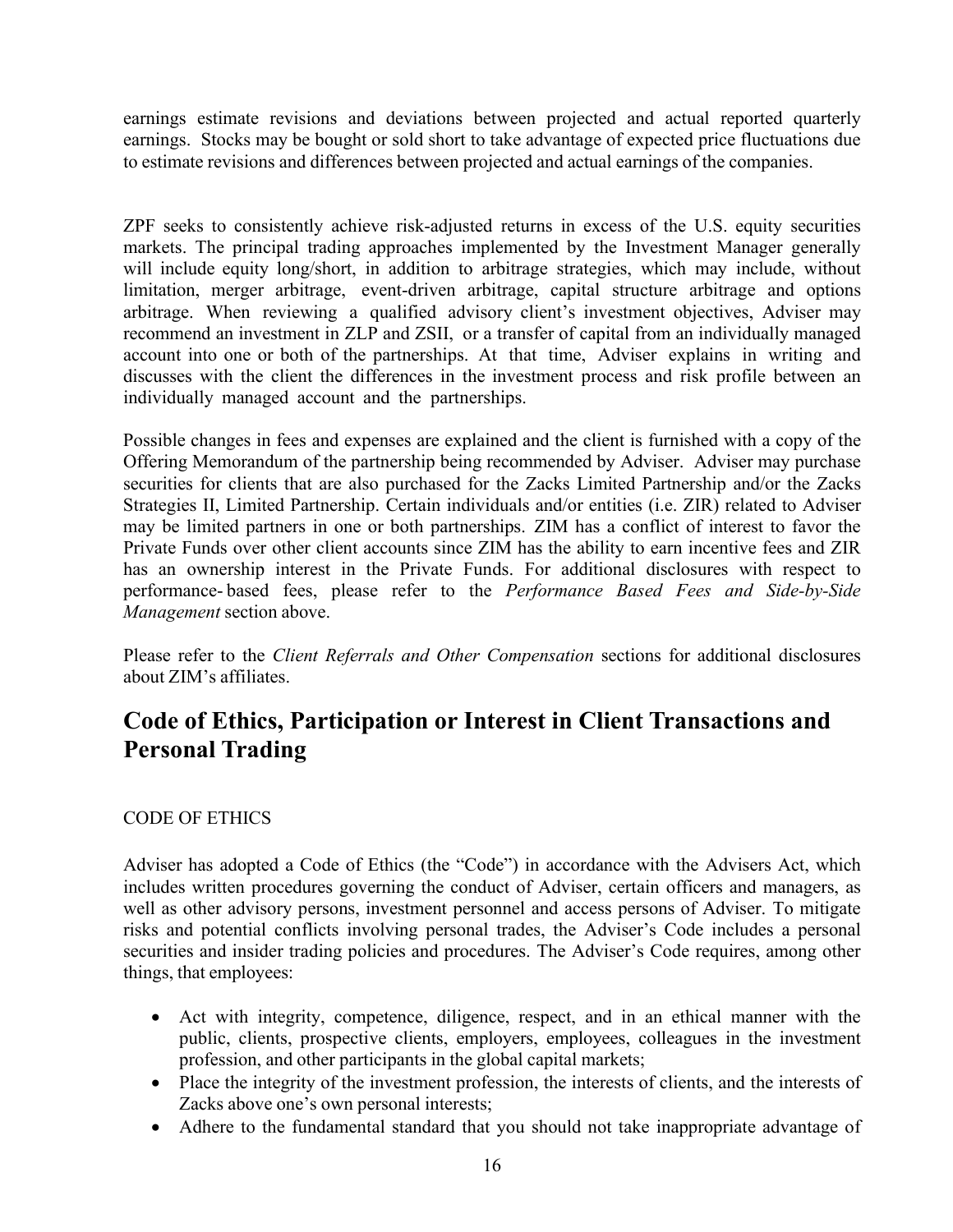earnings estimate revisions and deviations between projected and actual reported quarterly earnings. Stocks may be bought or sold short to take advantage of expected price fluctuations due to estimate revisions and differences between projected and actual earnings of the companies.

ZPF seeks to consistently achieve risk-adjusted returns in excess of the U.S. equity securities markets. The principal trading approaches implemented by the Investment Manager generally will include equity long/short, in addition to arbitrage strategies, which may include, without limitation, merger arbitrage, event-driven arbitrage, capital structure arbitrage and options arbitrage. When reviewing a qualified advisory client's investment objectives, Adviser may recommend an investment in ZLP and ZSII, or a transfer of capital from an individually managed account into one or both of the partnerships. At that time, Adviser explains in writing and discusses with the client the differences in the investment process and risk profile between an individually managed account and the partnerships.

Possible changes in fees and expenses are explained and the client is furnished with a copy of the Offering Memorandum of the partnership being recommended by Adviser. Adviser may purchase securities for clients that are also purchased for the Zacks Limited Partnership and/or the Zacks Strategies II, Limited Partnership. Certain individuals and/or entities (i.e. ZIR) related to Adviser may be limited partners in one or both partnerships. ZIM has a conflict of interest to favor the Private Funds over other client accounts since ZIM has the ability to earn incentive fees and ZIR has an ownership interest in the Private Funds. For additional disclosures with respect to performance- based fees, please refer to the *Performance Based Fees and Side-by-Side Management* section above.

Please refer to the *Client Referrals and Other Compensation* sections for additional disclosures about ZIM's affiliates.

# <span id="page-15-0"></span>**Code of Ethics, Participation or Interest in Client Transactions and Personal Trading**

# CODE OF ETHICS

Adviser has adopted a Code of Ethics (the "Code") in accordance with the Advisers Act, which includes written procedures governing the conduct of Adviser, certain officers and managers, as well as other advisory persons, investment personnel and access persons of Adviser. To mitigate risks and potential conflicts involving personal trades, the Adviser's Code includes a personal securities and insider trading policies and procedures. The Adviser's Code requires, among other things, that employees:

- Act with integrity, competence, diligence, respect, and in an ethical manner with the public, clients, prospective clients, employers, employees, colleagues in the investment profession, and other participants in the global capital markets;
- Place the integrity of the investment profession, the interests of clients, and the interests of Zacks above one's own personal interests;
- Adhere to the fundamental standard that you should not take inappropriate advantage of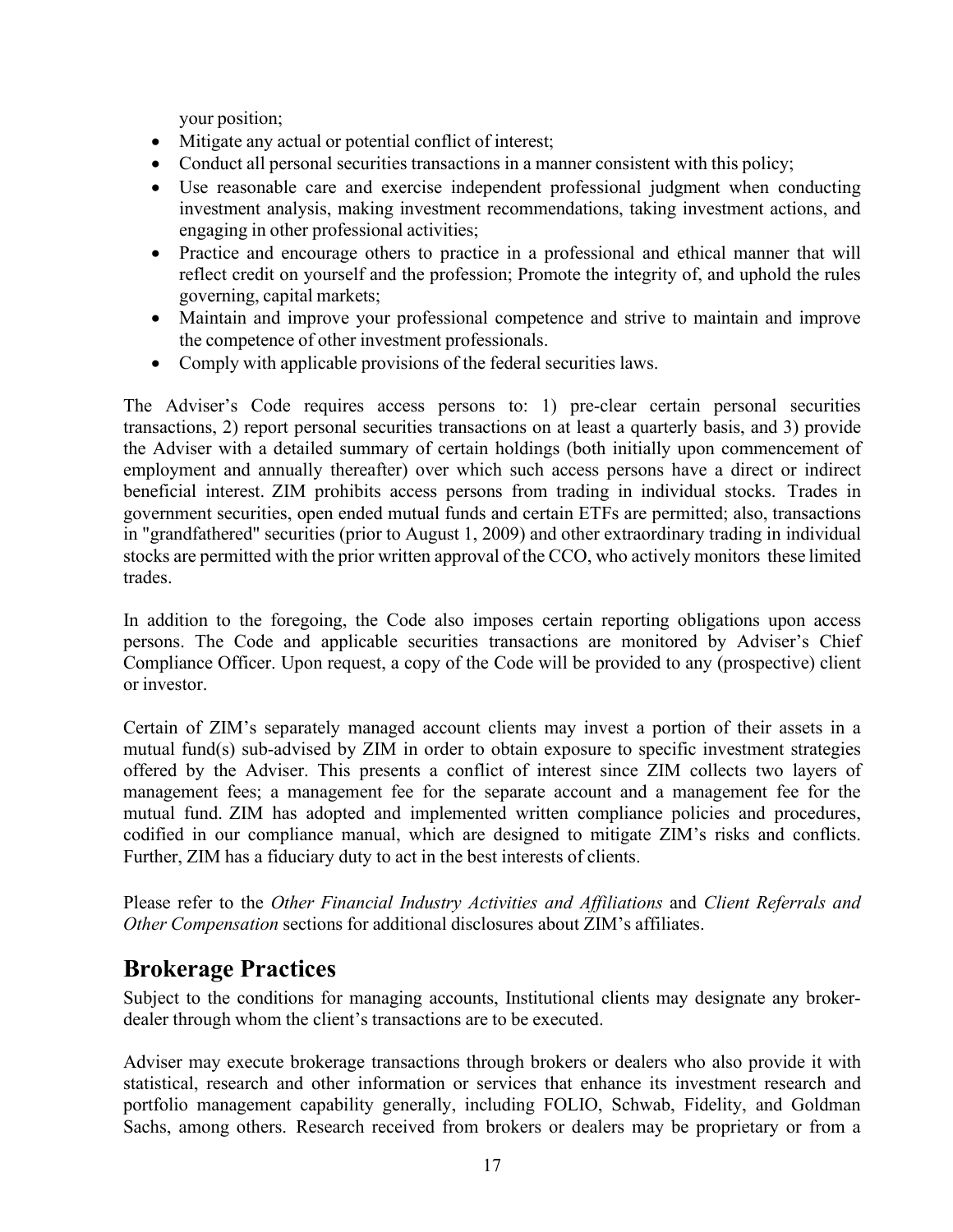your position;

- Mitigate any actual or potential conflict of interest;
- Conduct all personal securities transactions in a manner consistent with this policy;
- Use reasonable care and exercise independent professional judgment when conducting investment analysis, making investment recommendations, taking investment actions, and engaging in other professional activities;
- Practice and encourage others to practice in a professional and ethical manner that will reflect credit on yourself and the profession; Promote the integrity of, and uphold the rules governing, capital markets;
- Maintain and improve your professional competence and strive to maintain and improve the competence of other investment professionals.
- Comply with applicable provisions of the federal securities laws.

The Adviser's Code requires access persons to: 1) pre-clear certain personal securities transactions, 2) report personal securities transactions on at least a quarterly basis, and 3) provide the Adviser with a detailed summary of certain holdings (both initially upon commencement of employment and annually thereafter) over which such access persons have a direct or indirect beneficial interest. ZIM prohibits access persons from trading in individual stocks. Trades in government securities, open ended mutual funds and certain ETFs are permitted; also, transactions in "grandfathered" securities (prior to August 1, 2009) and other extraordinary trading in individual stocks are permitted with the prior written approval of the CCO, who actively monitors these limited trades.

In addition to the foregoing, the Code also imposes certain reporting obligations upon access persons. The Code and applicable securities transactions are monitored by Adviser's Chief Compliance Officer. Upon request, a copy of the Code will be provided to any (prospective) client or investor.

Certain of ZIM's separately managed account clients may invest a portion of their assets in a mutual fund(s) sub-advised by ZIM in order to obtain exposure to specific investment strategies offered by the Adviser. This presents a conflict of interest since ZIM collects two layers of management fees; a management fee for the separate account and a management fee for the mutual fund. ZIM has adopted and implemented written compliance policies and procedures, codified in our compliance manual, which are designed to mitigate ZIM's risks and conflicts. Further, ZIM has a fiduciary duty to act in the best interests of clients.

Please refer to the *Other Financial Industry Activities and Affiliations* and *Client Referrals and Other Compensation* sections for additional disclosures about ZIM's affiliates.

# <span id="page-16-0"></span>**Brokerage Practices**

Subject to the conditions for managing accounts, Institutional clients may designate any brokerdealer through whom the client's transactions are to be executed.

Adviser may execute brokerage transactions through brokers or dealers who also provide it with statistical, research and other information or services that enhance its investment research and portfolio management capability generally, including FOLIO, Schwab, Fidelity, and Goldman Sachs, among others. Research received from brokers or dealers may be proprietary or from a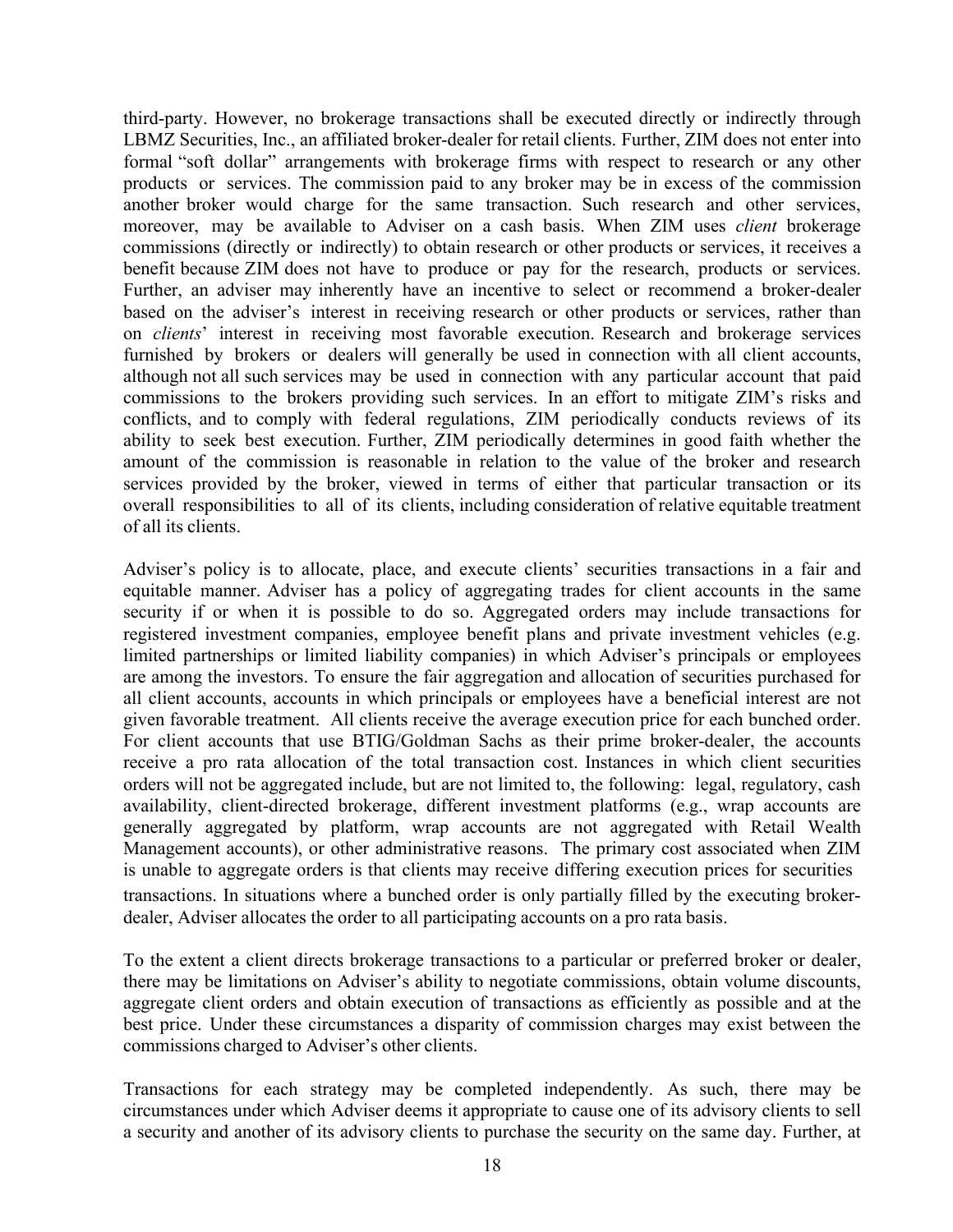third-party. However, no brokerage transactions shall be executed directly or indirectly through LBMZ Securities, Inc., an affiliated broker-dealer for retail clients. Further, ZIM does not enter into formal "soft dollar" arrangements with brokerage firms with respect to research or any other products or services. The commission paid to any broker may be in excess of the commission another broker would charge for the same transaction. Such research and other services, moreover, may be available to Adviser on a cash basis. When ZIM uses *client* brokerage commissions (directly or indirectly) to obtain research or other products or services, it receives a benefit because ZIM does not have to produce or pay for the research, products or services. Further, an adviser may inherently have an incentive to select or recommend a broker-dealer based on the adviser's interest in receiving research or other products or services, rather than on *clients*' interest in receiving most favorable execution. Research and brokerage services furnished by brokers or dealers will generally be used in connection with all client accounts, although not all such services may be used in connection with any particular account that paid commissions to the brokers providing such services. In an effort to mitigate ZIM's risks and conflicts, and to comply with federal regulations, ZIM periodically conducts reviews of its ability to seek best execution. Further, ZIM periodically determines in good faith whether the amount of the commission is reasonable in relation to the value of the broker and research services provided by the broker, viewed in terms of either that particular transaction or its overall responsibilities to all of its clients, including consideration of relative equitable treatment of all its clients.

Adviser's policy is to allocate, place, and execute clients' securities transactions in a fair and equitable manner. Adviser has a policy of aggregating trades for client accounts in the same security if or when it is possible to do so. Aggregated orders may include transactions for registered investment companies, employee benefit plans and private investment vehicles (e.g. limited partnerships or limited liability companies) in which Adviser's principals or employees are among the investors. To ensure the fair aggregation and allocation of securities purchased for all client accounts, accounts in which principals or employees have a beneficial interest are not given favorable treatment. All clients receive the average execution price for each bunched order. For client accounts that use BTIG/Goldman Sachs as their prime broker-dealer, the accounts receive a pro rata allocation of the total transaction cost. Instances in which client securities orders will not be aggregated include, but are not limited to, the following: legal, regulatory, cash availability, client-directed brokerage, different investment platforms (e.g., wrap accounts are generally aggregated by platform, wrap accounts are not aggregated with Retail Wealth Management accounts), or other administrative reasons. The primary cost associated when ZIM is unable to aggregate orders is that clients may receive differing execution prices for securities transactions. In situations where a bunched order is only partially filled by the executing brokerdealer, Adviser allocates the order to all participating accounts on a pro rata basis.

To the extent a client directs brokerage transactions to a particular or preferred broker or dealer, there may be limitations on Adviser's ability to negotiate commissions, obtain volume discounts, aggregate client orders and obtain execution of transactions as efficiently as possible and at the best price. Under these circumstances a disparity of commission charges may exist between the commissions charged to Adviser's other clients.

Transactions for each strategy may be completed independently. As such, there may be circumstances under which Adviser deems it appropriate to cause one of its advisory clients to sell a security and another of its advisory clients to purchase the security on the same day. Further, at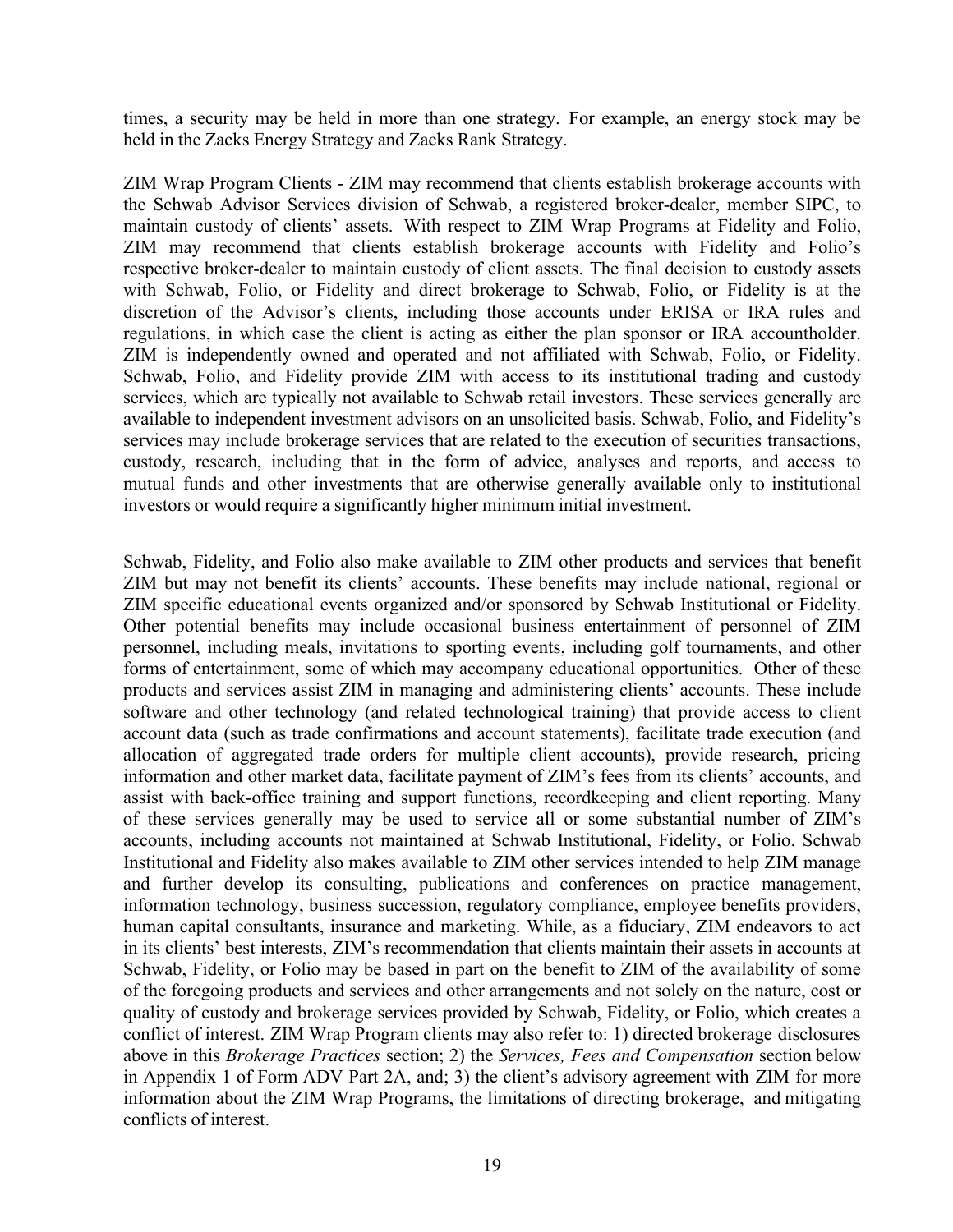times, a security may be held in more than one strategy. For example, an energy stock may be held in the Zacks Energy Strategy and Zacks Rank Strategy.

ZIM Wrap Program Clients - ZIM may recommend that clients establish brokerage accounts with the Schwab Advisor Services division of Schwab, a registered broker-dealer, member SIPC, to maintain custody of clients' assets. With respect to ZIM Wrap Programs at Fidelity and Folio, ZIM may recommend that clients establish brokerage accounts with Fidelity and Folio's respective broker-dealer to maintain custody of client assets. The final decision to custody assets with Schwab, Folio, or Fidelity and direct brokerage to Schwab, Folio, or Fidelity is at the discretion of the Advisor's clients, including those accounts under ERISA or IRA rules and regulations, in which case the client is acting as either the plan sponsor or IRA accountholder. ZIM is independently owned and operated and not affiliated with Schwab, Folio, or Fidelity. Schwab, Folio, and Fidelity provide ZIM with access to its institutional trading and custody services, which are typically not available to Schwab retail investors. These services generally are available to independent investment advisors on an unsolicited basis. Schwab, Folio, and Fidelity's services may include brokerage services that are related to the execution of securities transactions, custody, research, including that in the form of advice, analyses and reports, and access to mutual funds and other investments that are otherwise generally available only to institutional investors or would require a significantly higher minimum initial investment.

Schwab, Fidelity, and Folio also make available to ZIM other products and services that benefit ZIM but may not benefit its clients' accounts. These benefits may include national, regional or ZIM specific educational events organized and/or sponsored by Schwab Institutional or Fidelity. Other potential benefits may include occasional business entertainment of personnel of ZIM personnel, including meals, invitations to sporting events, including golf tournaments, and other forms of entertainment, some of which may accompany educational opportunities. Other of these products and services assist ZIM in managing and administering clients' accounts. These include software and other technology (and related technological training) that provide access to client account data (such as trade confirmations and account statements), facilitate trade execution (and allocation of aggregated trade orders for multiple client accounts), provide research, pricing information and other market data, facilitate payment of ZIM's fees from its clients' accounts, and assist with back-office training and support functions, recordkeeping and client reporting. Many of these services generally may be used to service all or some substantial number of ZIM's accounts, including accounts not maintained at Schwab Institutional, Fidelity, or Folio. Schwab Institutional and Fidelity also makes available to ZIM other services intended to help ZIM manage and further develop its consulting, publications and conferences on practice management, information technology, business succession, regulatory compliance, employee benefits providers, human capital consultants, insurance and marketing. While, as a fiduciary, ZIM endeavors to act in its clients' best interests, ZIM's recommendation that clients maintain their assets in accounts at Schwab, Fidelity, or Folio may be based in part on the benefit to ZIM of the availability of some of the foregoing products and services and other arrangements and not solely on the nature, cost or quality of custody and brokerage services provided by Schwab, Fidelity, or Folio, which creates a conflict of interest. ZIM Wrap Program clients may also refer to: 1) directed brokerage disclosures above in this *Brokerage Practices* section; 2) the *Services, Fees and Compensation* section below in Appendix 1 of Form ADV Part 2A, and; 3) the client's advisory agreement with ZIM for more information about the ZIM Wrap Programs, the limitations of directing brokerage, and mitigating conflicts of interest.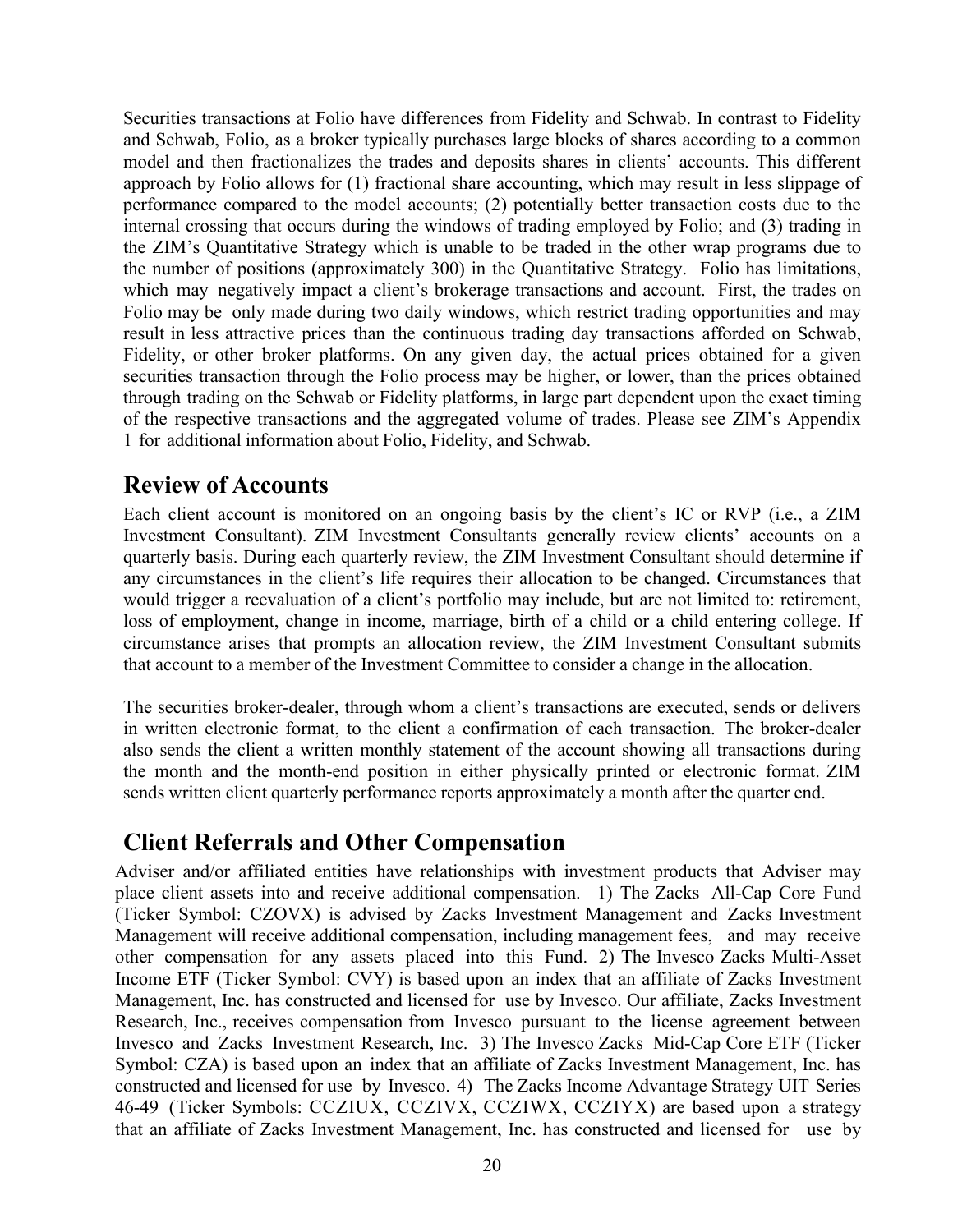Securities transactions at Folio have differences from Fidelity and Schwab. In contrast to Fidelity and Schwab, Folio, as a broker typically purchases large blocks of shares according to a common model and then fractionalizes the trades and deposits shares in clients' accounts. This different approach by Folio allows for (1) fractional share accounting, which may result in less slippage of performance compared to the model accounts; (2) potentially better transaction costs due to the internal crossing that occurs during the windows of trading employed by Folio; and (3) trading in the ZIM's Quantitative Strategy which is unable to be traded in the other wrap programs due to the number of positions (approximately 300) in the Quantitative Strategy. Folio has limitations, which may negatively impact a client's brokerage transactions and account. First, the trades on Folio may be only made during two daily windows, which restrict trading opportunities and may result in less attractive prices than the continuous trading day transactions afforded on Schwab, Fidelity, or other broker platforms. On any given day, the actual prices obtained for a given securities transaction through the Folio process may be higher, or lower, than the prices obtained through trading on the Schwab or Fidelity platforms, in large part dependent upon the exact timing of the respective transactions and the aggregated volume of trades. Please see ZIM's Appendix 1 for additional information about Folio, Fidelity, and Schwab.

# <span id="page-19-0"></span>**Review of Accounts**

Each client account is monitored on an ongoing basis by the client's IC or RVP (i.e., a ZIM Investment Consultant). ZIM Investment Consultants generally review clients' accounts on a quarterly basis. During each quarterly review, the ZIM Investment Consultant should determine if any circumstances in the client's life requires their allocation to be changed. Circumstances that would trigger a reevaluation of a client's portfolio may include, but are not limited to: retirement, loss of employment, change in income, marriage, birth of a child or a child entering college. If circumstance arises that prompts an allocation review, the ZIM Investment Consultant submits that account to a member of the Investment Committee to consider a change in the allocation.

The securities broker-dealer, through whom a client's transactions are executed, sends or delivers in written electronic format, to the client a confirmation of each transaction. The broker-dealer also sends the client a written monthly statement of the account showing all transactions during the month and the month-end position in either physically printed or electronic format. ZIM sends written client quarterly performance reports approximately a month after the quarter end.

# <span id="page-19-1"></span>**Client Referrals and Other Compensation**

Adviser and/or affiliated entities have relationships with investment products that Adviser may place client assets into and receive additional compensation. 1) The Zacks All-Cap Core Fund (Ticker Symbol: CZOVX) is advised by Zacks Investment Management and Zacks Investment Management will receive additional compensation, including management fees, and may receive other compensation for any assets placed into this Fund. 2) The Invesco Zacks Multi-Asset Income ETF (Ticker Symbol: CVY) is based upon an index that an affiliate of Zacks Investment Management, Inc. has constructed and licensed for use by Invesco. Our affiliate, Zacks Investment Research, Inc., receives compensation from Invesco pursuant to the license agreement between Invesco and Zacks Investment Research, Inc. 3) The Invesco Zacks Mid-Cap Core ETF (Ticker Symbol: CZA) is based upon an index that an affiliate of Zacks Investment Management, Inc. has constructed and licensed for use by Invesco. 4) The Zacks Income Advantage Strategy UIT Series 46-49 (Ticker Symbols: CCZIUX, CCZIVX, CCZIWX, CCZIYX) are based upon a strategy that an affiliate of Zacks Investment Management, Inc. has constructed and licensed for use by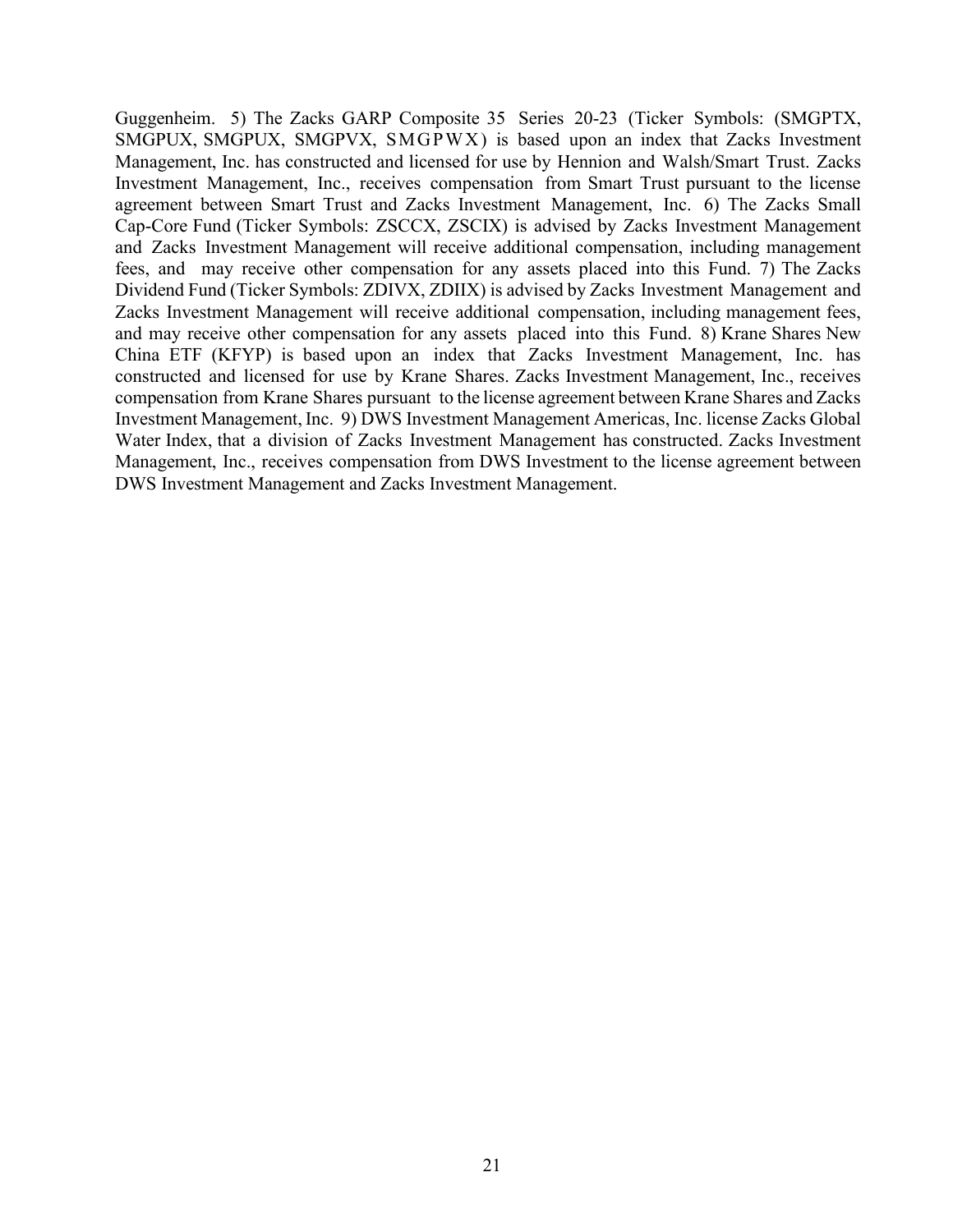Guggenheim. 5) The Zacks GARP Composite 35 Series 20-23 (Ticker Symbols: (SMGPTX, SMGPUX, SMGPUX, SMGPVX, SMGPWX) is based upon an index that Zacks Investment Management, Inc. has constructed and licensed for use by Hennion and Walsh/Smart Trust. Zacks Investment Management, Inc., receives compensation from Smart Trust pursuant to the license agreement between Smart Trust and Zacks Investment Management, Inc. 6) The Zacks Small Cap-Core Fund (Ticker Symbols: ZSCCX, ZSCIX) is advised by Zacks Investment Management and Zacks Investment Management will receive additional compensation, including management fees, and may receive other compensation for any assets placed into this Fund. 7) The Zacks Dividend Fund (Ticker Symbols: ZDIVX, ZDIIX) is advised by Zacks Investment Management and Zacks Investment Management will receive additional compensation, including management fees, and may receive other compensation for any assets placed into this Fund. 8) Krane Shares New China ETF (KFYP) is based upon an index that Zacks Investment Management, Inc. has constructed and licensed for use by Krane Shares. Zacks Investment Management, Inc., receives compensation from Krane Shares pursuant to the license agreement between Krane Shares and Zacks Investment Management, Inc. 9) DWS Investment Management Americas, Inc. license Zacks Global Water Index, that a division of Zacks Investment Management has constructed. Zacks Investment Management, Inc., receives compensation from DWS Investment to the license agreement between DWS Investment Management and Zacks Investment Management.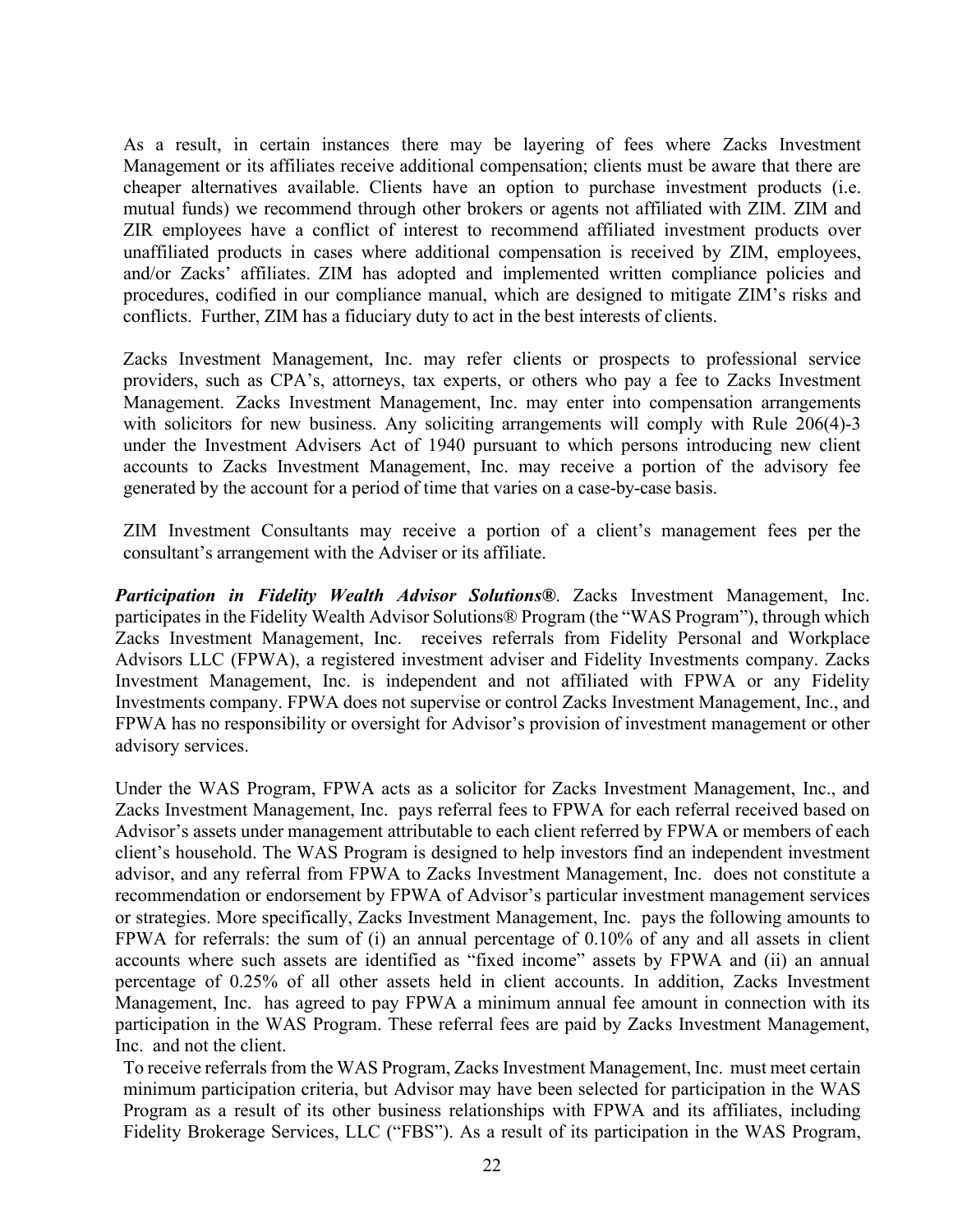As a result, in certain instances there may be layering of fees where Zacks Investment Management or its affiliates receive additional compensation; clients must be aware that there are cheaper alternatives available. Clients have an option to purchase investment products (i.e. mutual funds) we recommend through other brokers or agents not affiliated with ZIM. ZIM and ZIR employees have a conflict of interest to recommend affiliated investment products over unaffiliated products in cases where additional compensation is received by ZIM, employees, and/or Zacks' affiliates. ZIM has adopted and implemented written compliance policies and procedures, codified in our compliance manual, which are designed to mitigate ZIM's risks and conflicts. Further, ZIM has a fiduciary duty to act in the best interests of clients.

Zacks Investment Management, Inc. may refer clients or prospects to professional service providers, such as CPA's, attorneys, tax experts, or others who pay a fee to Zacks Investment Management. Zacks Investment Management, Inc. may enter into compensation arrangements with solicitors for new business. Any soliciting arrangements will comply with Rule 206(4)-3 under the Investment Advisers Act of 1940 pursuant to which persons introducing new client accounts to Zacks Investment Management, Inc. may receive a portion of the advisory fee generated by the account for a period of time that varies on a case-by-case basis.

ZIM Investment Consultants may receive a portion of a client's management fees per the consultant's arrangement with the Adviser or its affiliate.

*Participation in Fidelity Wealth Advisor Solutions®*. Zacks Investment Management, Inc. participates in the Fidelity Wealth Advisor Solutions® Program (the "WAS Program"), through which Zacks Investment Management, Inc. receives referrals from Fidelity Personal and Workplace Advisors LLC (FPWA), a registered investment adviser and Fidelity Investments company. Zacks Investment Management, Inc. is independent and not affiliated with FPWA or any Fidelity Investments company. FPWA does not supervise or control Zacks Investment Management, Inc., and FPWA has no responsibility or oversight for Advisor's provision of investment management or other advisory services.

Under the WAS Program, FPWA acts as a solicitor for Zacks Investment Management, Inc., and Zacks Investment Management, Inc. pays referral fees to FPWA for each referral received based on Advisor's assets under management attributable to each client referred by FPWA or members of each client's household. The WAS Program is designed to help investors find an independent investment advisor, and any referral from FPWA to Zacks Investment Management, Inc. does not constitute a recommendation or endorsement by FPWA of Advisor's particular investment management services or strategies. More specifically, Zacks Investment Management, Inc. pays the following amounts to FPWA for referrals: the sum of (i) an annual percentage of 0.10% of any and all assets in client accounts where such assets are identified as "fixed income" assets by FPWA and (ii) an annual percentage of 0.25% of all other assets held in client accounts. In addition, Zacks Investment Management, Inc. has agreed to pay FPWA a minimum annual fee amount in connection with its participation in the WAS Program. These referral fees are paid by Zacks Investment Management, Inc. and not the client.

To receive referrals from the WAS Program, Zacks Investment Management, Inc. must meet certain minimum participation criteria, but Advisor may have been selected for participation in the WAS Program as a result of its other business relationships with FPWA and its affiliates, including Fidelity Brokerage Services, LLC ("FBS"). As a result of its participation in the WAS Program,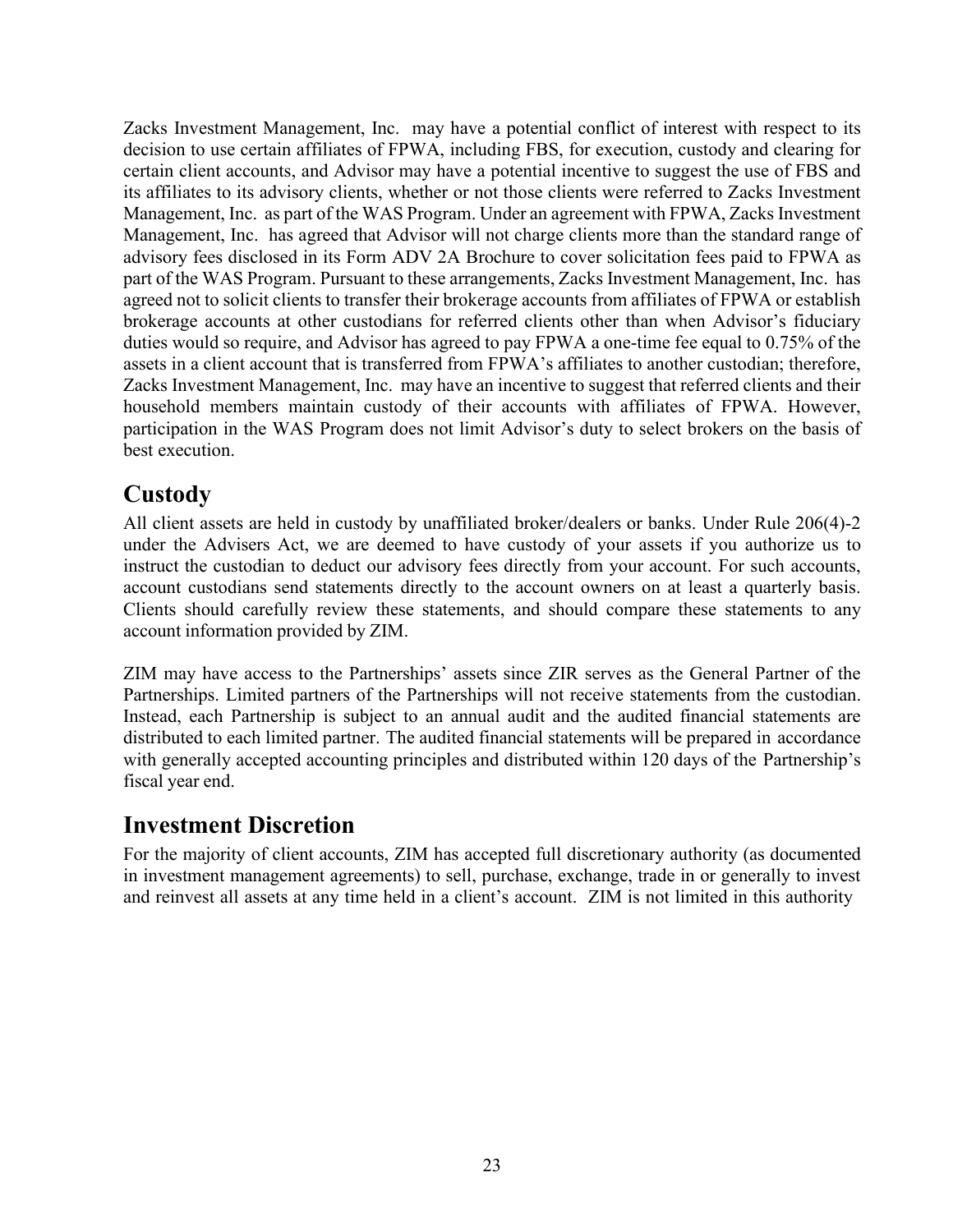Zacks Investment Management, Inc. may have a potential conflict of interest with respect to its decision to use certain affiliates of FPWA, including FBS, for execution, custody and clearing for certain client accounts, and Advisor may have a potential incentive to suggest the use of FBS and its affiliates to its advisory clients, whether or not those clients were referred to Zacks Investment Management, Inc. as part of the WAS Program. Under an agreement with FPWA, Zacks Investment Management, Inc. has agreed that Advisor will not charge clients more than the standard range of advisory fees disclosed in its Form ADV 2A Brochure to cover solicitation fees paid to FPWA as part of the WAS Program. Pursuant to these arrangements, Zacks Investment Management, Inc. has agreed not to solicit clients to transfer their brokerage accounts from affiliates of FPWA or establish brokerage accounts at other custodians for referred clients other than when Advisor's fiduciary duties would so require, and Advisor has agreed to pay FPWA a one-time fee equal to 0.75% of the assets in a client account that is transferred from FPWA's affiliates to another custodian; therefore, Zacks Investment Management, Inc. may have an incentive to suggest that referred clients and their household members maintain custody of their accounts with affiliates of FPWA. However, participation in the WAS Program does not limit Advisor's duty to select brokers on the basis of best execution.

# <span id="page-22-0"></span>**Custody**

All client assets are held in custody by unaffiliated broker/dealers or banks. Under Rule 206(4)-2 under the Advisers Act, we are deemed to have custody of your assets if you authorize us to instruct the custodian to deduct our advisory fees directly from your account. For such accounts, account custodians send statements directly to the account owners on at least a quarterly basis. Clients should carefully review these statements, and should compare these statements to any account information provided by ZIM.

ZIM may have access to the Partnerships' assets since ZIR serves as the General Partner of the Partnerships. Limited partners of the Partnerships will not receive statements from the custodian. Instead, each Partnership is subject to an annual audit and the audited financial statements are distributed to each limited partner. The audited financial statements will be prepared in accordance with generally accepted accounting principles and distributed within 120 days of the Partnership's fiscal year end.

# <span id="page-22-1"></span>**Investment Discretion**

For the majority of client accounts, ZIM has accepted full discretionary authority (as documented in investment management agreements) to sell, purchase, exchange, trade in or generally to invest and reinvest all assets at any time held in a client's account. ZIM is not limited in this authority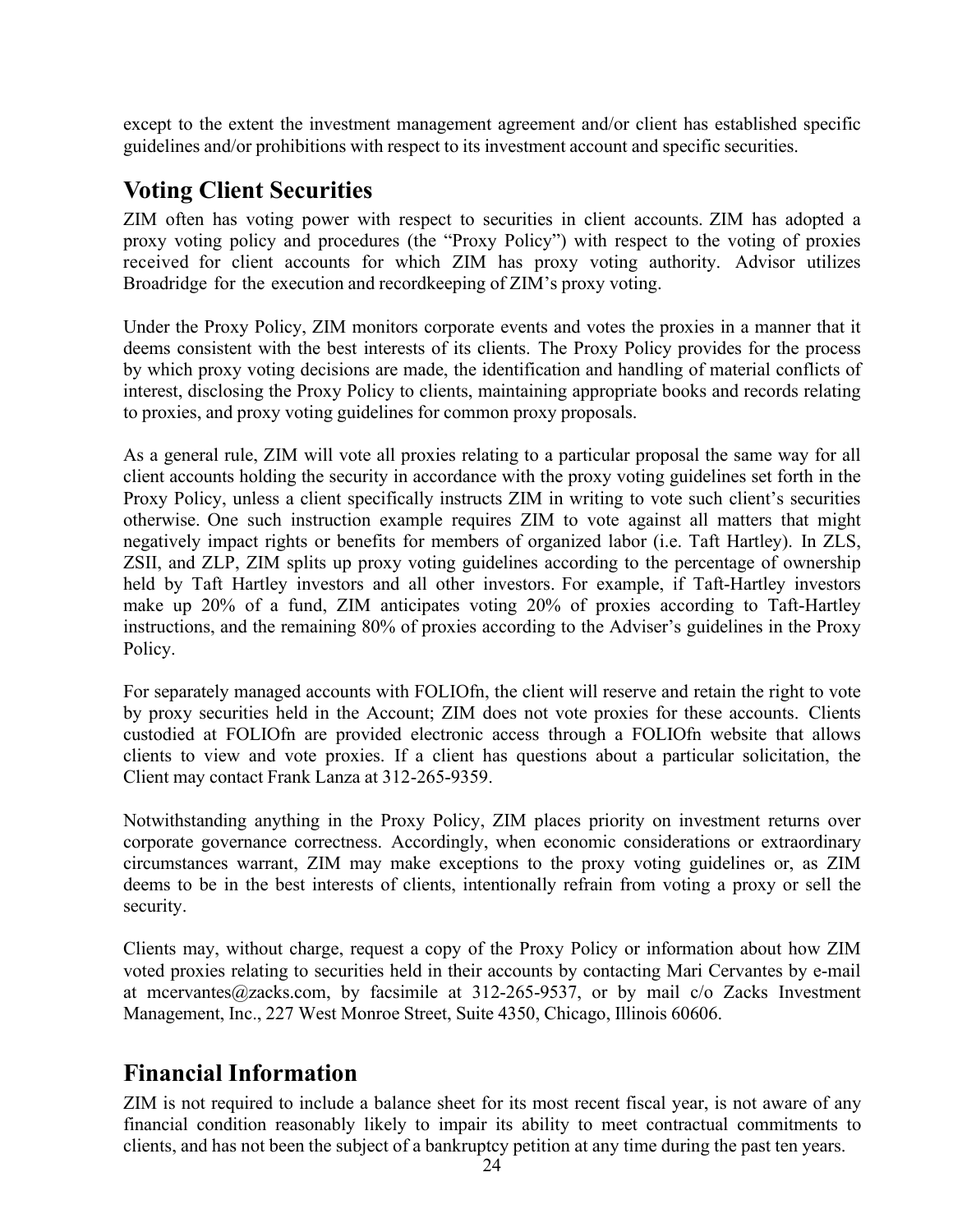except to the extent the investment management agreement and/or client has established specific guidelines and/or prohibitions with respect to its investment account and specific securities.

# <span id="page-23-0"></span>**Voting Client Securities**

ZIM often has voting power with respect to securities in client accounts. ZIM has adopted a proxy voting policy and procedures (the "Proxy Policy") with respect to the voting of proxies received for client accounts for which ZIM has proxy voting authority. Advisor utilizes Broadridge for the execution and recordkeeping of ZIM's proxy voting.

Under the Proxy Policy, ZIM monitors corporate events and votes the proxies in a manner that it deems consistent with the best interests of its clients. The Proxy Policy provides for the process by which proxy voting decisions are made, the identification and handling of material conflicts of interest, disclosing the Proxy Policy to clients, maintaining appropriate books and records relating to proxies, and proxy voting guidelines for common proxy proposals.

As a general rule, ZIM will vote all proxies relating to a particular proposal the same way for all client accounts holding the security in accordance with the proxy voting guidelines set forth in the Proxy Policy, unless a client specifically instructs ZIM in writing to vote such client's securities otherwise. One such instruction example requires ZIM to vote against all matters that might negatively impact rights or benefits for members of organized labor (i.e. Taft Hartley). In ZLS, ZSII, and ZLP, ZIM splits up proxy voting guidelines according to the percentage of ownership held by Taft Hartley investors and all other investors. For example, if Taft-Hartley investors make up 20% of a fund, ZIM anticipates voting 20% of proxies according to Taft-Hartley instructions, and the remaining 80% of proxies according to the Adviser's guidelines in the Proxy Policy.

For separately managed accounts with FOLIOfn, the client will reserve and retain the right to vote by proxy securities held in the Account; ZIM does not vote proxies for these accounts. Clients custodied at FOLIOfn are provided electronic access through a FOLIOfn website that allows clients to view and vote proxies. If a client has questions about a particular solicitation, the Client may contact Frank Lanza at 312-265-9359.

Notwithstanding anything in the Proxy Policy, ZIM places priority on investment returns over corporate governance correctness. Accordingly, when economic considerations or extraordinary circumstances warrant, ZIM may make exceptions to the proxy voting guidelines or, as ZIM deems to be in the best interests of clients, intentionally refrain from voting a proxy or sell the security.

Clients may, without charge, request a copy of the Proxy Policy or information about how ZIM voted proxies relating to securities held in their accounts by contacting Mari Cervantes by e-mail at [mcervantes@zacks.com,](mailto:mcervantes@zacks.com) by facsimile at 312-265-9537, or by mail c/o Zacks Investment Management, Inc., 227 West Monroe Street, Suite 4350, Chicago, Illinois 60606.

# <span id="page-23-1"></span>**Financial Information**

ZIM is not required to include a balance sheet for its most recent fiscal year, is not aware of any financial condition reasonably likely to impair its ability to meet contractual commitments to clients, and has not been the subject of a bankruptcy petition at any time during the past ten years.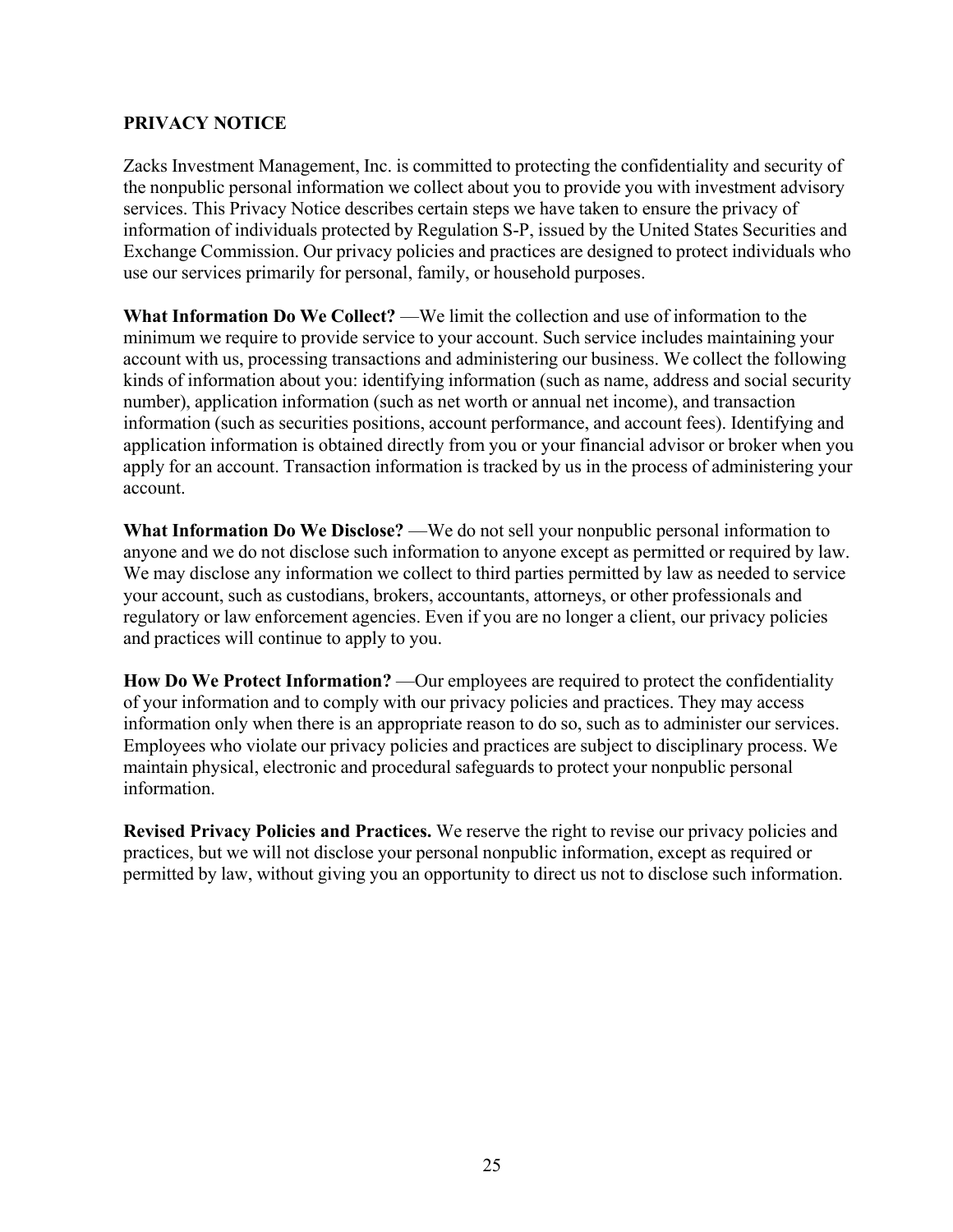# <span id="page-24-0"></span>**PRIVACY NOTICE**

Zacks Investment Management, Inc. is committed to protecting the confidentiality and security of the nonpublic personal information we collect about you to provide you with investment advisory services. This Privacy Notice describes certain steps we have taken to ensure the privacy of information of individuals protected by Regulation S-P, issued by the United States Securities and Exchange Commission. Our privacy policies and practices are designed to protect individuals who use our services primarily for personal, family, or household purposes.

**What Information Do We Collect?** —We limit the collection and use of information to the minimum we require to provide service to your account. Such service includes maintaining your account with us, processing transactions and administering our business. We collect the following kinds of information about you: identifying information (such as name, address and social security number), application information (such as net worth or annual net income), and transaction information (such as securities positions, account performance, and account fees). Identifying and application information is obtained directly from you or your financial advisor or broker when you apply for an account. Transaction information is tracked by us in the process of administering your account.

**What Information Do We Disclose?** —We do not sell your nonpublic personal information to anyone and we do not disclose such information to anyone except as permitted or required by law. We may disclose any information we collect to third parties permitted by law as needed to service your account, such as custodians, brokers, accountants, attorneys, or other professionals and regulatory or law enforcement agencies. Even if you are no longer a client, our privacy policies and practices will continue to apply to you.

**How Do We Protect Information?** —Our employees are required to protect the confidentiality of your information and to comply with our privacy policies and practices. They may access information only when there is an appropriate reason to do so, such as to administer our services. Employees who violate our privacy policies and practices are subject to disciplinary process. We maintain physical, electronic and procedural safeguards to protect your nonpublic personal information.

**Revised Privacy Policies and Practices.** We reserve the right to revise our privacy policies and practices, but we will not disclose your personal nonpublic information, except as required or permitted by law, without giving you an opportunity to direct us not to disclose such information.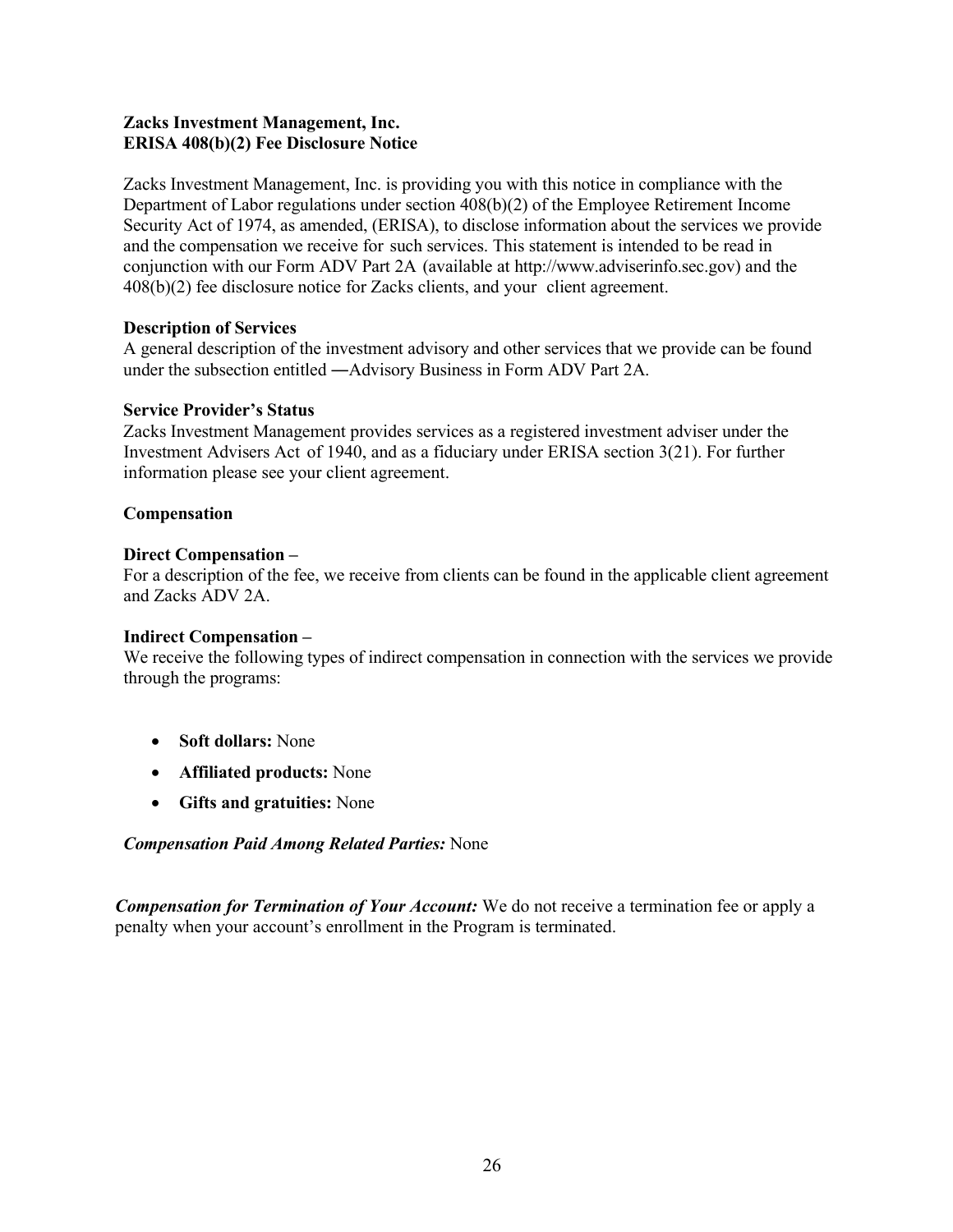### **Zacks Investment Management, Inc. ERISA 408(b)(2) Fee Disclosure Notice**

Zacks Investment Management, Inc. is providing you with this notice in compliance with the Department of Labor regulations under section 408(b)(2) of the Employee Retirement Income Security Act of 1974, as amended, (ERISA), to disclose information about the services we provide and the compensation we receive for such services. This statement is intended to be read in conjunction with our Form ADV Part 2A (available at http://www.adviserinfo.sec.gov) and the 408(b)(2) fee disclosure notice for Zacks clients, and your client agreement.

# **Description of Services**

A general description of the investment advisory and other services that we provide can be found under the subsection entitled ―Advisory Business in Form ADV Part 2A.

### **Service Provider's Status**

Zacks Investment Management provides services as a registered investment adviser under the Investment Advisers Act of 1940, and as a fiduciary under ERISA section 3(21). For further information please see your client agreement.

### **Compensation**

### **Direct Compensation –**

For a description of the fee, we receive from clients can be found in the applicable client agreement and Zacks ADV 2A.

### **Indirect Compensation –**

We receive the following types of indirect compensation in connection with the services we provide through the programs:

- **Soft dollars:** None
- **Affiliated products:** None
- **Gifts and gratuities:** None

### *Compensation Paid Among Related Parties:* None

*Compensation for Termination of Your Account:* We do not receive a termination fee or apply a penalty when your account's enrollment in the Program is terminated.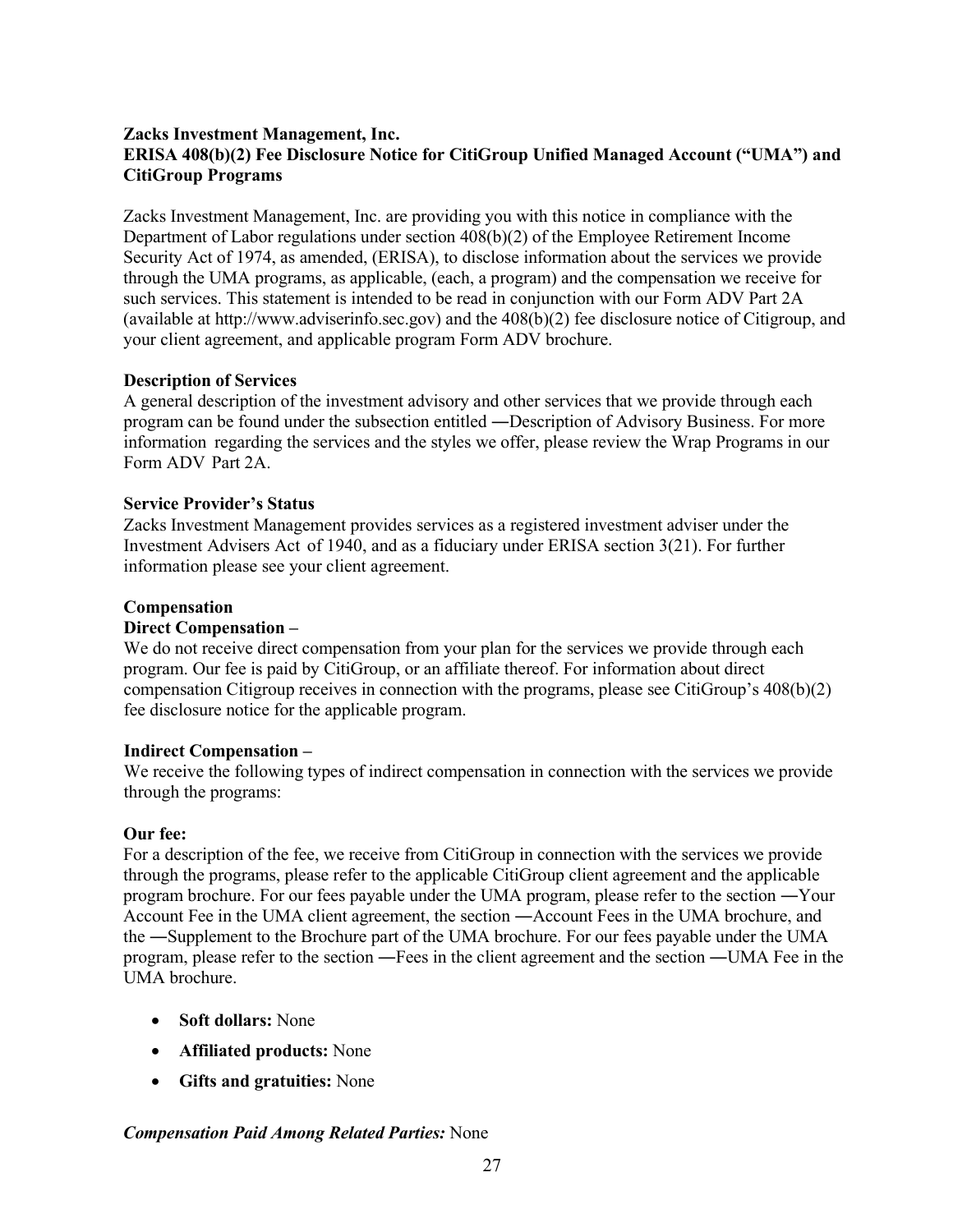### **Zacks Investment Management, Inc. ERISA 408(b)(2) Fee Disclosure Notice for CitiGroup Unified Managed Account ("UMA") and CitiGroup Programs**

Zacks Investment Management, Inc. are providing you with this notice in compliance with the Department of Labor regulations under section 408(b)(2) of the Employee Retirement Income Security Act of 1974, as amended, (ERISA), to disclose information about the services we provide through the UMA programs, as applicable, (each, a program) and the compensation we receive for such services. This statement is intended to be read in conjunction with our Form ADV Part 2A (available at http://www.adviserinfo.sec.gov) and the 408(b)(2) fee disclosure notice of Citigroup, and your client agreement, and applicable program Form ADV brochure.

### **Description of Services**

A general description of the investment advisory and other services that we provide through each program can be found under the subsection entitled ―Description of Advisory Business. For more information regarding the services and the styles we offer, please review the Wrap Programs in our Form ADV Part 2A.

#### **Service Provider's Status**

Zacks Investment Management provides services as a registered investment adviser under the Investment Advisers Act of 1940, and as a fiduciary under ERISA section 3(21). For further information please see your client agreement.

### **Compensation**

#### **Direct Compensation –**

We do not receive direct compensation from your plan for the services we provide through each program. Our fee is paid by CitiGroup, or an affiliate thereof. For information about direct compensation Citigroup receives in connection with the programs, please see CitiGroup's 408(b)(2) fee disclosure notice for the applicable program.

#### **Indirect Compensation –**

We receive the following types of indirect compensation in connection with the services we provide through the programs:

### **Our fee:**

For a description of the fee, we receive from CitiGroup in connection with the services we provide through the programs, please refer to the applicable CitiGroup client agreement and the applicable program brochure. For our fees payable under the UMA program, please refer to the section ―Your Account Fee in the UMA client agreement, the section ―Account Fees in the UMA brochure, and the ―Supplement to the Brochure part of the UMA brochure. For our fees payable under the UMA program, please refer to the section ―Fees in the client agreement and the section ―UMA Fee in the UMA brochure.

- **Soft dollars:** None
- **Affiliated products:** None
- **Gifts and gratuities:** None

### *Compensation Paid Among Related Parties:* None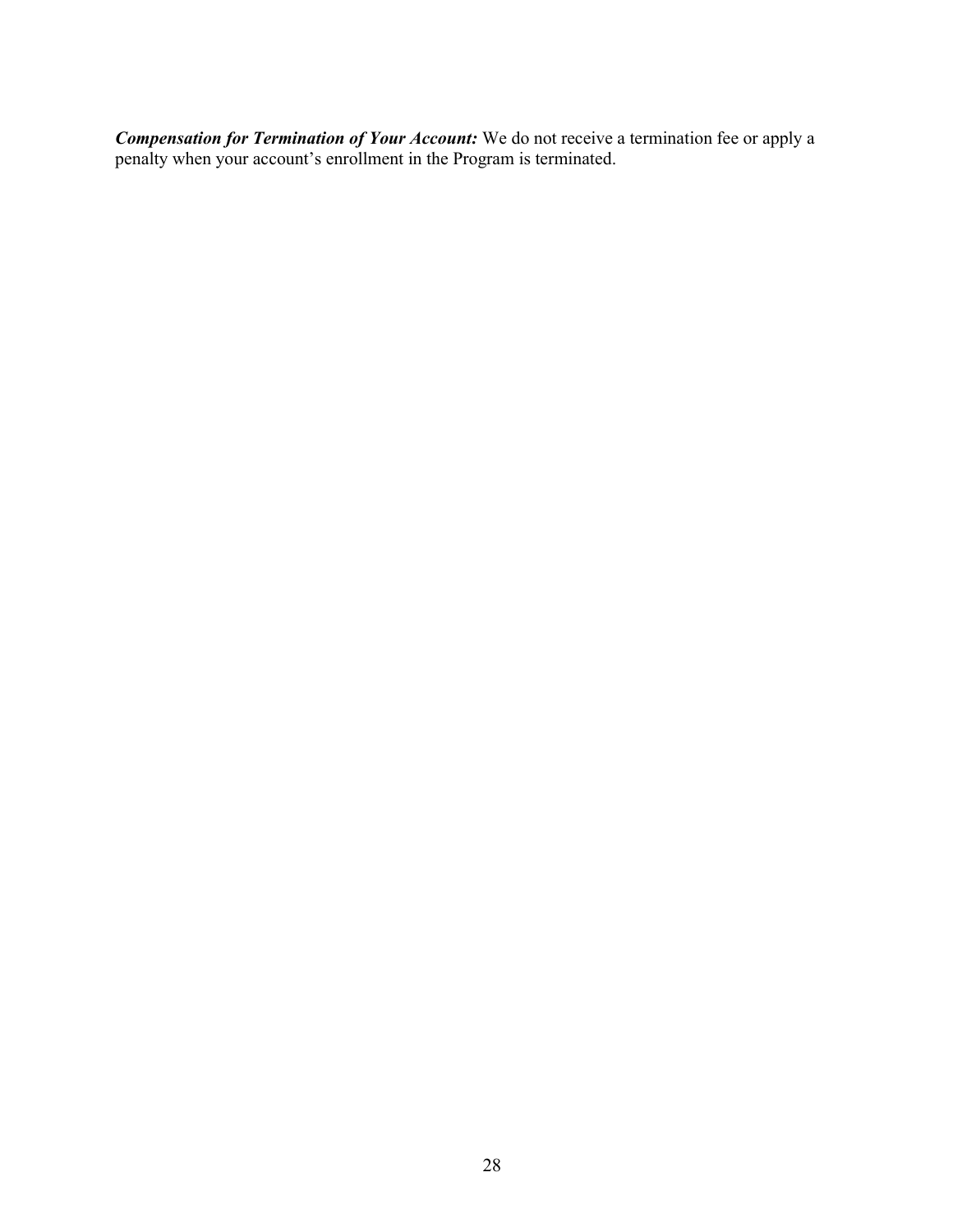*Compensation for Termination of Your Account:* We do not receive a termination fee or apply a penalty when your account's enrollment in the Program is terminated.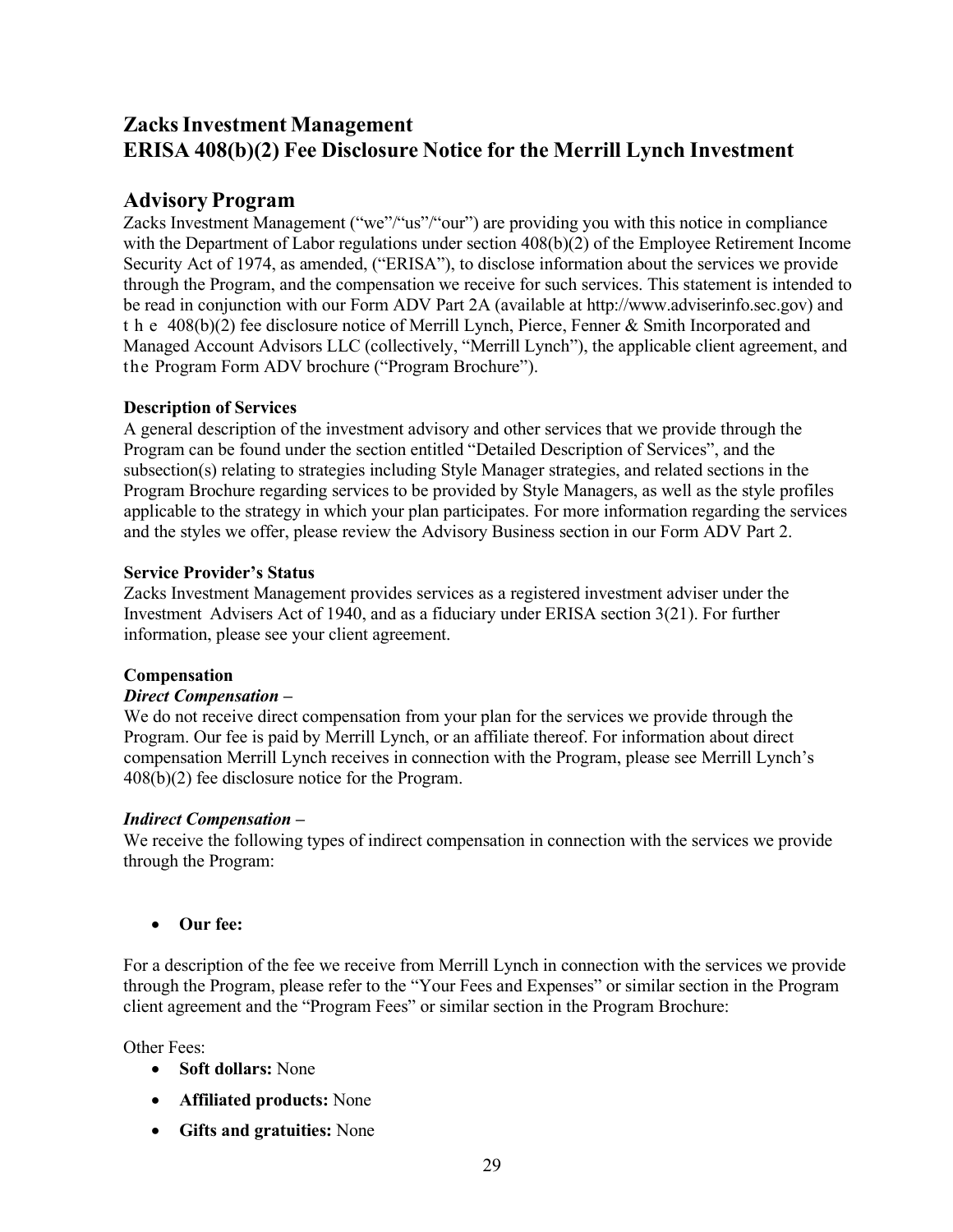# **ZacksInvestment Management ERISA 408(b)(2) Fee Disclosure Notice for the Merrill Lynch Investment**

# **Advisory Program**

Zacks Investment Management ("we"/"us"/"our") are providing you with this notice in compliance with the Department of Labor regulations under section  $408(b)(2)$  of the Employee Retirement Income Security Act of 1974, as amended, ("ERISA"), to disclose information about the services we provide through the Program, and the compensation we receive for such services. This statement is intended to be read in conjunction with our Form ADV Part 2A (available at http://www.adviserinfo.sec.gov) and the 408(b)(2) fee disclosure notice of Merrill Lynch, Pierce, Fenner & Smith Incorporated and Managed Account Advisors LLC (collectively, "Merrill Lynch"), the applicable client agreement, and the Program Form ADV brochure ("Program Brochure").

# **Description of Services**

A general description of the investment advisory and other services that we provide through the Program can be found under the section entitled "Detailed Description of Services", and the subsection(s) relating to strategies including Style Manager strategies, and related sections in the Program Brochure regarding services to be provided by Style Managers, as well as the style profiles applicable to the strategy in which your plan participates. For more information regarding the services and the styles we offer, please review the Advisory Business section in our Form ADV Part 2.

### **Service Provider's Status**

Zacks Investment Management provides services as a registered investment adviser under the Investment Advisers Act of 1940, and as a fiduciary under ERISA section 3(21). For further information, please see your client agreement.

# **Compensation**

# *Direct Compensation –*

We do not receive direct compensation from your plan for the services we provide through the Program. Our fee is paid by Merrill Lynch, or an affiliate thereof. For information about direct compensation Merrill Lynch receives in connection with the Program, please see Merrill Lynch's 408(b)(2) fee disclosure notice for the Program.

### *Indirect Compensation –*

We receive the following types of indirect compensation in connection with the services we provide through the Program:

• **Our fee:**

For a description of the fee we receive from Merrill Lynch in connection with the services we provide through the Program, please refer to the "Your Fees and Expenses" or similar section in the Program client agreement and the "Program Fees" or similar section in the Program Brochure:

Other Fees:

- **Soft dollars:** None
- **Affiliated products:** None
- **Gifts and gratuities:** None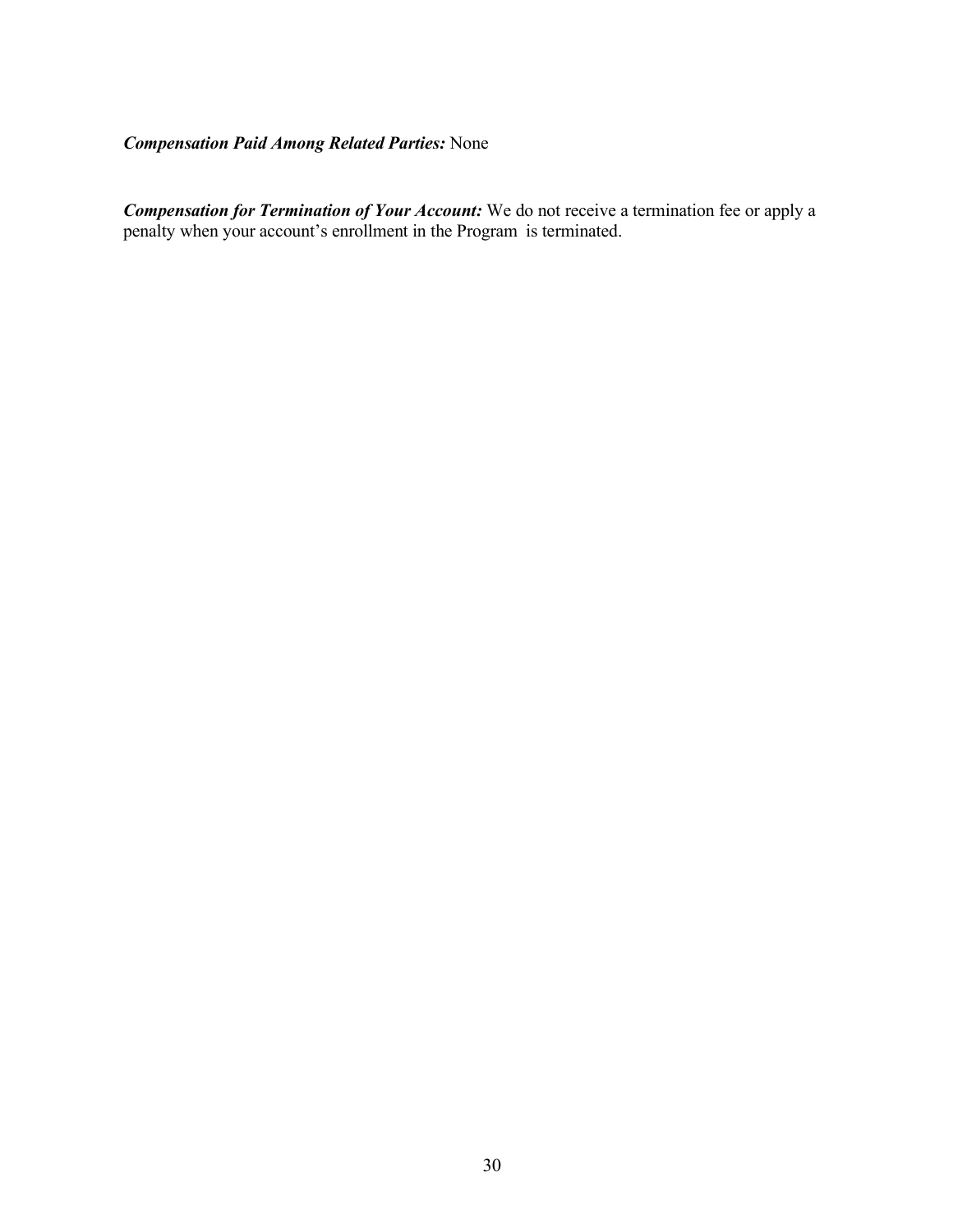# *Compensation Paid Among Related Parties:* None

*Compensation for Termination of Your Account:* We do not receive a termination fee or apply a penalty when your account's enrollment in the Program is terminated.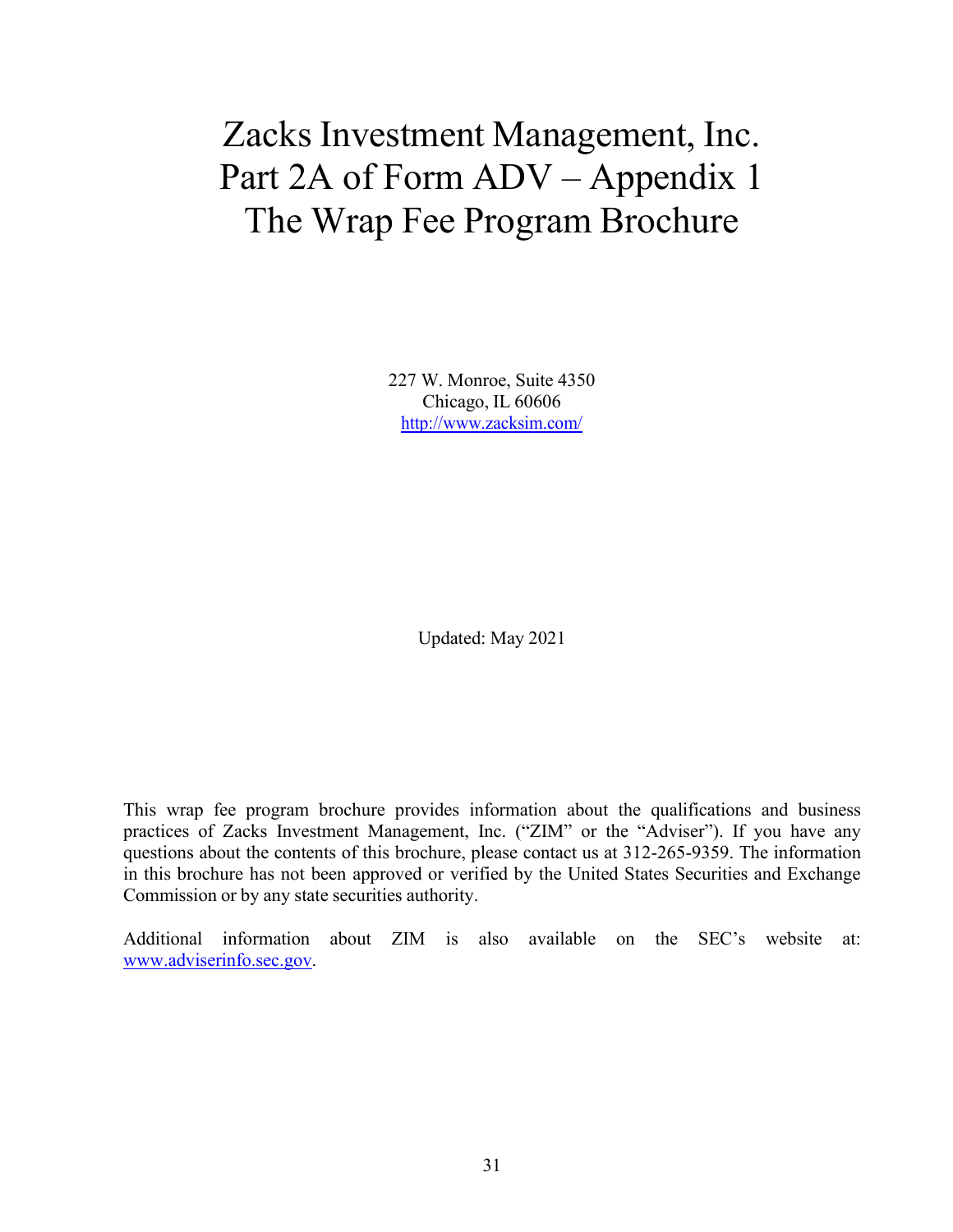# Zacks Investment Management, Inc. Part 2A of Form ADV – Appendix 1 The Wrap Fee Program Brochure

227 W. Monroe, Suite 4350 Chicago, IL 60606 <http://www.zacksim.com/>

Updated: May 2021

This wrap fee program brochure provides information about the qualifications and business practices of Zacks Investment Management, Inc. ("ZIM" or the "Adviser"). If you have any questions about the contents of this brochure, please contact us at 312-265-9359. The information in this brochure has not been approved or verified by the United States Securities and Exchange Commission or by any state securities authority.

Additional information about ZIM is also available on the SEC's website at: [www.adviserinfo.sec.gov.](http://www.adviserinfo.sec.gov/)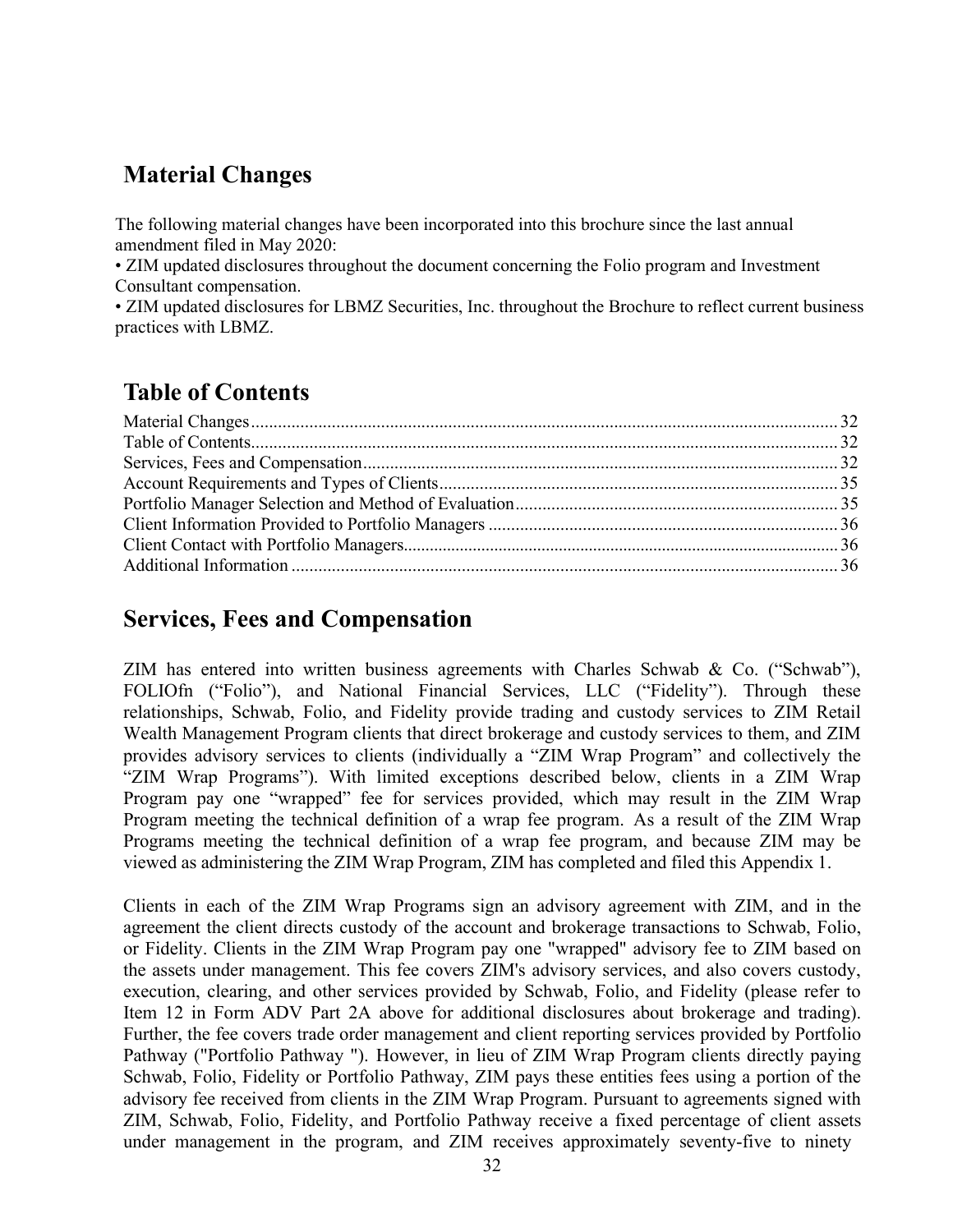# **Material Changes**

The following material changes have been incorporated into this brochure since the last annual amendment filed in May 2020:

• ZIM updated disclosures throughout the document concerning the Folio program and Investment Consultant compensation.

• ZIM updated disclosures for LBMZ Securities, Inc. throughout the Brochure to reflect current business practices with LBMZ.

# **Table of Contents**

# **Services, Fees and Compensation**

ZIM has entered into written business agreements with Charles Schwab & Co. ("Schwab"), FOLIOfn ("Folio"), and National Financial Services, LLC ("Fidelity"). Through these relationships, Schwab, Folio, and Fidelity provide trading and custody services to ZIM Retail Wealth Management Program clients that direct brokerage and custody services to them, and ZIM provides advisory services to clients (individually a "ZIM Wrap Program" and collectively the "ZIM Wrap Programs"). With limited exceptions described below, clients in a ZIM Wrap Program pay one "wrapped" fee for services provided, which may result in the ZIM Wrap Program meeting the technical definition of a wrap fee program. As a result of the ZIM Wrap Programs meeting the technical definition of a wrap fee program, and because ZIM may be viewed as administering the ZIM Wrap Program, ZIM has completed and filed this Appendix 1.

Clients in each of the ZIM Wrap Programs sign an advisory agreement with ZIM, and in the agreement the client directs custody of the account and brokerage transactions to Schwab, Folio, or Fidelity. Clients in the ZIM Wrap Program pay one "wrapped" advisory fee to ZIM based on the assets under management. This fee covers ZIM's advisory services, and also covers custody, execution, clearing, and other services provided by Schwab, Folio, and Fidelity (please refer to Item 12 in Form ADV Part 2A above for additional disclosures about brokerage and trading). Further, the fee covers trade order management and client reporting services provided by Portfolio Pathway ("Portfolio Pathway "). However, in lieu of ZIM Wrap Program clients directly paying Schwab, Folio, Fidelity or Portfolio Pathway, ZIM pays these entities fees using a portion of the advisory fee received from clients in the ZIM Wrap Program. Pursuant to agreements signed with ZIM, Schwab, Folio, Fidelity, and Portfolio Pathway receive a fixed percentage of client assets under management in the program, and ZIM receives approximately seventy-five to ninety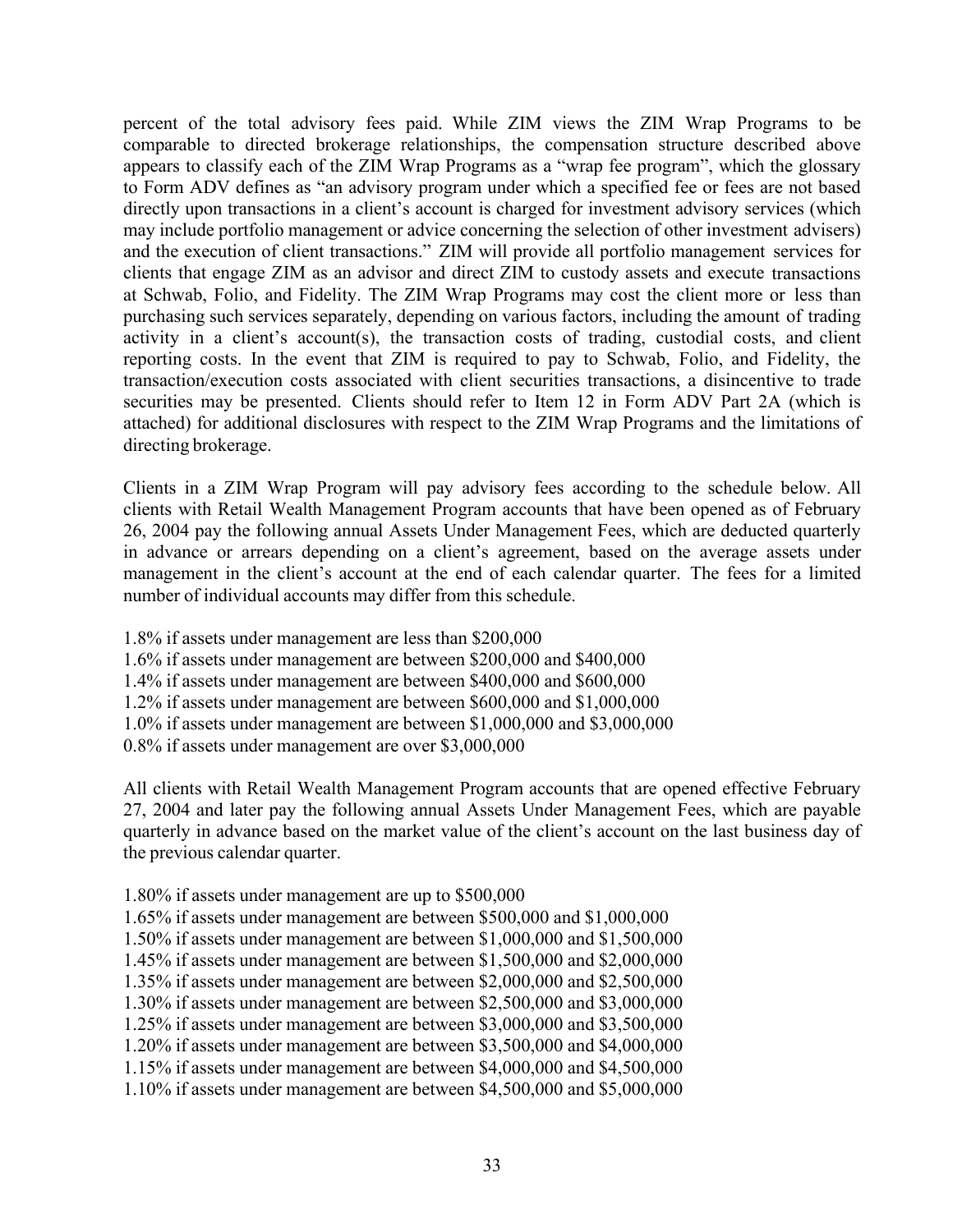percent of the total advisory fees paid. While ZIM views the ZIM Wrap Programs to be comparable to directed brokerage relationships, the compensation structure described above appears to classify each of the ZIM Wrap Programs as a "wrap fee program", which the glossary to Form ADV defines as "an advisory program under which a specified fee or fees are not based directly upon transactions in a client's account is charged for investment advisory services (which may include portfolio management or advice concerning the selection of other investment advisers) and the execution of client transactions." ZIM will provide all portfolio management services for clients that engage ZIM as an advisor and direct ZIM to custody assets and execute transactions at Schwab, Folio, and Fidelity. The ZIM Wrap Programs may cost the client more or less than purchasing such services separately, depending on various factors, including the amount of trading activity in a client's account(s), the transaction costs of trading, custodial costs, and client reporting costs. In the event that ZIM is required to pay to Schwab, Folio, and Fidelity, the transaction/execution costs associated with client securities transactions, a disincentive to trade securities may be presented. Clients should refer to Item 12 in Form ADV Part 2A (which is attached) for additional disclosures with respect to the ZIM Wrap Programs and the limitations of directing brokerage.

Clients in a ZIM Wrap Program will pay advisory fees according to the schedule below. All clients with Retail Wealth Management Program accounts that have been opened as of February 26, 2004 pay the following annual Assets Under Management Fees, which are deducted quarterly in advance or arrears depending on a client's agreement, based on the average assets under management in the client's account at the end of each calendar quarter. The fees for a limited number of individual accounts may differ from this schedule.

- 1.8% if assets under management are less than \$200,000
- 1.6% if assets under management are between \$200,000 and \$400,000
- 1.4% if assets under management are between \$400,000 and \$600,000
- 1.2% if assets under management are between \$600,000 and \$1,000,000
- 1.0% if assets under management are between \$1,000,000 and \$3,000,000
- 0.8% if assets under management are over \$3,000,000

All clients with Retail Wealth Management Program accounts that are opened effective February 27, 2004 and later pay the following annual Assets Under Management Fees, which are payable quarterly in advance based on the market value of the client's account on the last business day of the previous calendar quarter.

- 1.80% if assets under management are up to \$500,000
- 1.65% if assets under management are between \$500,000 and \$1,000,000
- 1.50% if assets under management are between \$1,000,000 and \$1,500,000
- 1.45% if assets under management are between \$1,500,000 and \$2,000,000
- 1.35% if assets under management are between \$2,000,000 and \$2,500,000
- 1.30% if assets under management are between \$2,500,000 and \$3,000,000
- 1.25% if assets under management are between \$3,000,000 and \$3,500,000 1.20% if assets under management are between \$3,500,000 and \$4,000,000
- 1.15% if assets under management are between \$4,000,000 and \$4,500,000
- 1.10% if assets under management are between \$4,500,000 and \$5,000,000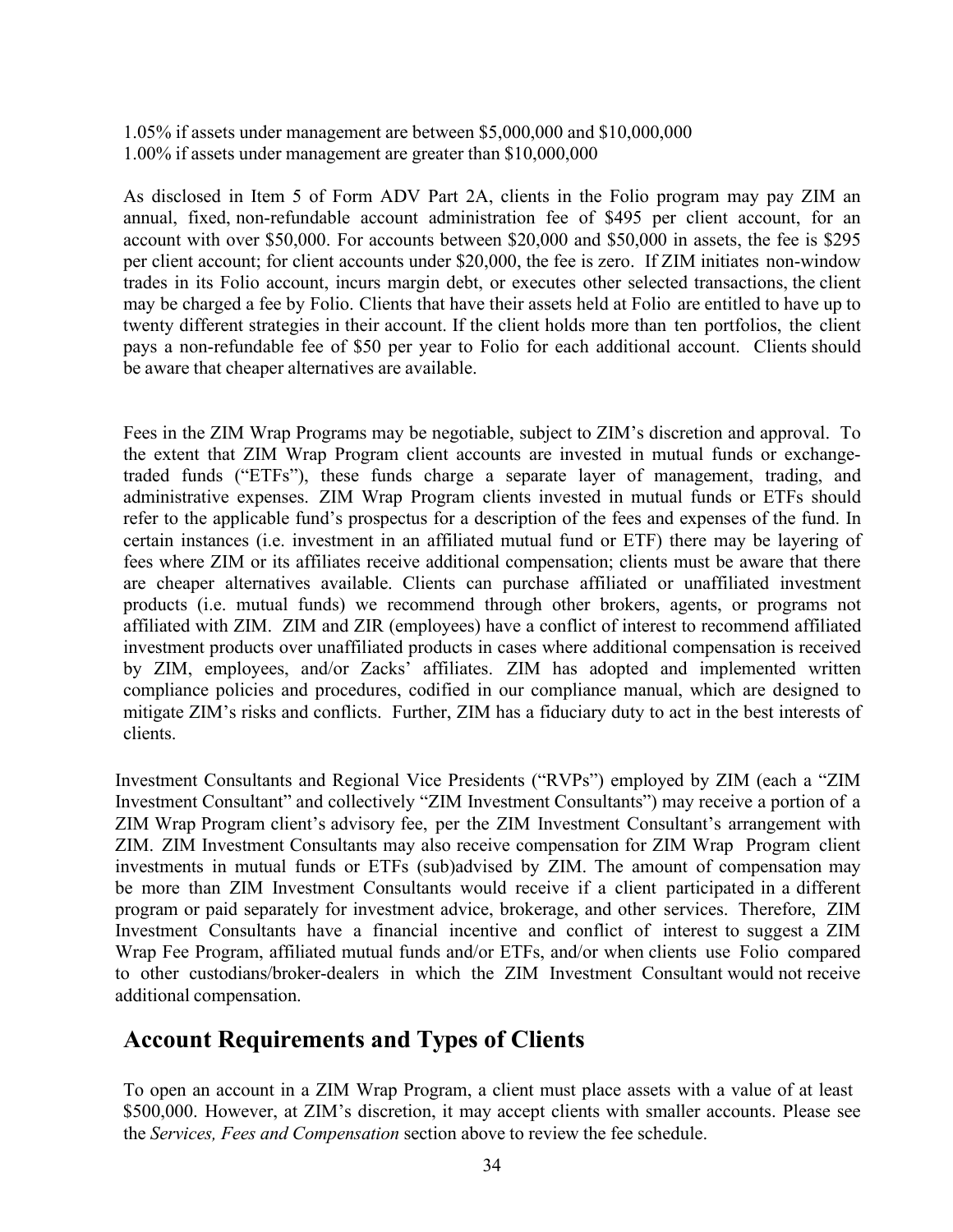1.05% if assets under management are between \$5,000,000 and \$10,000,000 1.00% if assets under management are greater than \$10,000,000

As disclosed in Item 5 of Form ADV Part 2A, clients in the Folio program may pay ZIM an annual, fixed, non-refundable account administration fee of \$495 per client account, for an account with over \$50,000. For accounts between \$20,000 and \$50,000 in assets, the fee is \$295 per client account; for client accounts under \$20,000, the fee is zero. If ZIM initiates non-window trades in its Folio account, incurs margin debt, or executes other selected transactions, the client may be charged a fee by Folio. Clients that have their assets held at Folio are entitled to have up to twenty different strategies in their account. If the client holds more than ten portfolios, the client pays a non-refundable fee of \$50 per year to Folio for each additional account. Clients should be aware that cheaper alternatives are available.

Fees in the ZIM Wrap Programs may be negotiable, subject to ZIM's discretion and approval. To the extent that ZIM Wrap Program client accounts are invested in mutual funds or exchangetraded funds ("ETFs"), these funds charge a separate layer of management, trading, and administrative expenses. ZIM Wrap Program clients invested in mutual funds or ETFs should refer to the applicable fund's prospectus for a description of the fees and expenses of the fund. In certain instances (i.e. investment in an affiliated mutual fund or ETF) there may be layering of fees where ZIM or its affiliates receive additional compensation; clients must be aware that there are cheaper alternatives available. Clients can purchase affiliated or unaffiliated investment products (i.e. mutual funds) we recommend through other brokers, agents, or programs not affiliated with ZIM. ZIM and ZIR (employees) have a conflict of interest to recommend affiliated investment products over unaffiliated products in cases where additional compensation is received by ZIM, employees, and/or Zacks' affiliates. ZIM has adopted and implemented written compliance policies and procedures, codified in our compliance manual, which are designed to mitigate ZIM's risks and conflicts. Further, ZIM has a fiduciary duty to act in the best interests of clients.

Investment Consultants and Regional Vice Presidents ("RVPs") employed by ZIM (each a "ZIM Investment Consultant" and collectively "ZIM Investment Consultants") may receive a portion of a ZIM Wrap Program client's advisory fee, per the ZIM Investment Consultant's arrangement with ZIM. ZIM Investment Consultants may also receive compensation for ZIM Wrap Program client investments in mutual funds or ETFs (sub)advised by ZIM. The amount of compensation may be more than ZIM Investment Consultants would receive if a client participated in a different program or paid separately for investment advice, brokerage, and other services. Therefore, ZIM Investment Consultants have a financial incentive and conflict of interest to suggest a ZIM Wrap Fee Program, affiliated mutual funds and/or ETFs, and/or when clients use Folio compared to other custodians/broker-dealers in which the ZIM Investment Consultant would not receive additional compensation.

# **Account Requirements and Types of Clients**

To open an account in a ZIM Wrap Program, a client must place assets with a value of at least \$500,000. However, at ZIM's discretion, it may accept clients with smaller accounts. Please see the *Services, Fees and Compensation* section above to review the fee schedule.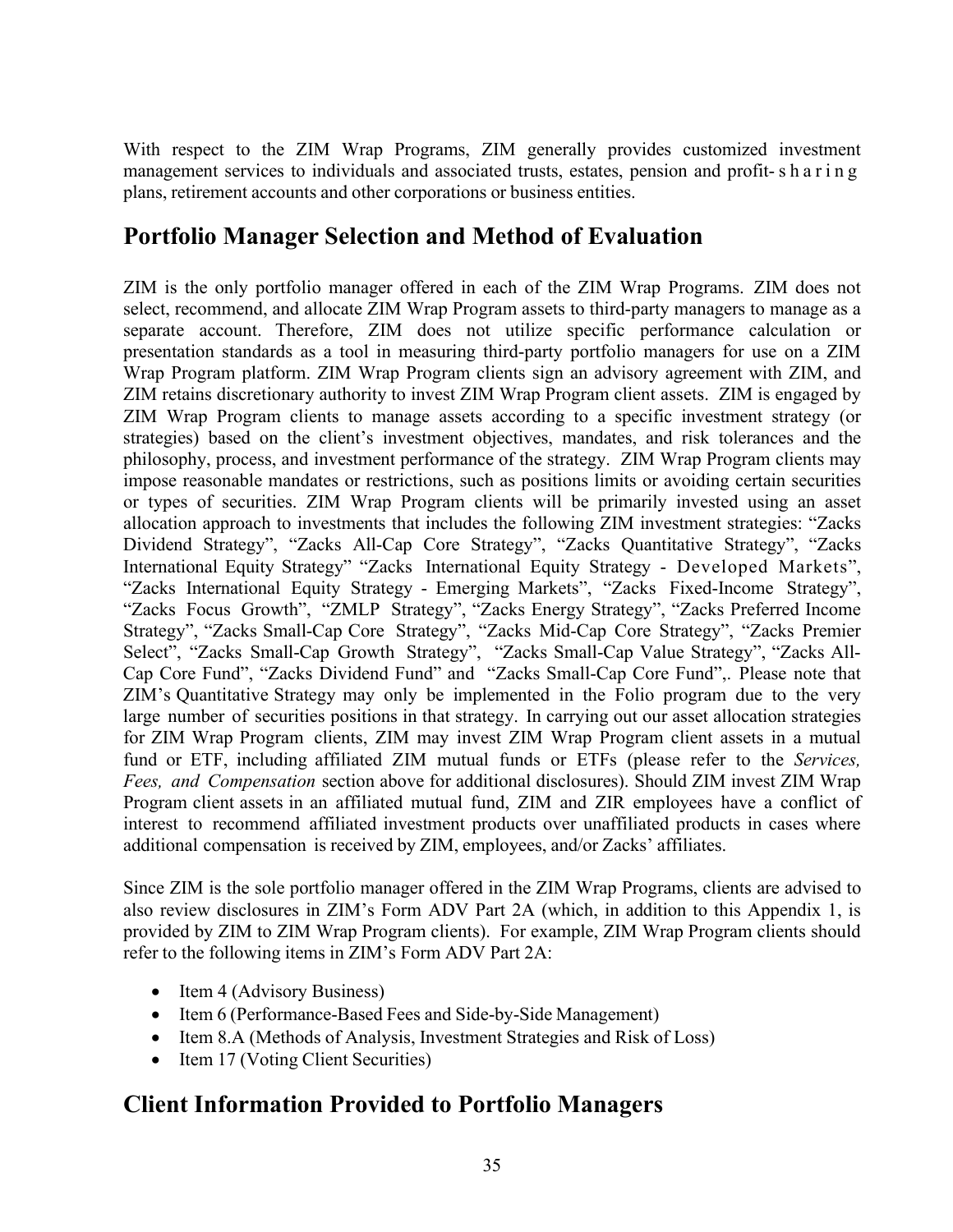With respect to the ZIM Wrap Programs, ZIM generally provides customized investment management services to individuals and associated trusts, estates, pension and profit- sharing plans, retirement accounts and other corporations or business entities.

# **Portfolio Manager Selection and Method of Evaluation**

ZIM is the only portfolio manager offered in each of the ZIM Wrap Programs. ZIM does not select, recommend, and allocate ZIM Wrap Program assets to third-party managers to manage as a separate account. Therefore, ZIM does not utilize specific performance calculation or presentation standards as a tool in measuring third-party portfolio managers for use on a ZIM Wrap Program platform. ZIM Wrap Program clients sign an advisory agreement with ZIM, and ZIM retains discretionary authority to invest ZIM Wrap Program client assets. ZIM is engaged by ZIM Wrap Program clients to manage assets according to a specific investment strategy (or strategies) based on the client's investment objectives, mandates, and risk tolerances and the philosophy, process, and investment performance of the strategy. ZIM Wrap Program clients may impose reasonable mandates or restrictions, such as positions limits or avoiding certain securities or types of securities. ZIM Wrap Program clients will be primarily invested using an asset allocation approach to investments that includes the following ZIM investment strategies: "Zacks Dividend Strategy", "Zacks All-Cap Core Strategy", "Zacks Quantitative Strategy", "Zacks International Equity Strategy" "Zacks International Equity Strategy - Developed Markets", "Zacks International Equity Strategy - Emerging Markets", "Zacks Fixed-Income Strategy", "Zacks Focus Growth", "ZMLP Strategy", "Zacks Energy Strategy", "Zacks Preferred Income Strategy", "Zacks Small-Cap Core Strategy", "Zacks Mid-Cap Core Strategy", "Zacks Premier Select", "Zacks Small-Cap Growth Strategy", "Zacks Small-Cap Value Strategy", "Zacks All-Cap Core Fund", "Zacks Dividend Fund" and "Zacks Small-Cap Core Fund",. Please note that ZIM's Quantitative Strategy may only be implemented in the Folio program due to the very large number of securities positions in that strategy. In carrying out our asset allocation strategies for ZIM Wrap Program clients, ZIM may invest ZIM Wrap Program client assets in a mutual fund or ETF, including affiliated ZIM mutual funds or ETFs (please refer to the *Services, Fees, and Compensation* section above for additional disclosures). Should ZIM invest ZIM Wrap Program client assets in an affiliated mutual fund, ZIM and ZIR employees have a conflict of interest to recommend affiliated investment products over unaffiliated products in cases where additional compensation is received by ZIM, employees, and/or Zacks' affiliates.

Since ZIM is the sole portfolio manager offered in the ZIM Wrap Programs, clients are advised to also review disclosures in ZIM's Form ADV Part 2A (which, in addition to this Appendix 1, is provided by ZIM to ZIM Wrap Program clients). For example, ZIM Wrap Program clients should refer to the following items in ZIM's Form ADV Part 2A:

- Item 4 (Advisory Business)
- Item 6 (Performance-Based Fees and Side-by-Side Management)
- Item 8.A (Methods of Analysis, Investment Strategies and Risk of Loss)
- Item 17 (Voting Client Securities)

# **Client Information Provided to Portfolio Managers**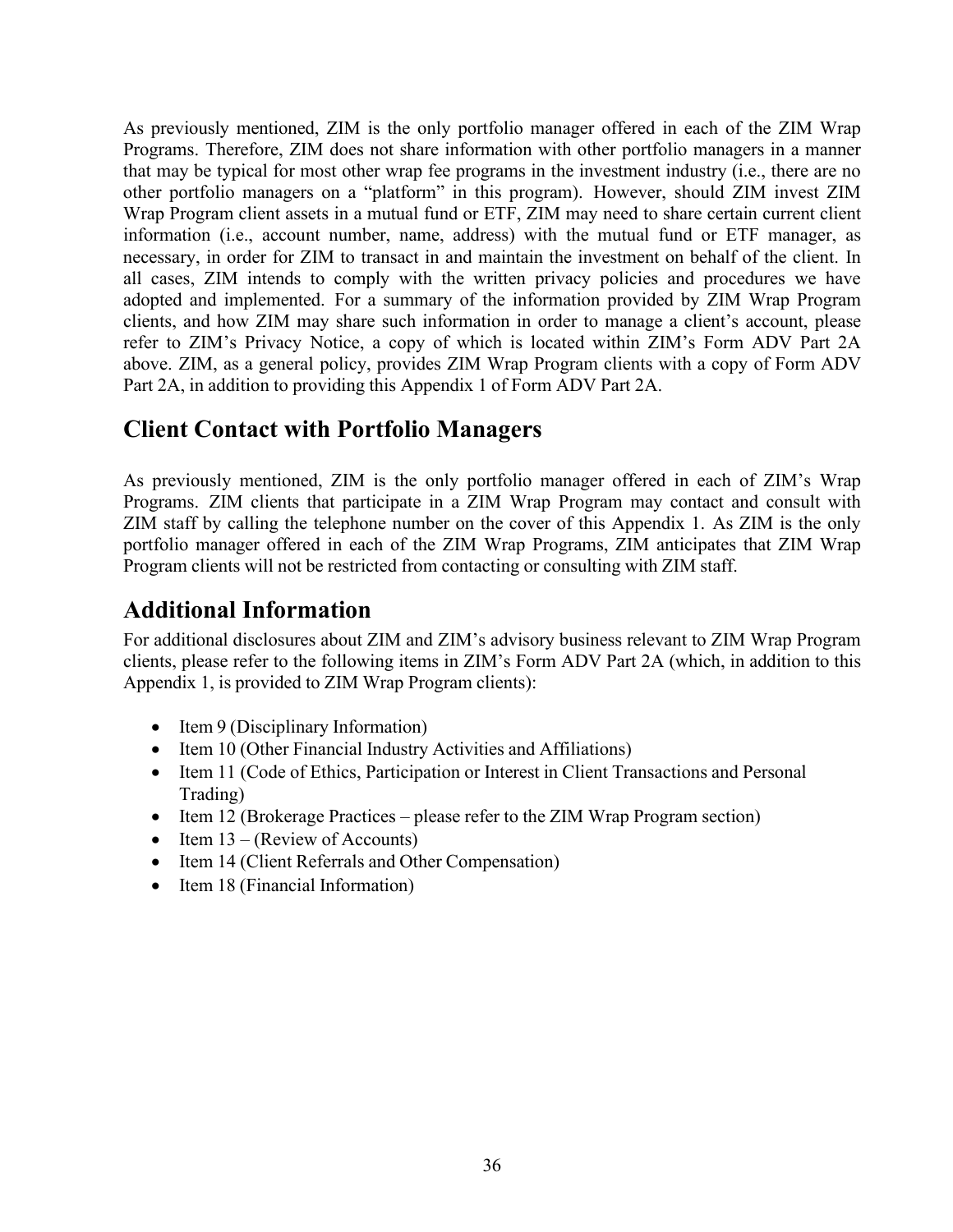As previously mentioned, ZIM is the only portfolio manager offered in each of the ZIM Wrap Programs. Therefore, ZIM does not share information with other portfolio managers in a manner that may be typical for most other wrap fee programs in the investment industry (i.e., there are no other portfolio managers on a "platform" in this program). However, should ZIM invest ZIM Wrap Program client assets in a mutual fund or ETF, ZIM may need to share certain current client information (i.e., account number, name, address) with the mutual fund or ETF manager, as necessary, in order for ZIM to transact in and maintain the investment on behalf of the client. In all cases, ZIM intends to comply with the written privacy policies and procedures we have adopted and implemented. For a summary of the information provided by ZIM Wrap Program clients, and how ZIM may share such information in order to manage a client's account, please refer to ZIM's Privacy Notice, a copy of which is located within ZIM's Form ADV Part 2A above. ZIM, as a general policy, provides ZIM Wrap Program clients with a copy of Form ADV Part 2A, in addition to providing this Appendix 1 of Form ADV Part 2A.

# **Client Contact with Portfolio Managers**

As previously mentioned, ZIM is the only portfolio manager offered in each of ZIM's Wrap Programs. ZIM clients that participate in a ZIM Wrap Program may contact and consult with ZIM staff by calling the telephone number on the cover of this Appendix 1. As ZIM is the only portfolio manager offered in each of the ZIM Wrap Programs, ZIM anticipates that ZIM Wrap Program clients will not be restricted from contacting or consulting with ZIM staff.

# **Additional Information**

For additional disclosures about ZIM and ZIM's advisory business relevant to ZIM Wrap Program clients, please refer to the following items in ZIM's Form ADV Part 2A (which, in addition to this Appendix 1, is provided to ZIM Wrap Program clients):

- Item 9 (Disciplinary Information)
- Item 10 (Other Financial Industry Activities and Affiliations)
- Item 11 (Code of Ethics, Participation or Interest in Client Transactions and Personal Trading)
- Item 12 (Brokerage Practices please refer to the ZIM Wrap Program section)
- Item  $13 -$  (Review of Accounts)
- Item 14 (Client Referrals and Other Compensation)
- Item 18 (Financial Information)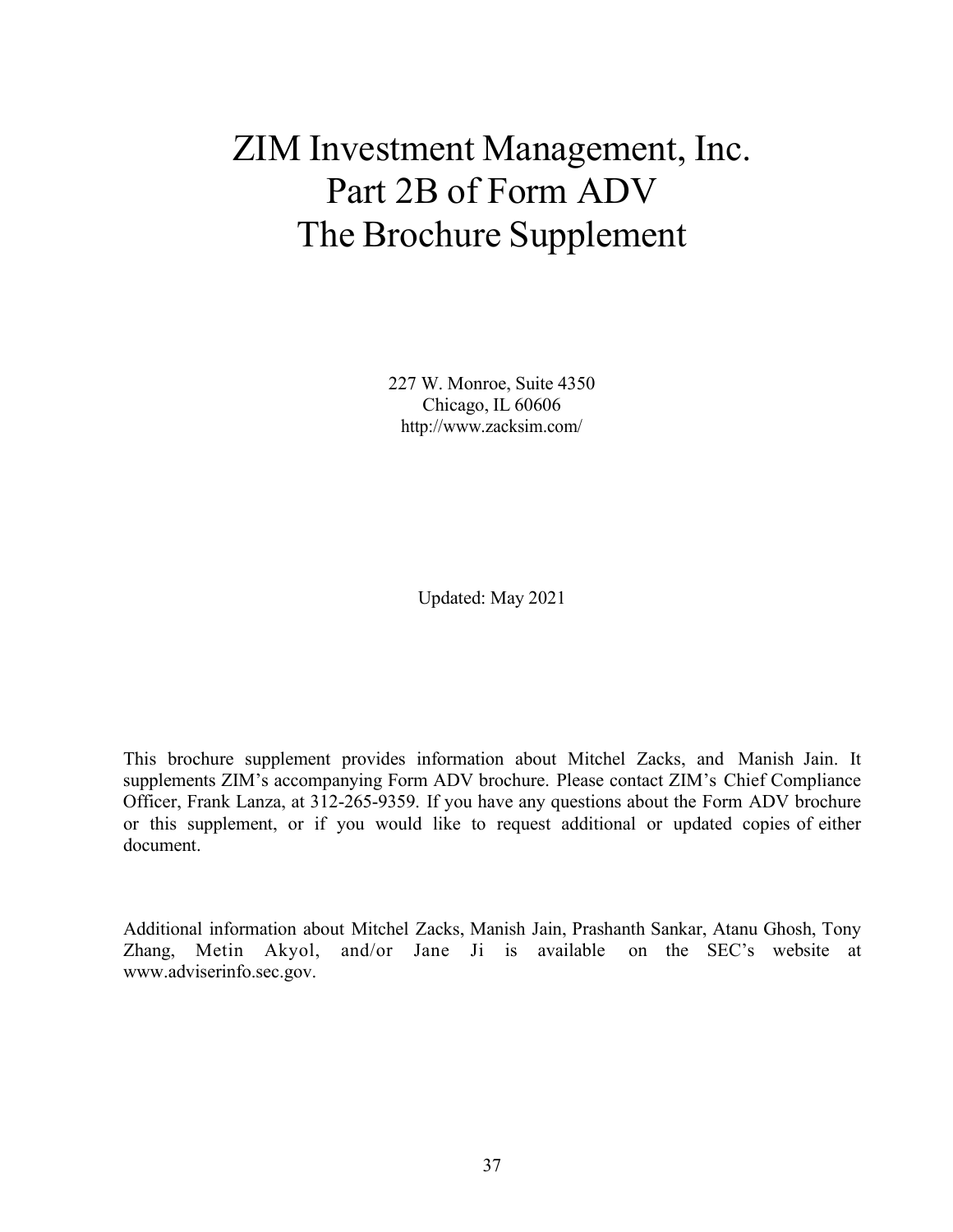# ZIM Investment Management, Inc. Part 2B of Form ADV The Brochure Supplement

227 W. Monroe, Suite 4350 Chicago, IL 60606 <http://www.zacksim.com/>

Updated: May 2021

This brochure supplement provides information about Mitchel Zacks, and Manish Jain. It supplements ZIM's accompanying Form ADV brochure. Please contact ZIM's Chief Compliance Officer, Frank Lanza, at 312-265-9359. If you have any questions about the Form ADV brochure or this supplement, or if you would like to request additional or updated copies of either document.

Additional information about Mitchel Zacks, Manish Jain, Prashanth Sankar, Atanu Ghosh, Tony Zhang, Metin Akyol, and/or Jane Ji is available on the SEC's website at [www.adviserinfo.sec.gov.](http://www.adviserinfo.sec.gov/)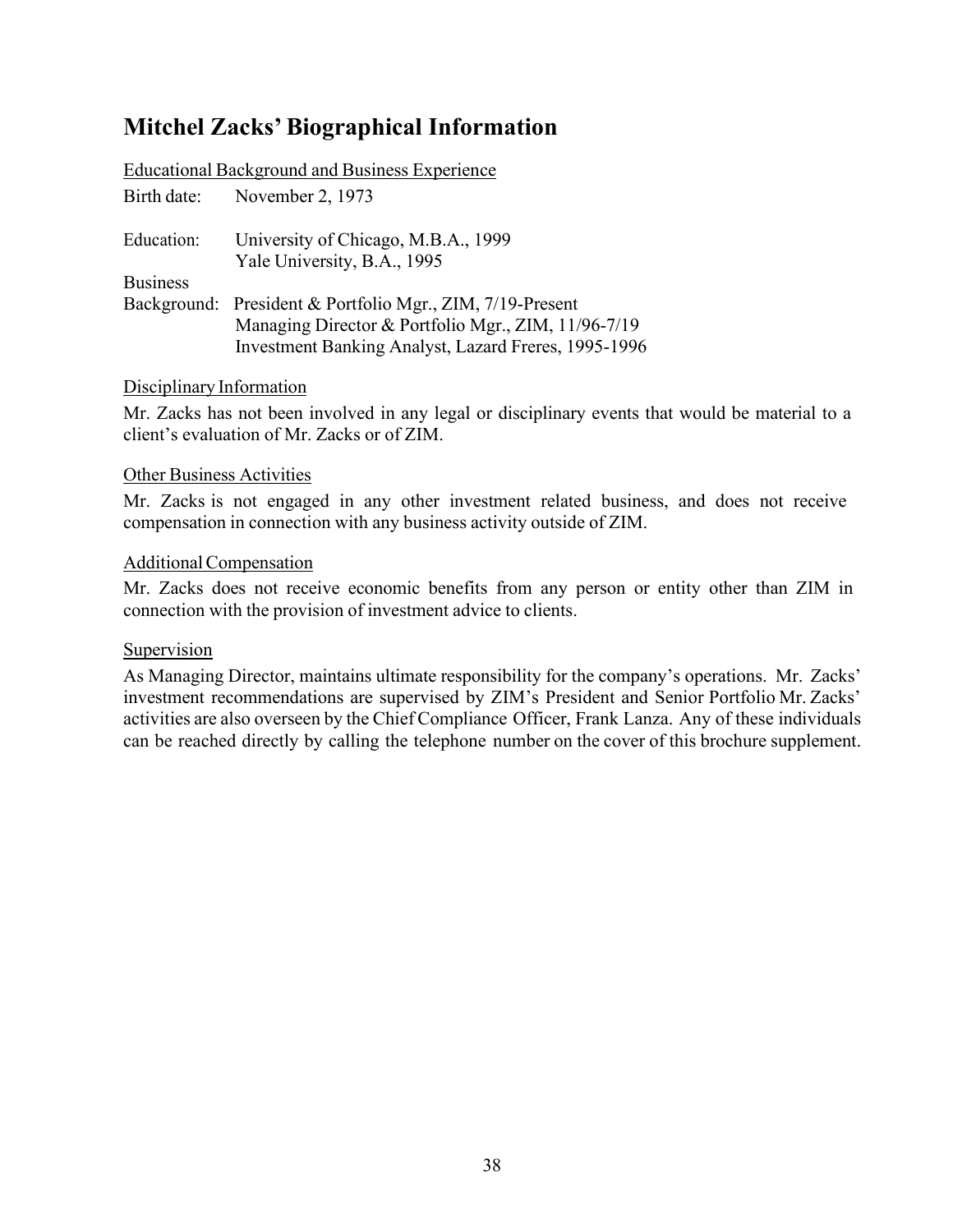# **Mitchel Zacks'Biographical Information**

|                 | <b>Educational Background and Business Experience</b>                                                                                                                    |
|-----------------|--------------------------------------------------------------------------------------------------------------------------------------------------------------------------|
|                 | Birth date: November 2, 1973                                                                                                                                             |
| Education:      | University of Chicago, M.B.A., 1999<br>Yale University, B.A., 1995                                                                                                       |
| <b>Business</b> |                                                                                                                                                                          |
|                 | Background: President & Portfolio Mgr., ZIM, 7/19-Present<br>Managing Director & Portfolio Mgr., ZIM, 11/96-7/19<br>Investment Banking Analyst, Lazard Freres, 1995-1996 |

# Disciplinary Information

Mr. Zacks has not been involved in any legal or disciplinary events that would be material to a client's evaluation of Mr. Zacks or of ZIM.

### Other Business Activities

Mr. Zacks is not engaged in any other investment related business, and does not receive compensation in connection with any business activity outside of ZIM.

# AdditionalCompensation

Mr. Zacks does not receive economic benefits from any person or entity other than ZIM in connection with the provision of investment advice to clients.

### Supervision

As Managing Director, maintains ultimate responsibility for the company's operations. Mr. Zacks' investment recommendations are supervised by ZIM's President and Senior Portfolio Mr. Zacks' activities are also overseen by the Chief Compliance Officer, Frank Lanza. Any of these individuals can be reached directly by calling the telephone number on the cover of this brochure supplement.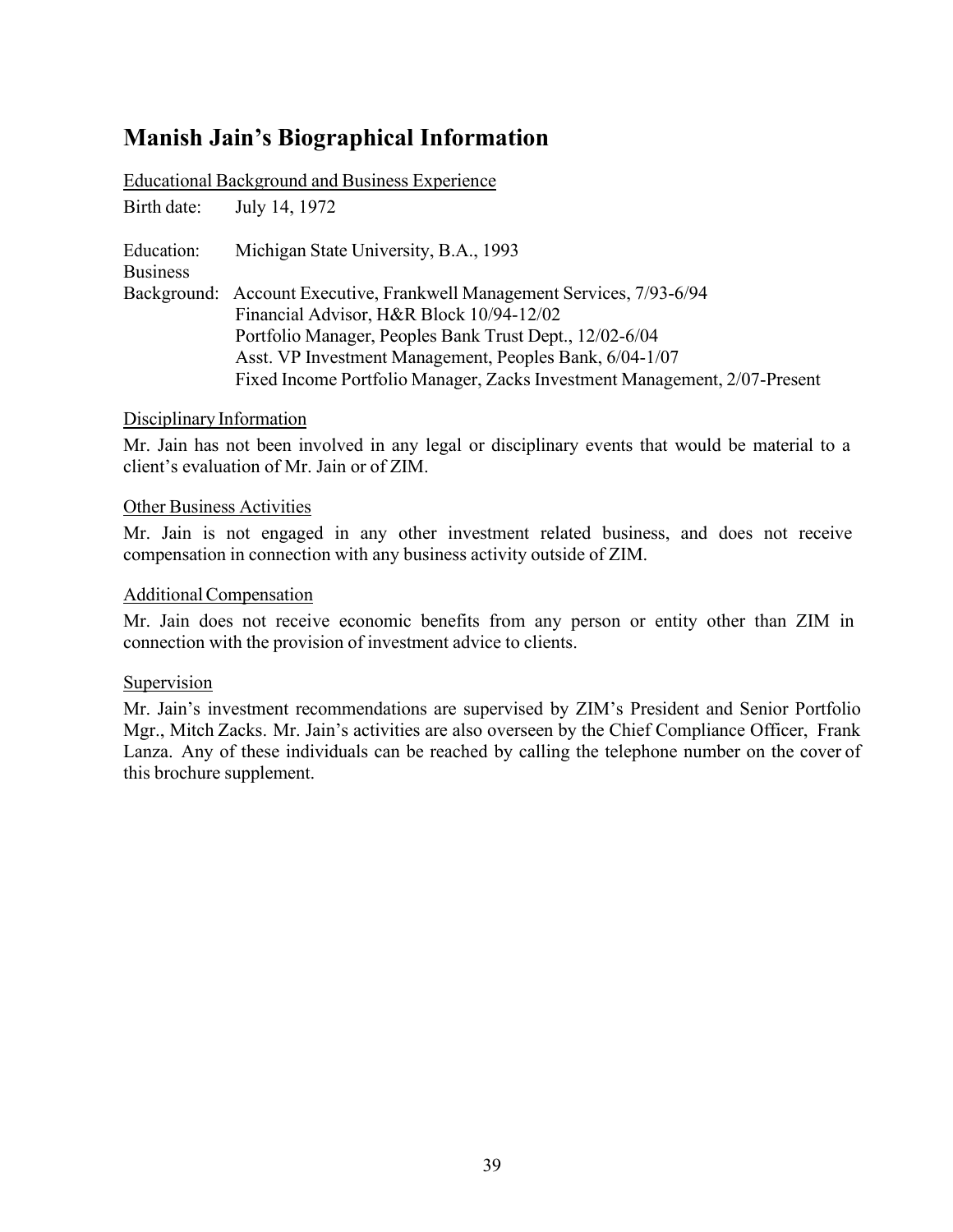# **Manish Jain's Biographical Information**

|                               | <b>Educational Background and Business Experience</b>                     |
|-------------------------------|---------------------------------------------------------------------------|
| Birth date:                   | July 14, 1972                                                             |
| Education:<br><b>Business</b> | Michigan State University, B.A., 1993                                     |
|                               | Background: Account Executive, Frankwell Management Services, 7/93-6/94   |
|                               | Financial Advisor, H&R Block 10/94-12/02                                  |
|                               | Portfolio Manager, Peoples Bank Trust Dept., 12/02-6/04                   |
|                               | Asst. VP Investment Management, Peoples Bank, 6/04-1/07                   |
|                               | Fixed Income Portfolio Manager, Zacks Investment Management, 2/07-Present |

# Disciplinary Information

Mr. Jain has not been involved in any legal or disciplinary events that would be material to a client's evaluation of Mr. Jain or of ZIM.

# Other Business Activities

Mr. Jain is not engaged in any other investment related business, and does not receive compensation in connection with any business activity outside of ZIM.

# AdditionalCompensation

Mr. Jain does not receive economic benefits from any person or entity other than ZIM in connection with the provision of investment advice to clients.

### Supervision

Mr. Jain's investment recommendations are supervised by ZIM's President and Senior Portfolio Mgr., Mitch Zacks. Mr. Jain's activities are also overseen by the Chief Compliance Officer, Frank Lanza. Any of these individuals can be reached by calling the telephone number on the cover of this brochure supplement.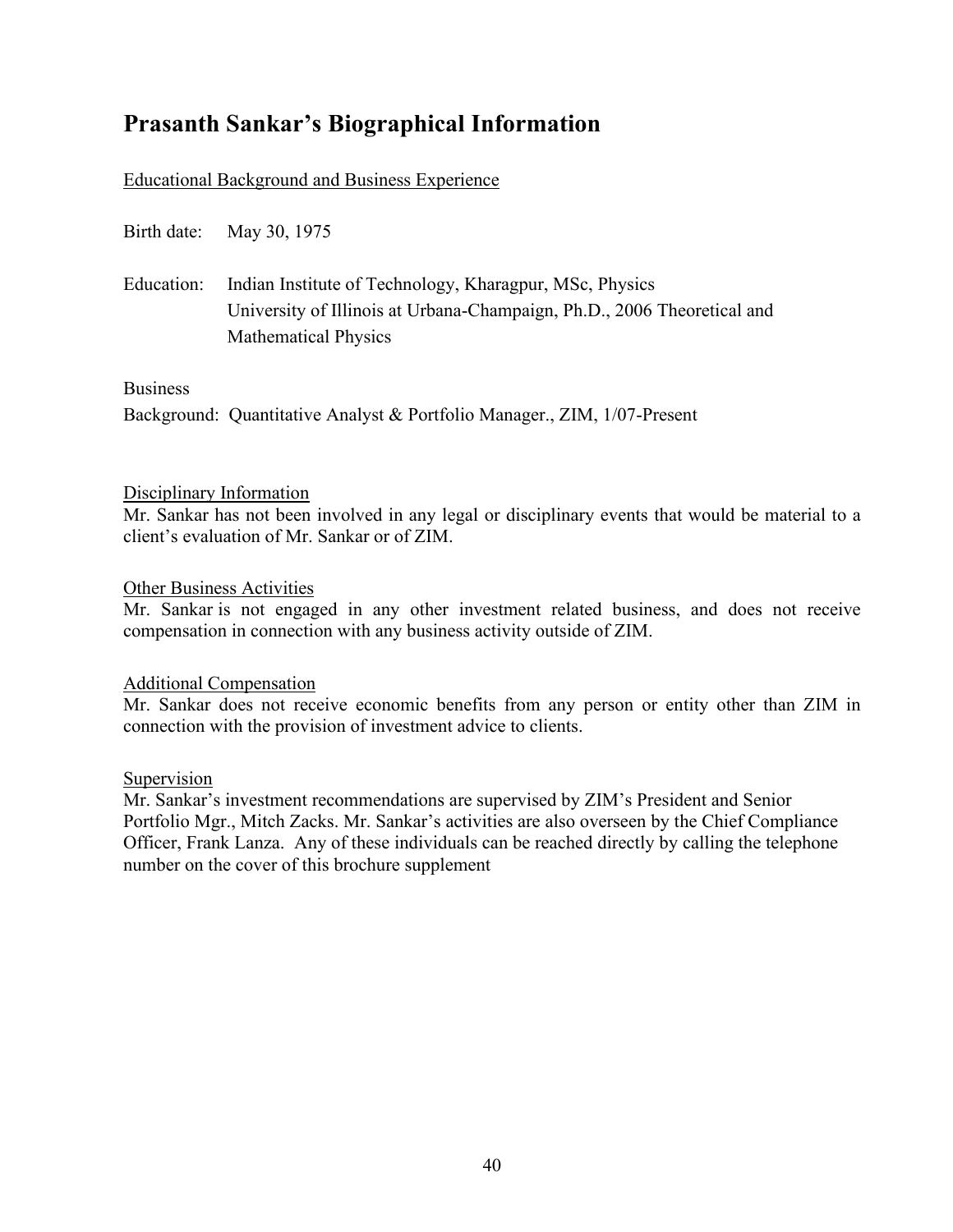# **Prasanth Sankar's Biographical Information**

# Educational Background and Business Experience

|                 | Birth date: May 30, 1975                                                                                                                                          |
|-----------------|-------------------------------------------------------------------------------------------------------------------------------------------------------------------|
| Education:      | Indian Institute of Technology, Kharagpur, MSc, Physics<br>University of Illinois at Urbana-Champaign, Ph.D., 2006 Theoretical and<br><b>Mathematical Physics</b> |
| <b>Business</b> |                                                                                                                                                                   |
|                 | Background: Quantitative Analyst & Portfolio Manager., ZIM, 1/07-Present                                                                                          |

#### Disciplinary Information

Mr. Sankar has not been involved in any legal or disciplinary events that would be material to a client's evaluation of Mr. Sankar or of ZIM.

### Other Business Activities

Mr. Sankar is not engaged in any other investment related business, and does not receive compensation in connection with any business activity outside of ZIM.

### Additional Compensation

Mr. Sankar does not receive economic benefits from any person or entity other than ZIM in connection with the provision of investment advice to clients.

### Supervision

Mr. Sankar's investment recommendations are supervised by ZIM's President and Senior Portfolio Mgr., Mitch Zacks. Mr. Sankar's activities are also overseen by the Chief Compliance Officer, Frank Lanza. Any of these individuals can be reached directly by calling the telephone number on the cover of this brochure supplement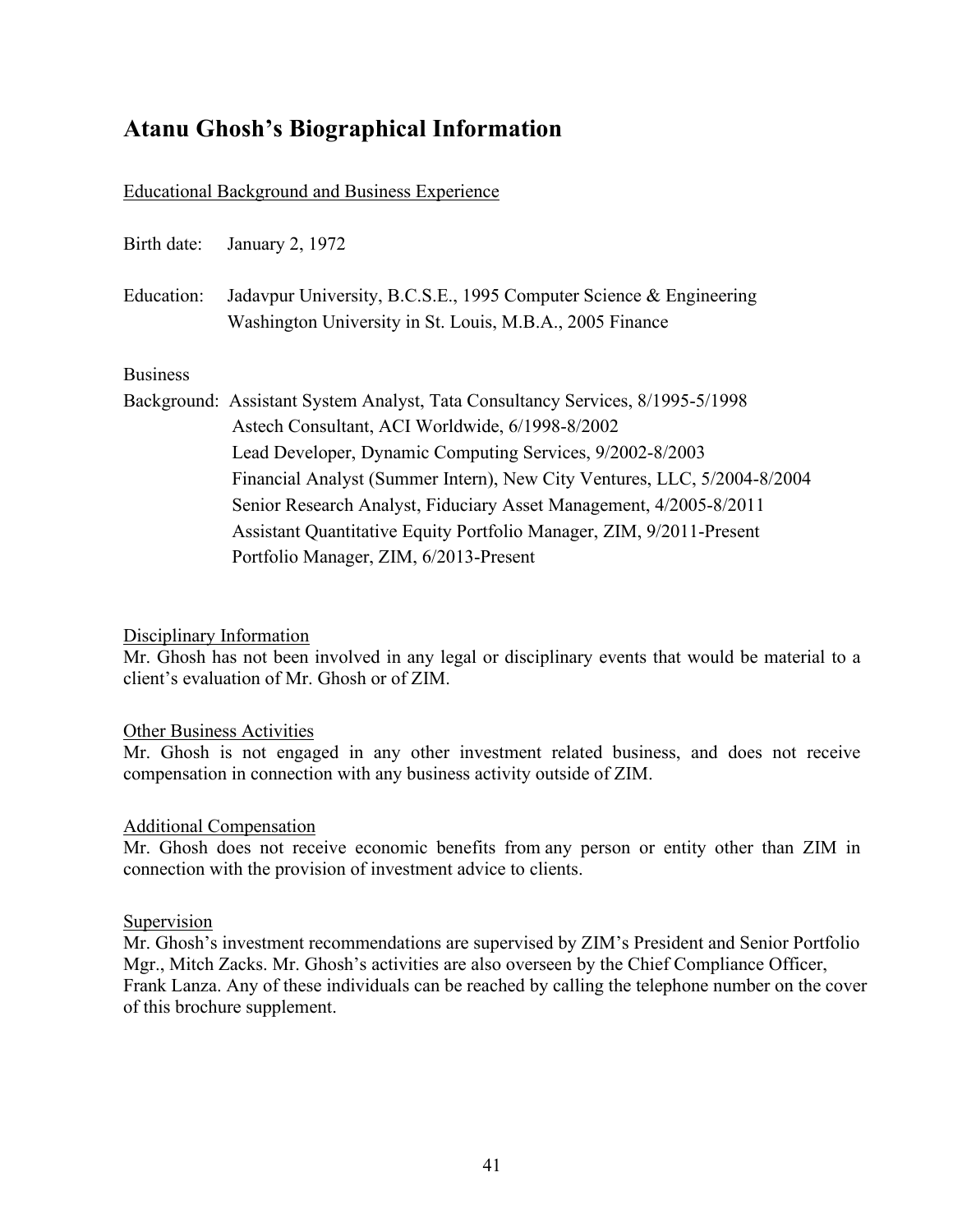# **Atanu Ghosh's Biographical Information**

#### Educational Background and Business Experience

| Birth date:     | January 2, 1972                                                                                                                |
|-----------------|--------------------------------------------------------------------------------------------------------------------------------|
| Education:      | Jadavpur University, B.C.S.E., 1995 Computer Science & Engineering<br>Washington University in St. Louis, M.B.A., 2005 Finance |
| <b>Business</b> |                                                                                                                                |
|                 | Background: Assistant System Analyst, Tata Consultancy Services, 8/1995-5/1998                                                 |
|                 | Astech Consultant, ACI Worldwide, 6/1998-8/2002                                                                                |
|                 | Lead Developer, Dynamic Computing Services, 9/2002-8/2003                                                                      |
|                 | Financial Analyst (Summer Intern), New City Ventures, LLC, 5/2004-8/2004                                                       |
|                 | Senior Research Analyst, Fiduciary Asset Management, 4/2005-8/2011                                                             |
|                 | Assistant Quantitative Equity Portfolio Manager, ZIM, 9/2011-Present                                                           |
|                 | Portfolio Manager, ZIM, 6/2013-Present                                                                                         |

Disciplinary Information

Mr. Ghosh has not been involved in any legal or disciplinary events that would be material to a client's evaluation of Mr. Ghosh or of ZIM.

#### Other Business Activities

Mr. Ghosh is not engaged in any other investment related business, and does not receive compensation in connection with any business activity outside of ZIM.

#### Additional Compensation

Mr. Ghosh does not receive economic benefits from any person or entity other than ZIM in connection with the provision of investment advice to clients.

#### Supervision

Mr. Ghosh's investment recommendations are supervised by ZIM's President and Senior Portfolio Mgr., Mitch Zacks. Mr. Ghosh's activities are also overseen by the Chief Compliance Officer, Frank Lanza. Any of these individuals can be reached by calling the telephone number on the cover of this brochure supplement.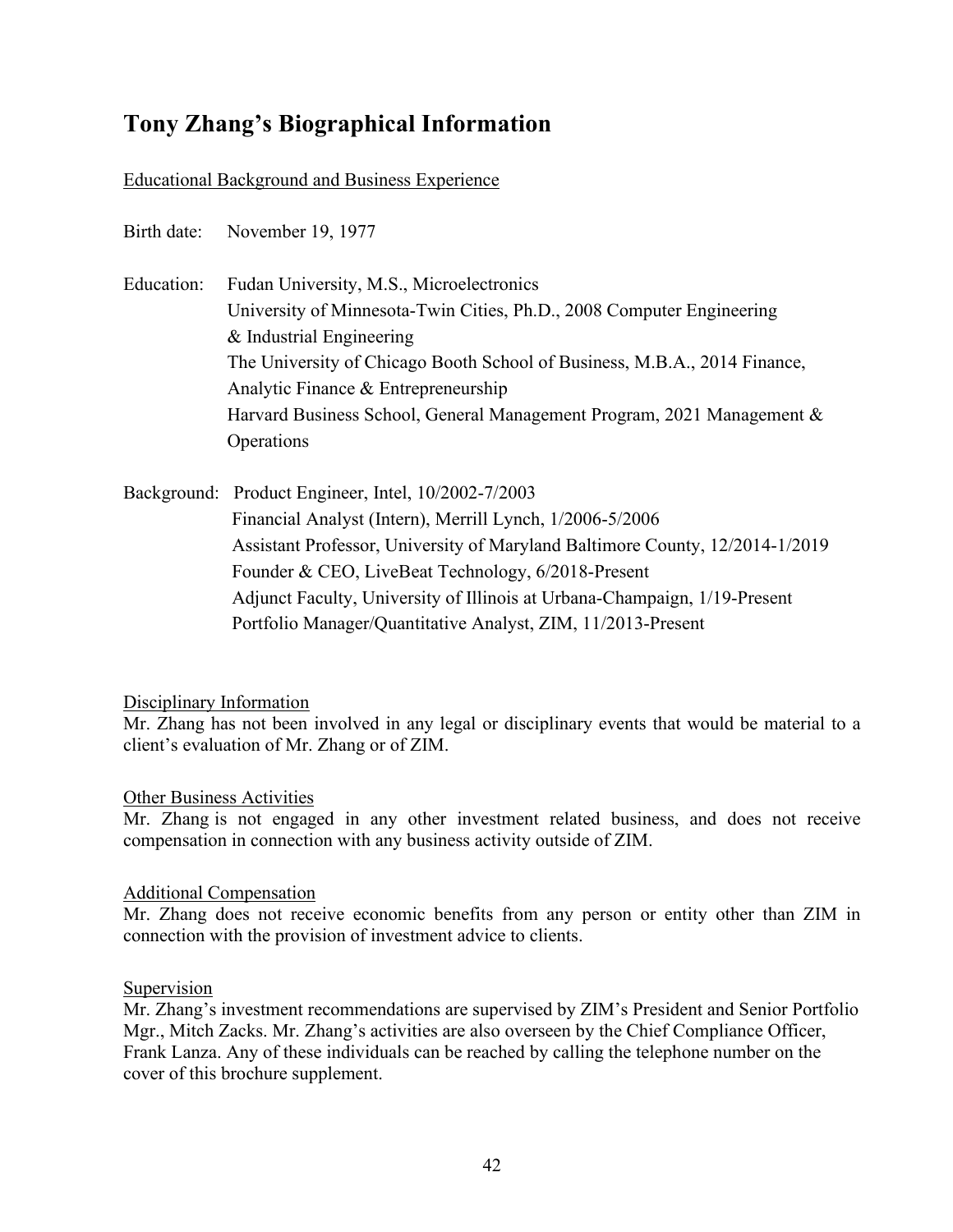# **Tony Zhang's Biographical Information**

# Educational Background and Business Experience

Birth date: November 19, 1977

Education: Fudan University, M.S., Microelectronics University of Minnesota-Twin Cities, Ph.D., 2008 Computer Engineering & Industrial Engineering The University of Chicago Booth School of Business, M.B.A., 2014 Finance, Analytic Finance & Entrepreneurship Harvard Business School, General Management Program, 2021 Management & **Operations** 

Background: Product Engineer, Intel, 10/2002-7/2003 Financial Analyst (Intern), Merrill Lynch, 1/2006-5/2006 Assistant Professor, University of Maryland Baltimore County, 12/2014-1/2019 Founder & CEO, LiveBeat Technology, 6/2018-Present Adjunct Faculty, University of Illinois at Urbana-Champaign, 1/19-Present Portfolio Manager/Quantitative Analyst, ZIM, 11/2013-Present

### Disciplinary Information

Mr. Zhang has not been involved in any legal or disciplinary events that would be material to a client's evaluation of Mr. Zhang or of ZIM.

#### Other Business Activities

Mr. Zhang is not engaged in any other investment related business, and does not receive compensation in connection with any business activity outside of ZIM.

#### Additional Compensation

Mr. Zhang does not receive economic benefits from any person or entity other than ZIM in connection with the provision of investment advice to clients.

#### Supervision

Mr. Zhang's investment recommendations are supervised by ZIM's President and Senior Portfolio Mgr., Mitch Zacks. Mr. Zhang's activities are also overseen by the Chief Compliance Officer, Frank Lanza. Any of these individuals can be reached by calling the telephone number on the cover of this brochure supplement.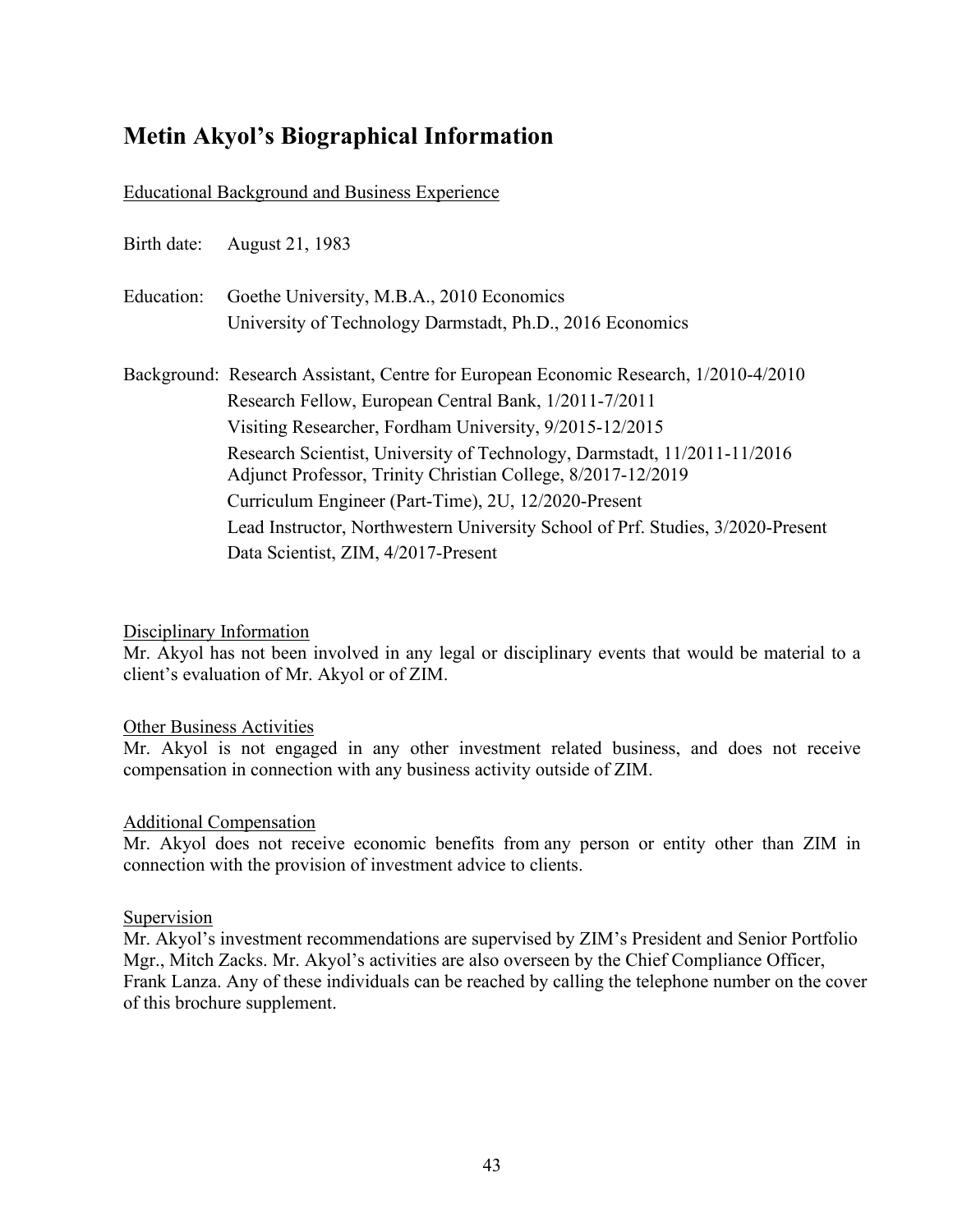# **Metin Akyol's Biographical Information**

# Educational Background and Business Experience

| Birth date: | August 21, 1983                                                                                                                               |
|-------------|-----------------------------------------------------------------------------------------------------------------------------------------------|
| Education:  | Goethe University, M.B.A., 2010 Economics<br>University of Technology Darmstadt, Ph.D., 2016 Economics                                        |
|             |                                                                                                                                               |
|             | Background: Research Assistant, Centre for European Economic Research, 1/2010-4/2010<br>Research Fellow, European Central Bank, 1/2011-7/2011 |
|             | Visiting Researcher, Fordham University, 9/2015-12/2015                                                                                       |
|             | Research Scientist, University of Technology, Darmstadt, 11/2011-11/2016<br>Adjunct Professor, Trinity Christian College, 8/2017-12/2019      |
|             | Curriculum Engineer (Part-Time), 2U, 12/2020-Present                                                                                          |
|             | Lead Instructor, Northwestern University School of Prf. Studies, 3/2020-Present                                                               |
|             | Data Scientist, ZIM, 4/2017-Present                                                                                                           |

### Disciplinary Information

Mr. Akyol has not been involved in any legal or disciplinary events that would be material to a client's evaluation of Mr. Akyol or of ZIM.

### Other Business Activities

Mr. Akyol is not engaged in any other investment related business, and does not receive compensation in connection with any business activity outside of ZIM.

### Additional Compensation

Mr. Akyol does not receive economic benefits from any person or entity other than ZIM in connection with the provision of investment advice to clients.

#### Supervision

Mr. Akyol's investment recommendations are supervised by ZIM's President and Senior Portfolio Mgr., Mitch Zacks. Mr. Akyol's activities are also overseen by the Chief Compliance Officer, Frank Lanza. Any of these individuals can be reached by calling the telephone number on the cover of this brochure supplement.